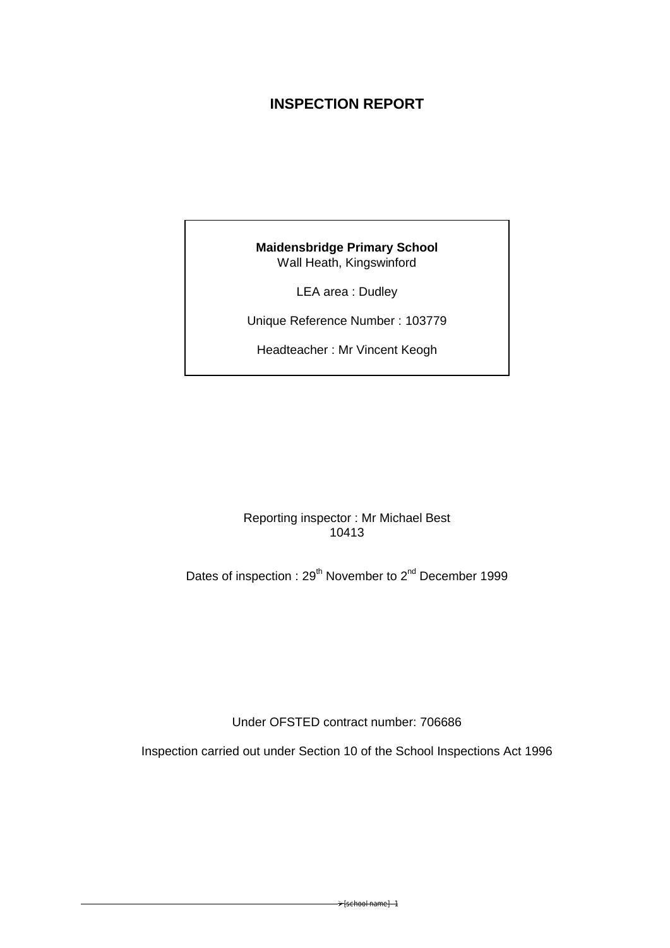# **INSPECTION REPORT**

# **Maidensbridge Primary School**  Wall Heath, Kingswinford

LEA area : Dudley

Unique Reference Number : 103779

Headteacher : Mr Vincent Keogh

Reporting inspector : Mr Michael Best 10413

Dates of inspection : 29<sup>th</sup> November to 2<sup>nd</sup> December 1999

Under OFSTED contract number: 706686

Inspection carried out under Section 10 of the School Inspections Act 1996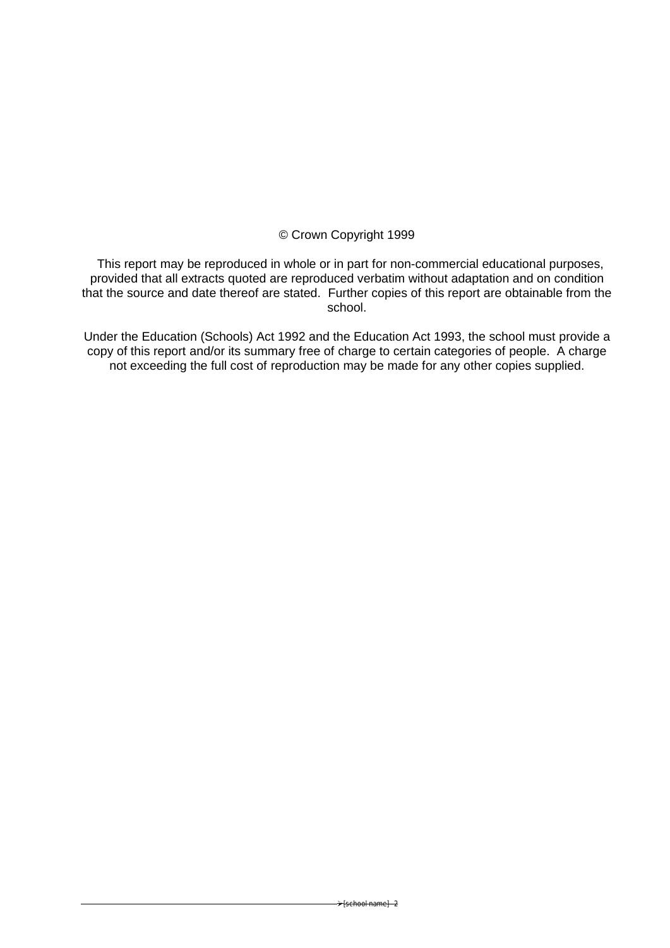# © Crown Copyright 1999

 This report may be reproduced in whole or in part for non-commercial educational purposes, provided that all extracts quoted are reproduced verbatim without adaptation and on condition that the source and date thereof are stated. Further copies of this report are obtainable from the school.

Under the Education (Schools) Act 1992 and the Education Act 1993, the school must provide a copy of this report and/or its summary free of charge to certain categories of people. A charge not exceeding the full cost of reproduction may be made for any other copies supplied.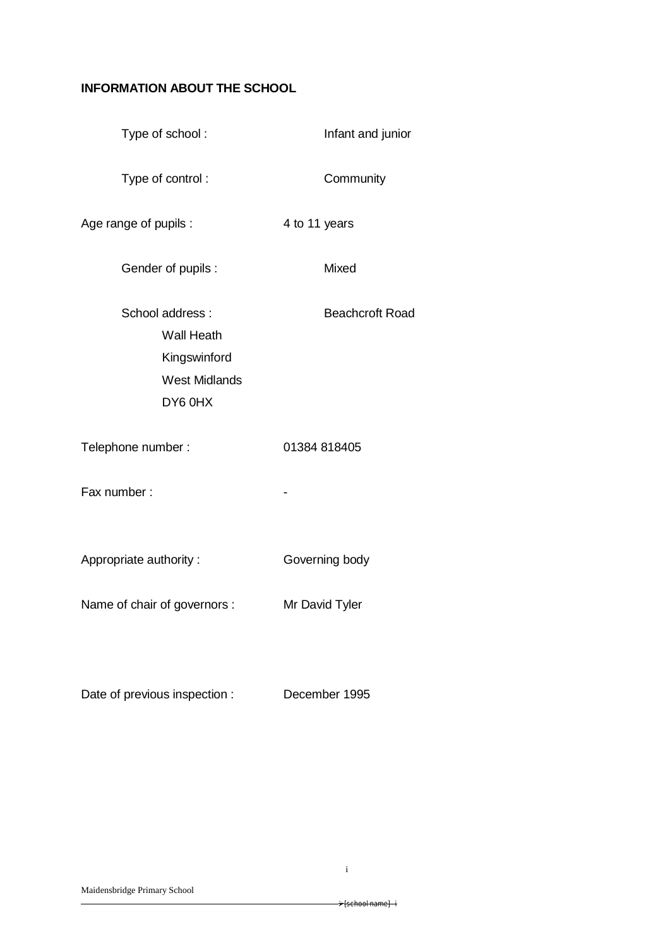# **INFORMATION ABOUT THE SCHOOL**

| Type of school:                                                                         | Infant and junior      |
|-----------------------------------------------------------------------------------------|------------------------|
| Type of control:                                                                        | Community              |
| Age range of pupils :                                                                   | 4 to 11 years          |
| Gender of pupils :                                                                      | Mixed                  |
| School address:<br><b>Wall Heath</b><br>Kingswinford<br><b>West Midlands</b><br>DY6 0HX | <b>Beachcroft Road</b> |
| Telephone number:                                                                       | 01384 818405           |
| Fax number:                                                                             |                        |
| Appropriate authority:                                                                  | Governing body         |
| Name of chair of governors :                                                            | Mr David Tyler         |
|                                                                                         |                        |

Date of previous inspection : December 1995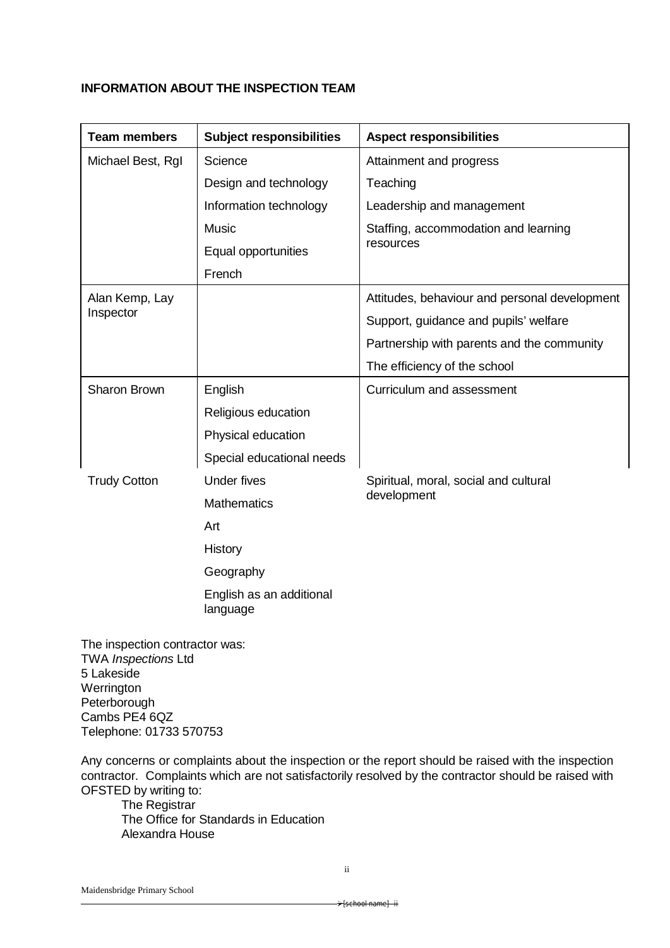## **INFORMATION ABOUT THE INSPECTION TEAM**

| <b>Team members</b> | <b>Subject responsibilities</b>      | <b>Aspect responsibilities</b>                |
|---------------------|--------------------------------------|-----------------------------------------------|
| Michael Best, RgI   | Science                              | Attainment and progress                       |
|                     | Design and technology                | Teaching                                      |
|                     | Information technology               | Leadership and management                     |
|                     | <b>Music</b>                         | Staffing, accommodation and learning          |
|                     | Equal opportunities                  | resources                                     |
|                     | French                               |                                               |
| Alan Kemp, Lay      |                                      | Attitudes, behaviour and personal development |
| Inspector           |                                      | Support, guidance and pupils' welfare         |
|                     |                                      | Partnership with parents and the community    |
|                     |                                      | The efficiency of the school                  |
| Sharon Brown        | English                              | Curriculum and assessment                     |
|                     | Religious education                  |                                               |
|                     | Physical education                   |                                               |
|                     | Special educational needs            |                                               |
| <b>Trudy Cotton</b> | <b>Under fives</b>                   | Spiritual, moral, social and cultural         |
|                     | <b>Mathematics</b>                   | development                                   |
|                     | Art                                  |                                               |
|                     | History                              |                                               |
|                     | Geography                            |                                               |
|                     | English as an additional<br>language |                                               |

The inspection contractor was: TWA *Inspections* Ltd 5 Lakeside Werrington Peterborough Cambs PE4 6QZ Telephone: 01733 570753

Any concerns or complaints about the inspection or the report should be raised with the inspection contractor. Complaints which are not satisfactorily resolved by the contractor should be raised with OFSTED by writing to:

The Registrar The Office for Standards in Education Alexandra House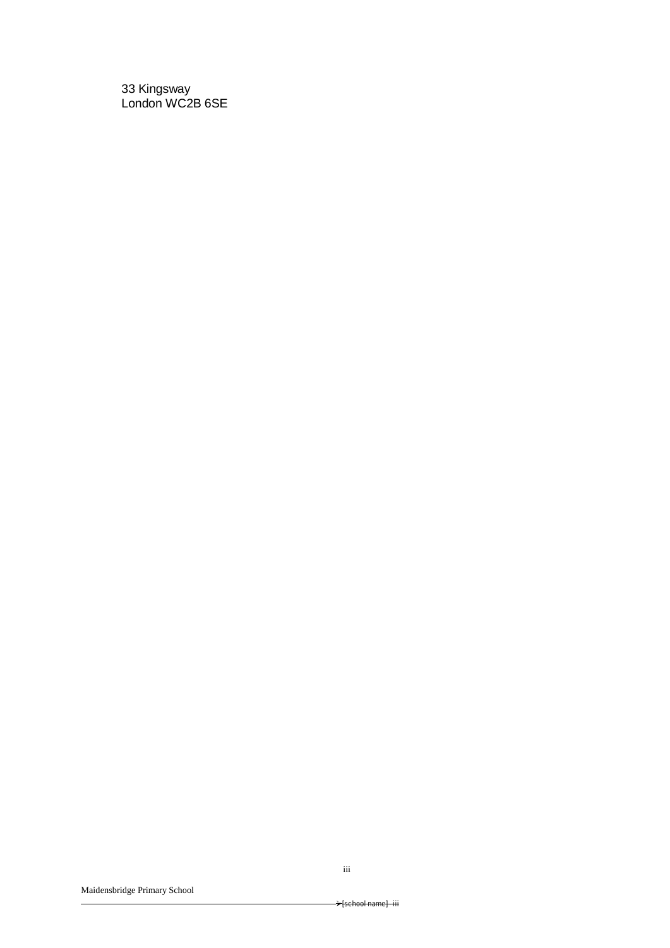33 Kingsway London WC2B 6SE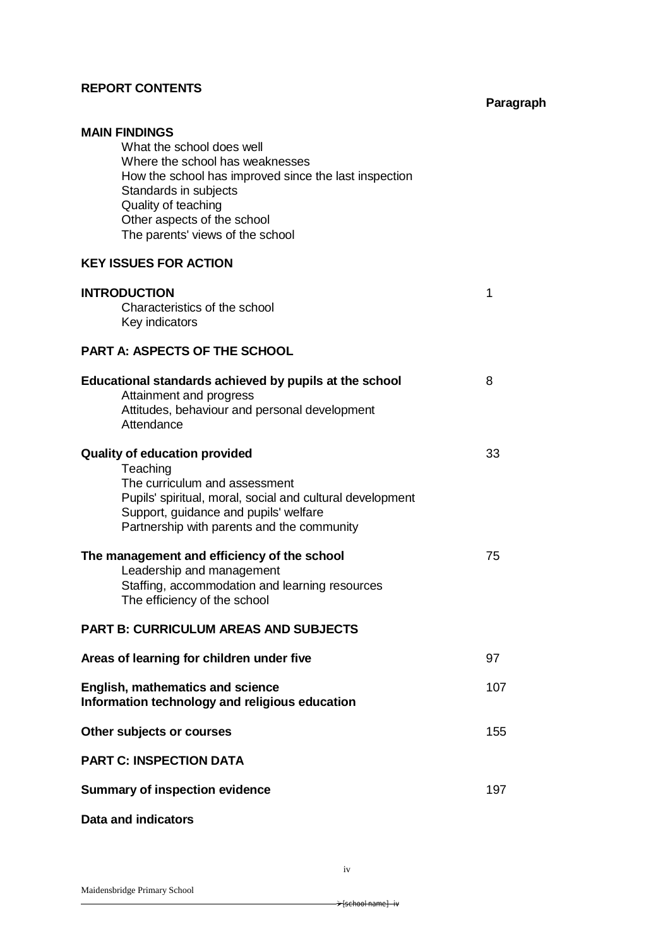# **REPORT CONTENTS**

# **Paragraph**

| <b>MAIN FINDINGS</b>                                      |     |
|-----------------------------------------------------------|-----|
| What the school does well                                 |     |
| Where the school has weaknesses                           |     |
| How the school has improved since the last inspection     |     |
|                                                           |     |
| Standards in subjects                                     |     |
| Quality of teaching                                       |     |
| Other aspects of the school                               |     |
| The parents' views of the school                          |     |
|                                                           |     |
| <b>KEY ISSUES FOR ACTION</b>                              |     |
| <b>INTRODUCTION</b>                                       | 1   |
| Characteristics of the school                             |     |
| Key indicators                                            |     |
|                                                           |     |
| <b>PART A: ASPECTS OF THE SCHOOL</b>                      |     |
| Educational standards achieved by pupils at the school    | 8   |
| Attainment and progress                                   |     |
| Attitudes, behaviour and personal development             |     |
| Attendance                                                |     |
|                                                           |     |
| <b>Quality of education provided</b>                      | 33  |
| Teaching                                                  |     |
| The curriculum and assessment                             |     |
|                                                           |     |
| Pupils' spiritual, moral, social and cultural development |     |
| Support, guidance and pupils' welfare                     |     |
| Partnership with parents and the community                |     |
| The management and efficiency of the school               | 75  |
| Leadership and management                                 |     |
|                                                           |     |
| Staffing, accommodation and learning resources            |     |
| The efficiency of the school                              |     |
| PART B: CURRICULUM AREAS AND SUBJECTS                     |     |
| Areas of learning for children under five                 | 97  |
|                                                           |     |
| <b>English, mathematics and science</b>                   | 107 |
| Information technology and religious education            |     |
| Other subjects or courses                                 | 155 |
| <b>PART C: INSPECTION DATA</b>                            |     |
| <b>Summary of inspection evidence</b>                     | 197 |
|                                                           |     |
|                                                           |     |

# **Data and indicators**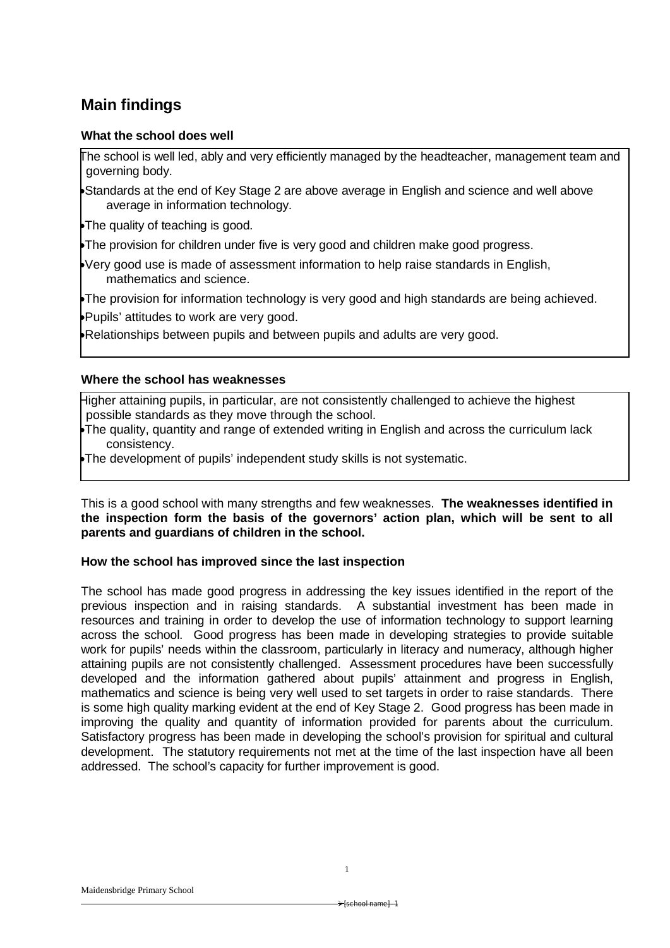# **Main findings**

## **What the school does well**

The school is well led, ably and very efficiently managed by the headteacher, management team and governing body.

Standards at the end of Key Stage 2 are above average in English and science and well above average in information technology.

The quality of teaching is good.

The provision for children under five is very good and children make good progress.

Very good use is made of assessment information to help raise standards in English, mathematics and science.

The provision for information technology is very good and high standards are being achieved. Pupils' attitudes to work are very good.

Relationships between pupils and between pupils and adults are very good.

### **Where the school has weaknesses**

Higher attaining pupils, in particular, are not consistently challenged to achieve the highest possible standards as they move through the school.

The quality, quantity and range of extended writing in English and across the curriculum lack consistency.

The development of pupils' independent study skills is not systematic.

This is a good school with many strengths and few weaknesses. **The weaknesses identified in the inspection form the basis of the governors' action plan, which will be sent to all parents and guardians of children in the school.**

## **How the school has improved since the last inspection**

The school has made good progress in addressing the key issues identified in the report of the previous inspection and in raising standards. A substantial investment has been made in resources and training in order to develop the use of information technology to support learning across the school. Good progress has been made in developing strategies to provide suitable work for pupils' needs within the classroom, particularly in literacy and numeracy, although higher attaining pupils are not consistently challenged. Assessment procedures have been successfully developed and the information gathered about pupils' attainment and progress in English, mathematics and science is being very well used to set targets in order to raise standards. There is some high quality marking evident at the end of Key Stage 2. Good progress has been made in improving the quality and quantity of information provided for parents about the curriculum. Satisfactory progress has been made in developing the school's provision for spiritual and cultural development. The statutory requirements not met at the time of the last inspection have all been addressed. The school's capacity for further improvement is good.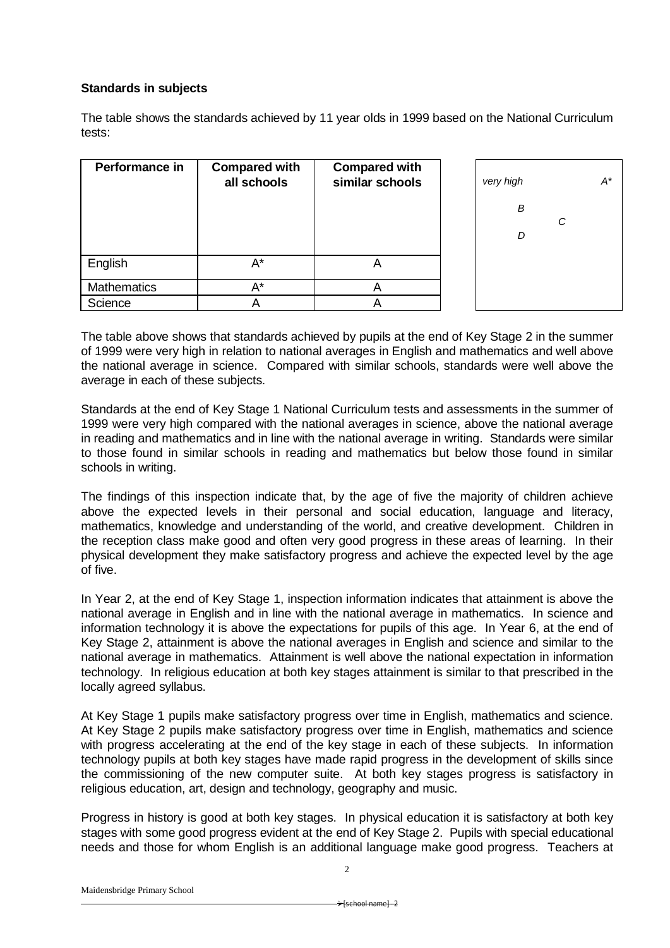## **Standards in subjects**

The table shows the standards achieved by 11 year olds in 1999 based on the National Curriculum tests:

| Performance in     | <b>Compared with</b><br>all schools | <b>Compared with</b><br>similar schools |
|--------------------|-------------------------------------|-----------------------------------------|
| English            | A*                                  |                                         |
| <b>Mathematics</b> | A*                                  |                                         |
| Science            |                                     |                                         |



The table above shows that standards achieved by pupils at the end of Key Stage 2 in the summer of 1999 were very high in relation to national averages in English and mathematics and well above the national average in science. Compared with similar schools, standards were well above the average in each of these subjects.

Standards at the end of Key Stage 1 National Curriculum tests and assessments in the summer of 1999 were very high compared with the national averages in science, above the national average in reading and mathematics and in line with the national average in writing. Standards were similar to those found in similar schools in reading and mathematics but below those found in similar schools in writing.

The findings of this inspection indicate that, by the age of five the majority of children achieve above the expected levels in their personal and social education, language and literacy, mathematics, knowledge and understanding of the world, and creative development. Children in the reception class make good and often very good progress in these areas of learning. In their physical development they make satisfactory progress and achieve the expected level by the age of five.

In Year 2, at the end of Key Stage 1, inspection information indicates that attainment is above the national average in English and in line with the national average in mathematics. In science and information technology it is above the expectations for pupils of this age. In Year 6, at the end of Key Stage 2, attainment is above the national averages in English and science and similar to the national average in mathematics. Attainment is well above the national expectation in information technology. In religious education at both key stages attainment is similar to that prescribed in the locally agreed syllabus.

At Key Stage 1 pupils make satisfactory progress over time in English, mathematics and science. At Key Stage 2 pupils make satisfactory progress over time in English, mathematics and science with progress accelerating at the end of the key stage in each of these subjects. In information technology pupils at both key stages have made rapid progress in the development of skills since the commissioning of the new computer suite. At both key stages progress is satisfactory in religious education, art, design and technology, geography and music.

Progress in history is good at both key stages. In physical education it is satisfactory at both key stages with some good progress evident at the end of Key Stage 2. Pupils with special educational needs and those for whom English is an additional language make good progress. Teachers at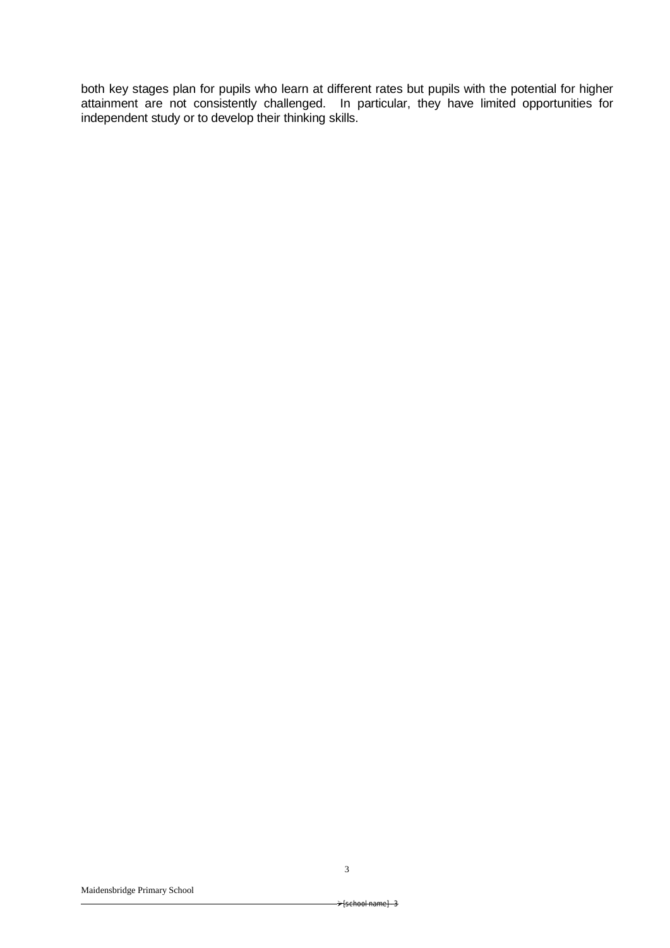both key stages plan for pupils who learn at different rates but pupils with the potential for higher attainment are not consistently challenged. In particular, they have limited opportunities for independent study or to develop their thinking skills.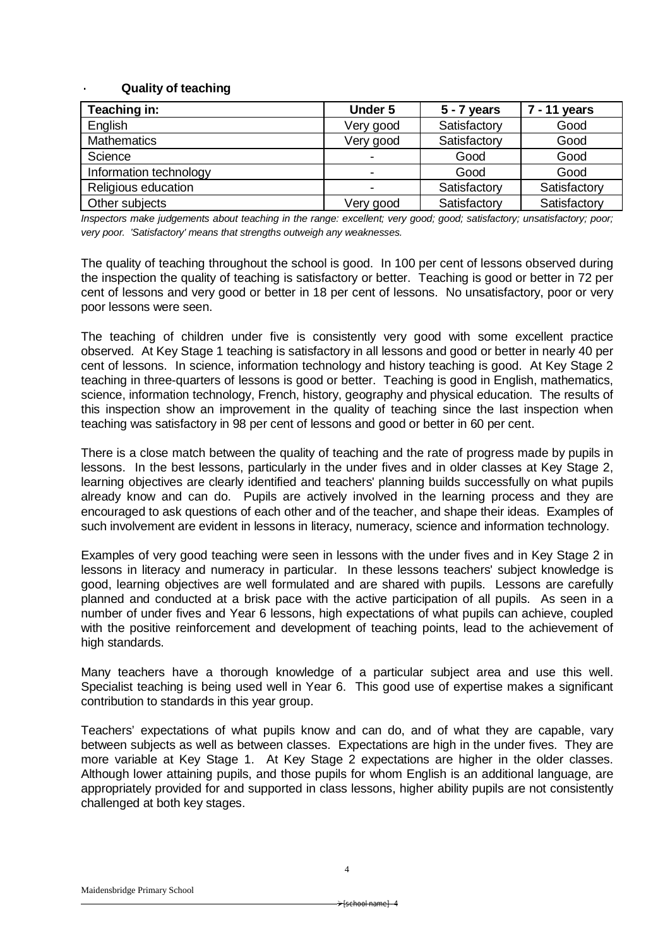#### · **Quality of teaching**

| Teaching in:           | <b>Under 5</b> | $5 - 7$ years | 7 - 11 years |
|------------------------|----------------|---------------|--------------|
| English                | Very good      | Satisfactory  | Good         |
| <b>Mathematics</b>     | Very good      | Satisfactory  | Good         |
| Science                |                | Good          | Good         |
| Information technology |                | Good          | Good         |
| Religious education    |                | Satisfactory  | Satisfactory |
| Other subjects         | Very good      | Satisfactory  | Satisfactory |

*Inspectors make judgements about teaching in the range: excellent; very good; good; satisfactory; unsatisfactory; poor; very poor. 'Satisfactory' means that strengths outweigh any weaknesses.*

The quality of teaching throughout the school is good. In 100 per cent of lessons observed during the inspection the quality of teaching is satisfactory or better. Teaching is good or better in 72 per cent of lessons and very good or better in 18 per cent of lessons. No unsatisfactory, poor or very poor lessons were seen.

The teaching of children under five is consistently very good with some excellent practice observed. At Key Stage 1 teaching is satisfactory in all lessons and good or better in nearly 40 per cent of lessons. In science, information technology and history teaching is good. At Key Stage 2 teaching in three-quarters of lessons is good or better. Teaching is good in English, mathematics, science, information technology, French, history, geography and physical education. The results of this inspection show an improvement in the quality of teaching since the last inspection when teaching was satisfactory in 98 per cent of lessons and good or better in 60 per cent.

There is a close match between the quality of teaching and the rate of progress made by pupils in lessons. In the best lessons, particularly in the under fives and in older classes at Key Stage 2, learning objectives are clearly identified and teachers' planning builds successfully on what pupils already know and can do. Pupils are actively involved in the learning process and they are encouraged to ask questions of each other and of the teacher, and shape their ideas. Examples of such involvement are evident in lessons in literacy, numeracy, science and information technology.

Examples of very good teaching were seen in lessons with the under fives and in Key Stage 2 in lessons in literacy and numeracy in particular. In these lessons teachers' subject knowledge is good, learning objectives are well formulated and are shared with pupils. Lessons are carefully planned and conducted at a brisk pace with the active participation of all pupils. As seen in a number of under fives and Year 6 lessons, high expectations of what pupils can achieve, coupled with the positive reinforcement and development of teaching points, lead to the achievement of high standards.

Many teachers have a thorough knowledge of a particular subject area and use this well. Specialist teaching is being used well in Year 6. This good use of expertise makes a significant contribution to standards in this year group.

Teachers' expectations of what pupils know and can do, and of what they are capable, vary between subjects as well as between classes. Expectations are high in the under fives. They are more variable at Key Stage 1. At Key Stage 2 expectations are higher in the older classes. Although lower attaining pupils, and those pupils for whom English is an additional language, are appropriately provided for and supported in class lessons, higher ability pupils are not consistently challenged at both key stages.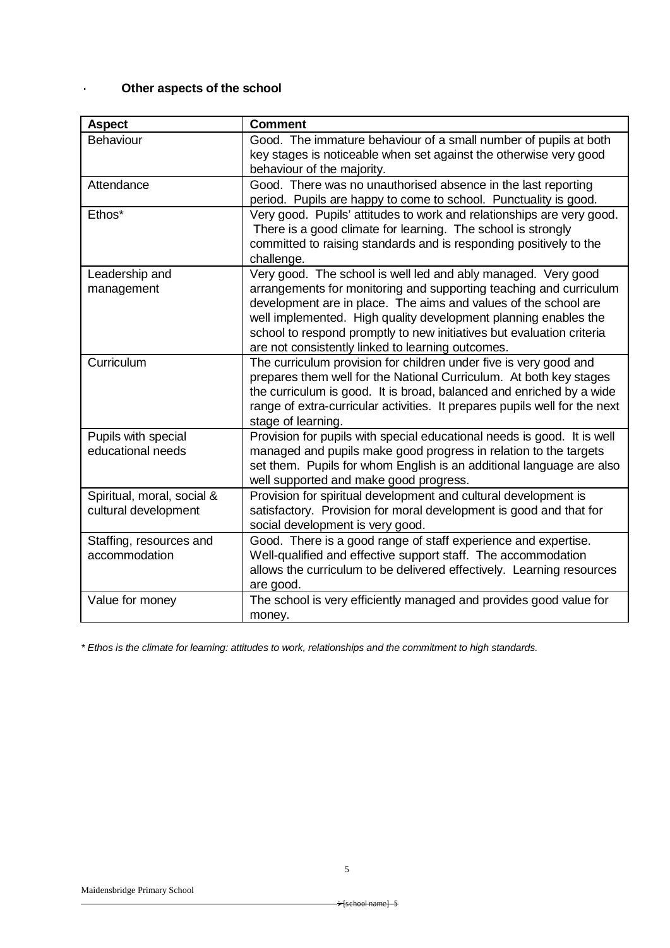# · **Other aspects of the school**

| <b>Aspect</b>                                      | <b>Comment</b>                                                                                                                                                                                                                                                                                                                                                                                          |
|----------------------------------------------------|---------------------------------------------------------------------------------------------------------------------------------------------------------------------------------------------------------------------------------------------------------------------------------------------------------------------------------------------------------------------------------------------------------|
| <b>Behaviour</b>                                   | Good. The immature behaviour of a small number of pupils at both<br>key stages is noticeable when set against the otherwise very good<br>behaviour of the majority.                                                                                                                                                                                                                                     |
|                                                    |                                                                                                                                                                                                                                                                                                                                                                                                         |
| Attendance                                         | Good. There was no unauthorised absence in the last reporting<br>period. Pupils are happy to come to school. Punctuality is good.                                                                                                                                                                                                                                                                       |
| Ethos*                                             | Very good. Pupils' attitudes to work and relationships are very good.<br>There is a good climate for learning. The school is strongly<br>committed to raising standards and is responding positively to the<br>challenge.                                                                                                                                                                               |
| Leadership and<br>management                       | Very good. The school is well led and ably managed. Very good<br>arrangements for monitoring and supporting teaching and curriculum<br>development are in place. The aims and values of the school are<br>well implemented. High quality development planning enables the<br>school to respond promptly to new initiatives but evaluation criteria<br>are not consistently linked to learning outcomes. |
| Curriculum                                         | The curriculum provision for children under five is very good and<br>prepares them well for the National Curriculum. At both key stages<br>the curriculum is good. It is broad, balanced and enriched by a wide<br>range of extra-curricular activities. It prepares pupils well for the next<br>stage of learning.                                                                                     |
| Pupils with special<br>educational needs           | Provision for pupils with special educational needs is good. It is well<br>managed and pupils make good progress in relation to the targets<br>set them. Pupils for whom English is an additional language are also<br>well supported and make good progress.                                                                                                                                           |
| Spiritual, moral, social &<br>cultural development | Provision for spiritual development and cultural development is<br>satisfactory. Provision for moral development is good and that for<br>social development is very good.                                                                                                                                                                                                                               |
| Staffing, resources and<br>accommodation           | Good. There is a good range of staff experience and expertise.<br>Well-qualified and effective support staff. The accommodation<br>allows the curriculum to be delivered effectively. Learning resources<br>are good.                                                                                                                                                                                   |
| Value for money                                    | The school is very efficiently managed and provides good value for<br>money.                                                                                                                                                                                                                                                                                                                            |

*\* Ethos is the climate for learning: attitudes to work, relationships and the commitment to high standards.*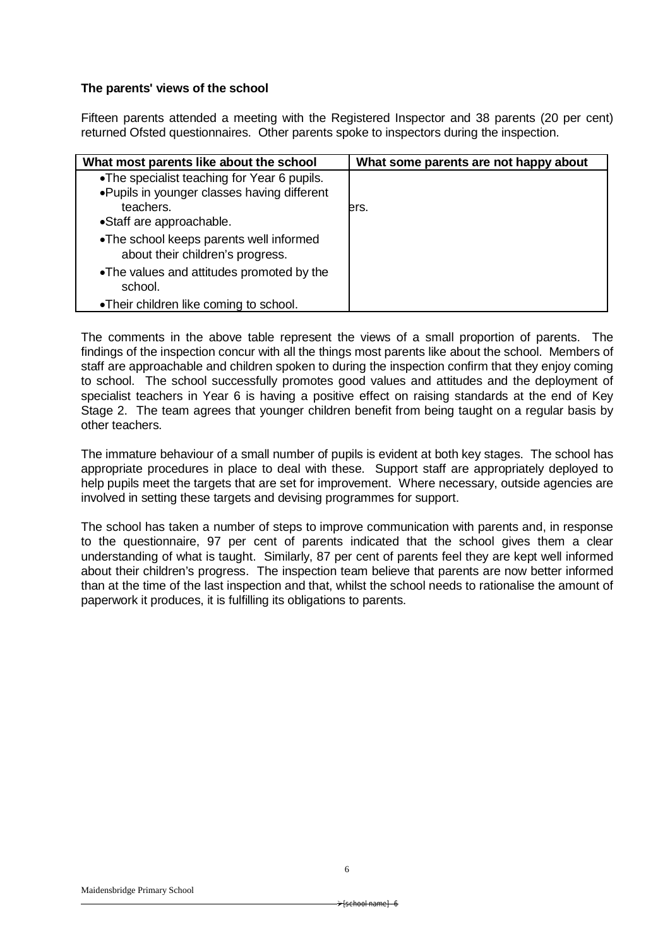## **The parents' views of the school**

Fifteen parents attended a meeting with the Registered Inspector and 38 parents (20 per cent) returned Ofsted questionnaires. Other parents spoke to inspectors during the inspection.

| What most parents like about the school                                                                                              | What some parents are not happy about |
|--------------------------------------------------------------------------------------------------------------------------------------|---------------------------------------|
| •The specialist teaching for Year 6 pupils.<br>. Pupils in younger classes having different<br>teachers.<br>•Staff are approachable. | ers.                                  |
| •The school keeps parents well informed<br>about their children's progress.                                                          |                                       |
| •The values and attitudes promoted by the<br>school.                                                                                 |                                       |
| •Their children like coming to school.                                                                                               |                                       |

The comments in the above table represent the views of a small proportion of parents. The findings of the inspection concur with all the things most parents like about the school. Members of staff are approachable and children spoken to during the inspection confirm that they enjoy coming to school. The school successfully promotes good values and attitudes and the deployment of specialist teachers in Year 6 is having a positive effect on raising standards at the end of Key Stage 2. The team agrees that younger children benefit from being taught on a regular basis by other teachers.

The immature behaviour of a small number of pupils is evident at both key stages. The school has appropriate procedures in place to deal with these. Support staff are appropriately deployed to help pupils meet the targets that are set for improvement. Where necessary, outside agencies are involved in setting these targets and devising programmes for support.

The school has taken a number of steps to improve communication with parents and, in response to the questionnaire, 97 per cent of parents indicated that the school gives them a clear understanding of what is taught. Similarly, 87 per cent of parents feel they are kept well informed about their children's progress. The inspection team believe that parents are now better informed than at the time of the last inspection and that, whilst the school needs to rationalise the amount of paperwork it produces, it is fulfilling its obligations to parents.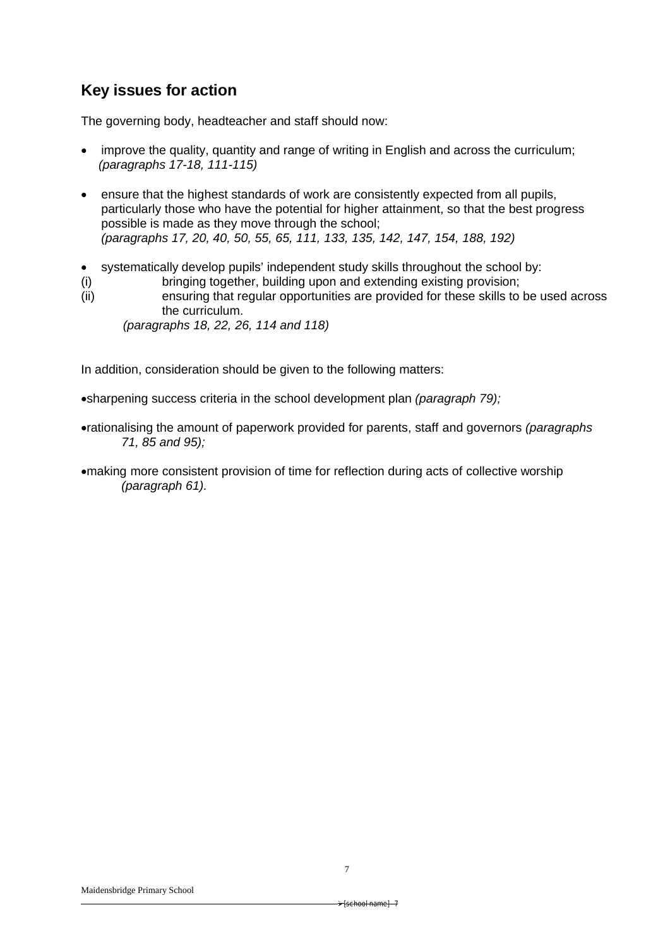# **Key issues for action**

The governing body, headteacher and staff should now:

- improve the quality, quantity and range of writing in English and across the curriculum; *(paragraphs 17-18, 111-115)*
- ensure that the highest standards of work are consistently expected from all pupils, particularly those who have the potential for higher attainment, so that the best progress possible is made as they move through the school; *(paragraphs 17, 20, 40, 50, 55, 65, 111, 133, 135, 142, 147, 154, 188, 192)*
- systematically develop pupils' independent study skills throughout the school by:
- (i) bringing together, building upon and extending existing provision;
- (ii) ensuring that regular opportunities are provided for these skills to be used across the curriculum.

 *(paragraphs 18, 22, 26, 114 and 118)*

In addition, consideration should be given to the following matters:

sharpening success criteria in the school development plan *(paragraph 79);*

- rationalising the amount of paperwork provided for parents, staff and governors *(paragraphs 71, 85 and 95);*
- making more consistent provision of time for reflection during acts of collective worship *(paragraph 61).*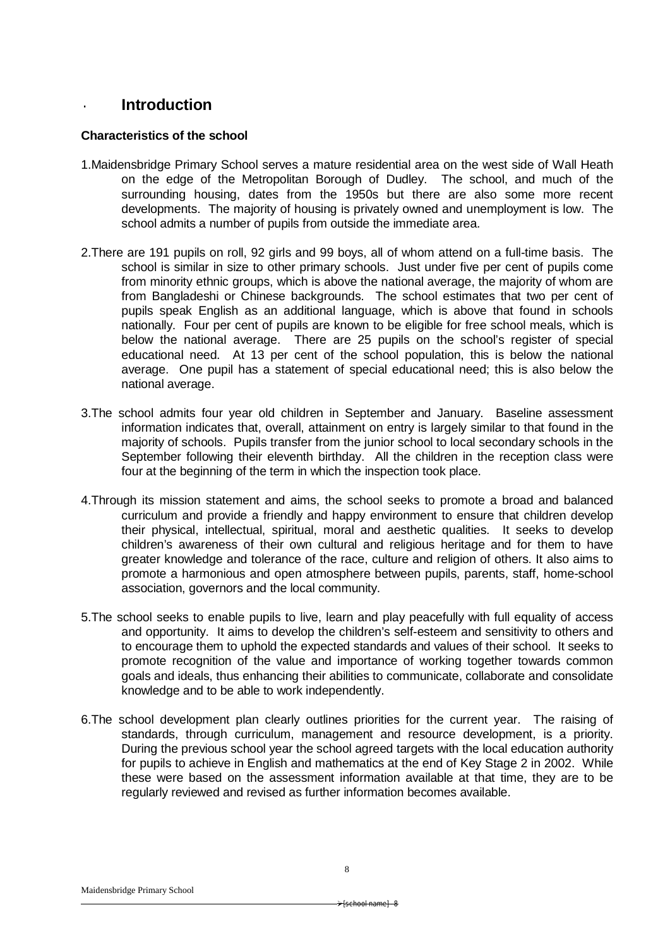# · **Introduction**

## **Characteristics of the school**

- 1.Maidensbridge Primary School serves a mature residential area on the west side of Wall Heath on the edge of the Metropolitan Borough of Dudley. The school, and much of the surrounding housing, dates from the 1950s but there are also some more recent developments. The majority of housing is privately owned and unemployment is low. The school admits a number of pupils from outside the immediate area.
- 2.There are 191 pupils on roll, 92 girls and 99 boys, all of whom attend on a full-time basis. The school is similar in size to other primary schools. Just under five per cent of pupils come from minority ethnic groups, which is above the national average, the majority of whom are from Bangladeshi or Chinese backgrounds. The school estimates that two per cent of pupils speak English as an additional language, which is above that found in schools nationally. Four per cent of pupils are known to be eligible for free school meals, which is below the national average. There are 25 pupils on the school's register of special educational need. At 13 per cent of the school population, this is below the national average. One pupil has a statement of special educational need; this is also below the national average.
- 3.The school admits four year old children in September and January. Baseline assessment information indicates that, overall, attainment on entry is largely similar to that found in the majority of schools. Pupils transfer from the junior school to local secondary schools in the September following their eleventh birthday. All the children in the reception class were four at the beginning of the term in which the inspection took place.
- 4.Through its mission statement and aims, the school seeks to promote a broad and balanced curriculum and provide a friendly and happy environment to ensure that children develop their physical, intellectual, spiritual, moral and aesthetic qualities. It seeks to develop children's awareness of their own cultural and religious heritage and for them to have greater knowledge and tolerance of the race, culture and religion of others. It also aims to promote a harmonious and open atmosphere between pupils, parents, staff, home-school association, governors and the local community.
- 5.The school seeks to enable pupils to live, learn and play peacefully with full equality of access and opportunity. It aims to develop the children's self-esteem and sensitivity to others and to encourage them to uphold the expected standards and values of their school. It seeks to promote recognition of the value and importance of working together towards common goals and ideals, thus enhancing their abilities to communicate, collaborate and consolidate knowledge and to be able to work independently.
- 6.The school development plan clearly outlines priorities for the current year. The raising of standards, through curriculum, management and resource development, is a priority. During the previous school year the school agreed targets with the local education authority for pupils to achieve in English and mathematics at the end of Key Stage 2 in 2002. While these were based on the assessment information available at that time, they are to be regularly reviewed and revised as further information becomes available.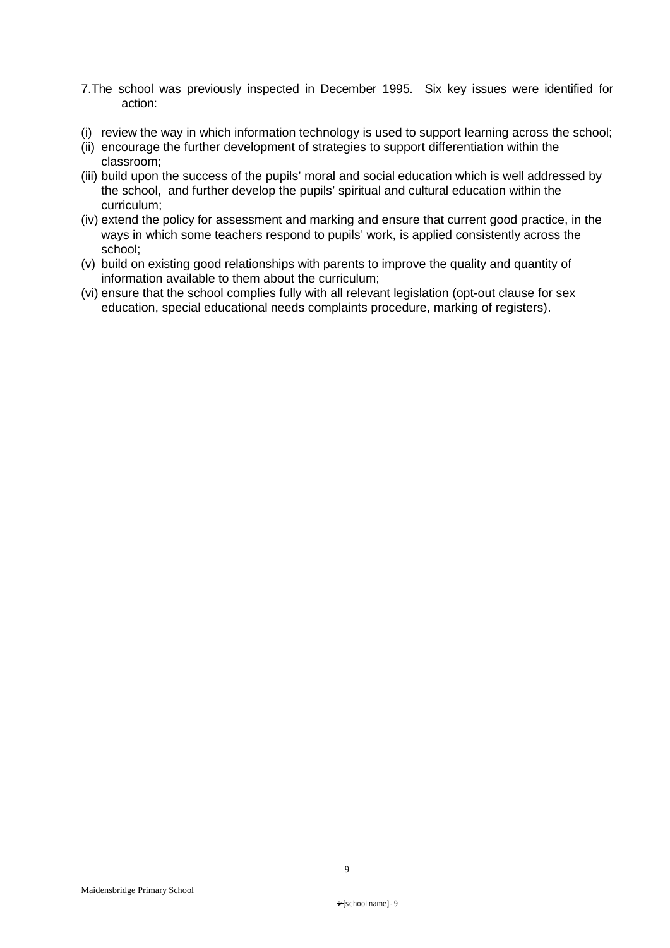- 7.The school was previously inspected in December 1995. Six key issues were identified for action:
- (i) review the way in which information technology is used to support learning across the school;
- (ii) encourage the further development of strategies to support differentiation within the classroom;
- (iii) build upon the success of the pupils' moral and social education which is well addressed by the school, and further develop the pupils' spiritual and cultural education within the curriculum;
- (iv) extend the policy for assessment and marking and ensure that current good practice, in the ways in which some teachers respond to pupils' work, is applied consistently across the school;
- (v) build on existing good relationships with parents to improve the quality and quantity of information available to them about the curriculum;
- (vi) ensure that the school complies fully with all relevant legislation (opt-out clause for sex education, special educational needs complaints procedure, marking of registers).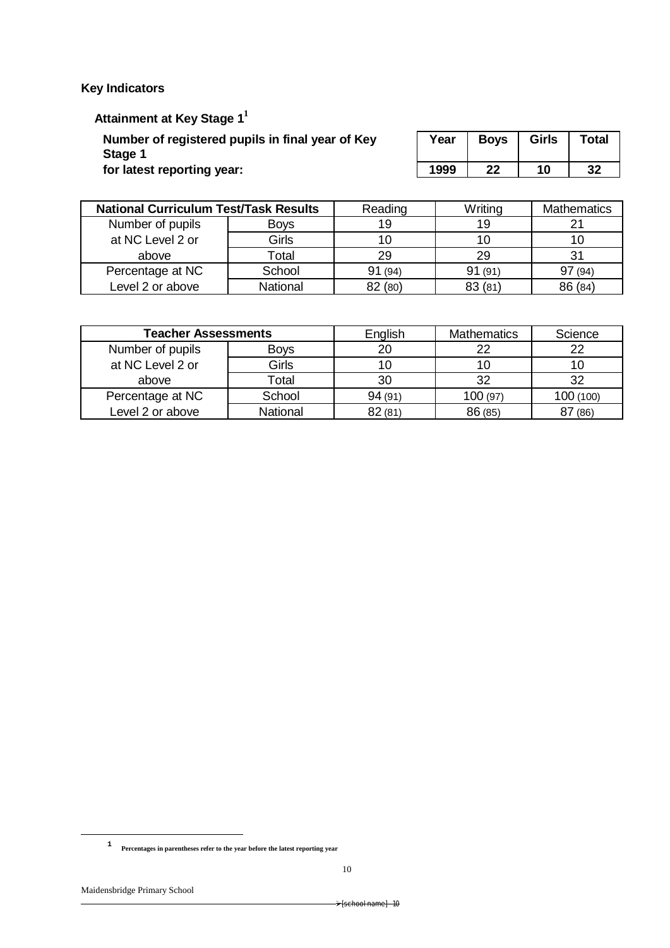**Key Indicators**

 **Attainment at Key Stage 1<sup>1</sup>**

**Number of registered pupils in final year of Key Stage 1**

**for latest reporting year:** 

| Year | <b>Boys</b> | <b>Girls</b> | <b>Total</b> |
|------|-------------|--------------|--------------|
| 1999 | 22          | 10           | 32           |

| <b>National Curriculum Test/Task Results</b> |             | Reading | Writing | <b>Mathematics</b> |
|----------------------------------------------|-------------|---------|---------|--------------------|
| Number of pupils                             | <b>Bovs</b> | 19      | 19      |                    |
| at NC Level 2 or                             | Girls       |         |         | 10                 |
| above                                        | Гоtal       | 29      | 29      | 31                 |
| Percentage at NC                             | School      | 91(94)  | 91(91)  | (94)               |
| Level 2 or above                             | National    | 82 (80) | 83 (81  | 86 (84)            |

| <b>Teacher Assessments</b> |             | English | <b>Mathematics</b> | Science   |
|----------------------------|-------------|---------|--------------------|-----------|
| Number of pupils           | <b>Boys</b> | 20      | つつ                 | 22        |
| at NC Level 2 or           | Girls       |         |                    | 10        |
| above                      | Total       | 30      | 32                 | 32        |
| Percentage at NC           | School      | 94(91)  | 100(97)            | 100 (100) |
| Level 2 or above           | National    | 82(81)  | 86 (85)            | (86)      |

1

**<sup>1</sup> Percentages in parentheses refer to the year before the latest reporting year**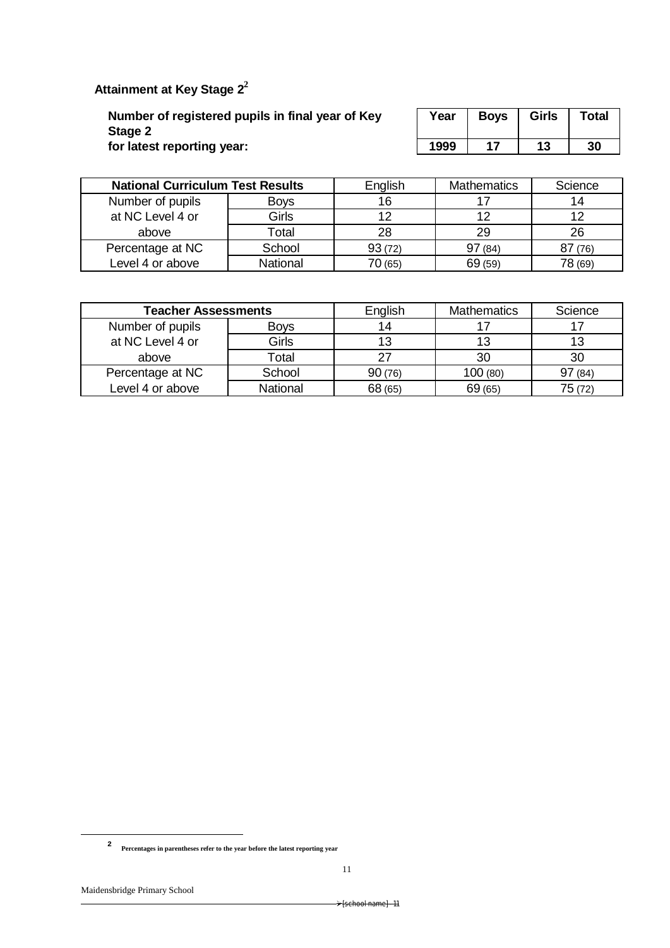# **Attainment at Key Stage 2<sup>2</sup>**

**Number of registered pupils in final year of Key Stage 2 for latest reporting year:** 

| Year | <b>Boys</b> | Girls | <b>Total</b> |
|------|-------------|-------|--------------|
| 1999 |             | 13    | 30           |

| <b>National Curriculum Test Results</b> |                  | English | <b>Mathematics</b> | Science |
|-----------------------------------------|------------------|---------|--------------------|---------|
| Number of pupils                        | <b>Boys</b>      | 16      |                    | 14      |
| at NC Level 4 or                        | Girls            | 12      |                    | 12      |
| above                                   | $\mathsf{Total}$ | 28      | 29                 | 26      |
| Percentage at NC                        | School           | 93(72)  | 97(84)             | 87(76)  |
| Level 4 or above                        | National         | 70 (65) | 69 (59)            | 78 (69) |

| <b>Teacher Assessments</b>      |          | English | <b>Mathematics</b> | Science |
|---------------------------------|----------|---------|--------------------|---------|
| Number of pupils<br><b>Boys</b> |          | 14      |                    |         |
| at NC Level 4 or                | Girls    | 13      |                    | 13      |
| above                           | Total    |         | 30                 | 30      |
| Percentage at NC                | School   | 90(76)  | 100(80)            | 97(84)  |
| Level 4 or above                | National | 68 (65) | 69(65)             | 75 (72) |

1

**<sup>2</sup> Percentages in parentheses refer to the year before the latest reporting year**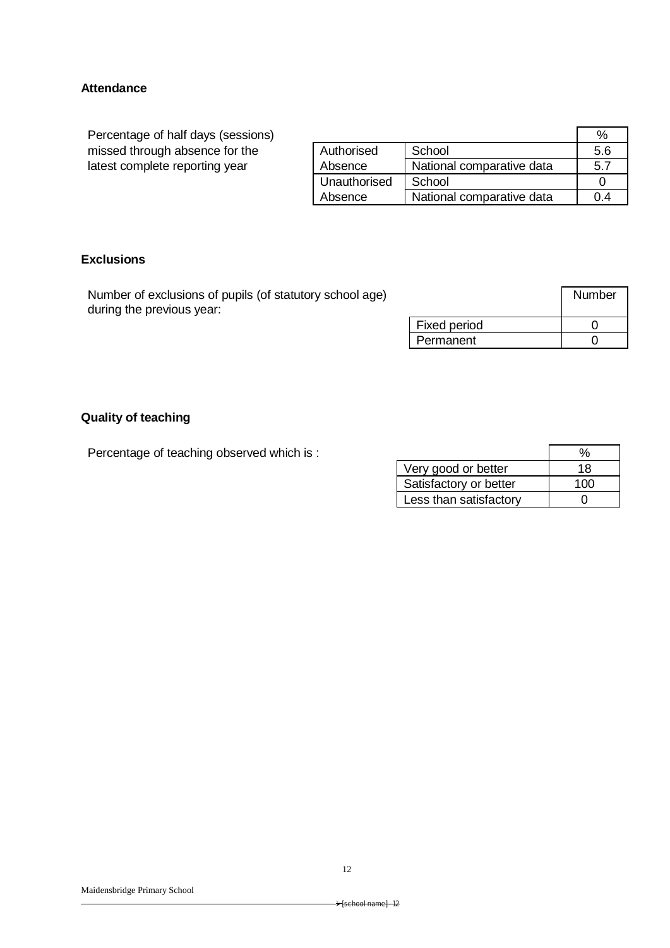## **Attendance**

Percentage of half days (sessions) missed through absence for the latest complete reporting year

|              |                           | %   |
|--------------|---------------------------|-----|
| Authorised   | School                    | 5.6 |
| Absence      | National comparative data | 57  |
| Unauthorised | School                    |     |
| Absence      | National comparative data |     |

## **Exclusions**

Number of exclusions of pupils (of statutory school age) during the previous year:

|                     | Number |
|---------------------|--------|
| <b>Fixed period</b> |        |
| Permanent           |        |

## **Quality of teaching**

Percentage of teaching observed which is :

| Very good or better    | 18  |
|------------------------|-----|
| Satisfactory or better | 100 |
| Less than satisfactory |     |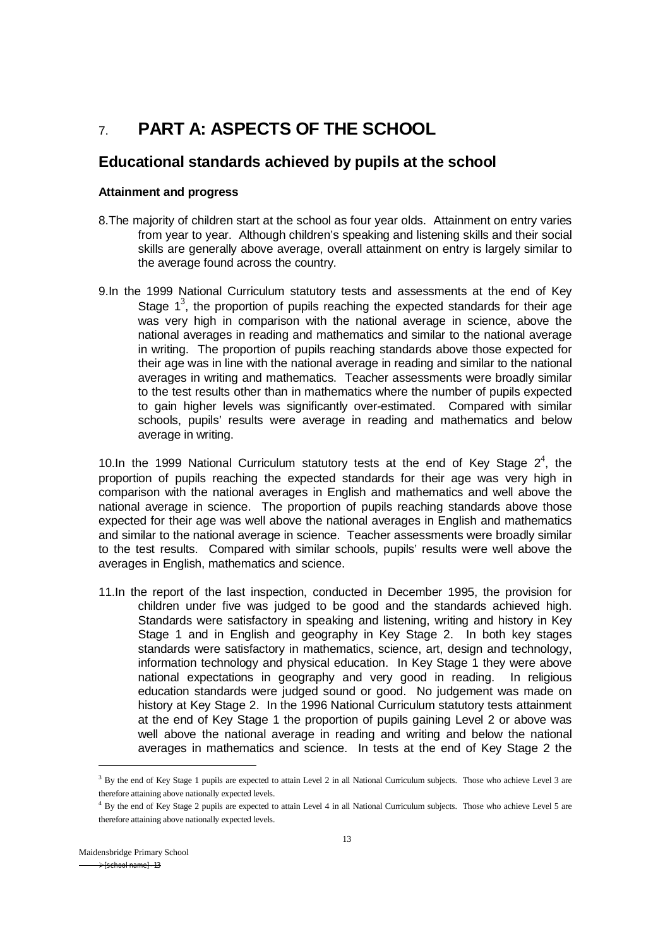# 7. **PART A: ASPECTS OF THE SCHOOL**

# **Educational standards achieved by pupils at the school**

## **Attainment and progress**

- 8.The majority of children start at the school as four year olds. Attainment on entry varies from year to year. Although children's speaking and listening skills and their social skills are generally above average, overall attainment on entry is largely similar to the average found across the country.
- 9.In the 1999 National Curriculum statutory tests and assessments at the end of Key Stage  $1^3$ , the proportion of pupils reaching the expected standards for their age was very high in comparison with the national average in science, above the national averages in reading and mathematics and similar to the national average in writing. The proportion of pupils reaching standards above those expected for their age was in line with the national average in reading and similar to the national averages in writing and mathematics. Teacher assessments were broadly similar to the test results other than in mathematics where the number of pupils expected to gain higher levels was significantly over-estimated. Compared with similar schools, pupils' results were average in reading and mathematics and below average in writing.

10. In the 1999 National Curriculum statutory tests at the end of Key Stage  $2^4$ , the proportion of pupils reaching the expected standards for their age was very high in comparison with the national averages in English and mathematics and well above the national average in science. The proportion of pupils reaching standards above those expected for their age was well above the national averages in English and mathematics and similar to the national average in science. Teacher assessments were broadly similar to the test results. Compared with similar schools, pupils' results were well above the averages in English, mathematics and science.

11.In the report of the last inspection, conducted in December 1995, the provision for children under five was judged to be good and the standards achieved high. Standards were satisfactory in speaking and listening, writing and history in Key Stage 1 and in English and geography in Key Stage 2. In both key stages standards were satisfactory in mathematics, science, art, design and technology, information technology and physical education. In Key Stage 1 they were above national expectations in geography and very good in reading. In religious education standards were judged sound or good. No judgement was made on history at Key Stage 2. In the 1996 National Curriculum statutory tests attainment at the end of Key Stage 1 the proportion of pupils gaining Level 2 or above was well above the national average in reading and writing and below the national averages in mathematics and science. In tests at the end of Key Stage 2 the

1

<sup>&</sup>lt;sup>3</sup> By the end of Key Stage 1 pupils are expected to attain Level 2 in all National Curriculum subjects. Those who achieve Level 3 are therefore attaining above nationally expected levels.

<sup>&</sup>lt;sup>4</sup> By the end of Key Stage 2 pupils are expected to attain Level 4 in all National Curriculum subjects. Those who achieve Level 5 are therefore attaining above nationally expected levels.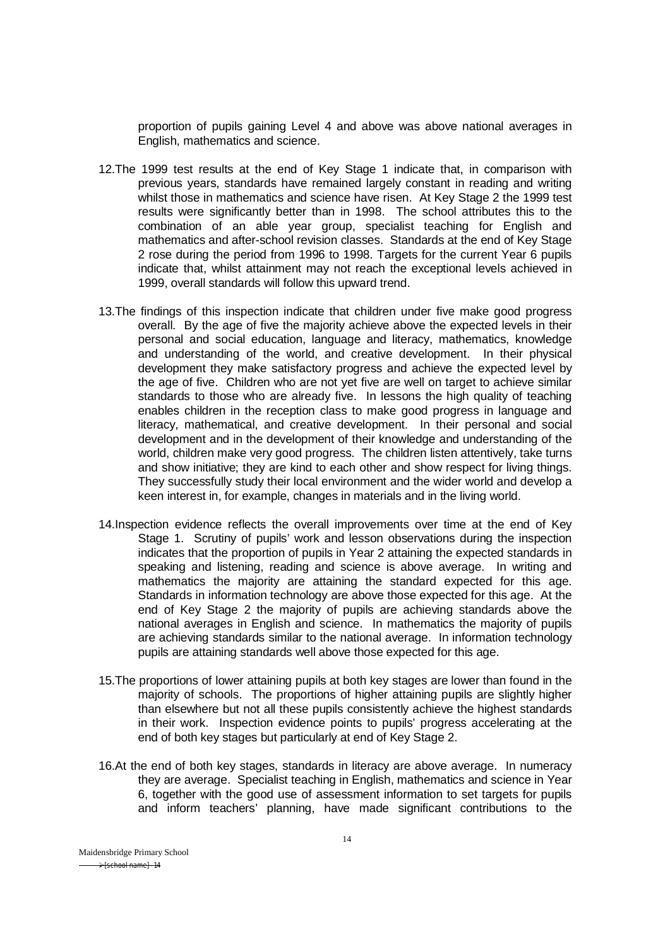proportion of pupils gaining Level 4 and above was above national averages in English, mathematics and science.

- 12.The 1999 test results at the end of Key Stage 1 indicate that, in comparison with previous years, standards have remained largely constant in reading and writing whilst those in mathematics and science have risen. At Key Stage 2 the 1999 test results were significantly better than in 1998. The school attributes this to the combination of an able year group, specialist teaching for English and mathematics and after-school revision classes. Standards at the end of Key Stage 2 rose during the period from 1996 to 1998. Targets for the current Year 6 pupils indicate that, whilst attainment may not reach the exceptional levels achieved in 1999, overall standards will follow this upward trend.
- 13.The findings of this inspection indicate that children under five make good progress overall. By the age of five the majority achieve above the expected levels in their personal and social education, language and literacy, mathematics, knowledge and understanding of the world, and creative development. In their physical development they make satisfactory progress and achieve the expected level by the age of five. Children who are not yet five are well on target to achieve similar standards to those who are already five. In lessons the high quality of teaching enables children in the reception class to make good progress in language and literacy, mathematical, and creative development. In their personal and social development and in the development of their knowledge and understanding of the world, children make very good progress. The children listen attentively, take turns and show initiative; they are kind to each other and show respect for living things. They successfully study their local environment and the wider world and develop a keen interest in, for example, changes in materials and in the living world.
- 14.Inspection evidence reflects the overall improvements over time at the end of Key Stage 1. Scrutiny of pupils' work and lesson observations during the inspection indicates that the proportion of pupils in Year 2 attaining the expected standards in speaking and listening, reading and science is above average. In writing and mathematics the majority are attaining the standard expected for this age. Standards in information technology are above those expected for this age. At the end of Key Stage 2 the majority of pupils are achieving standards above the national averages in English and science. In mathematics the majority of pupils are achieving standards similar to the national average. In information technology pupils are attaining standards well above those expected for this age.
- 15.The proportions of lower attaining pupils at both key stages are lower than found in the majority of schools. The proportions of higher attaining pupils are slightly higher than elsewhere but not all these pupils consistently achieve the highest standards in their work. Inspection evidence points to pupils' progress accelerating at the end of both key stages but particularly at end of Key Stage 2.
- 16.At the end of both key stages, standards in literacy are above average. In numeracy they are average. Specialist teaching in English, mathematics and science in Year 6, together with the good use of assessment information to set targets for pupils and inform teachers' planning, have made significant contributions to the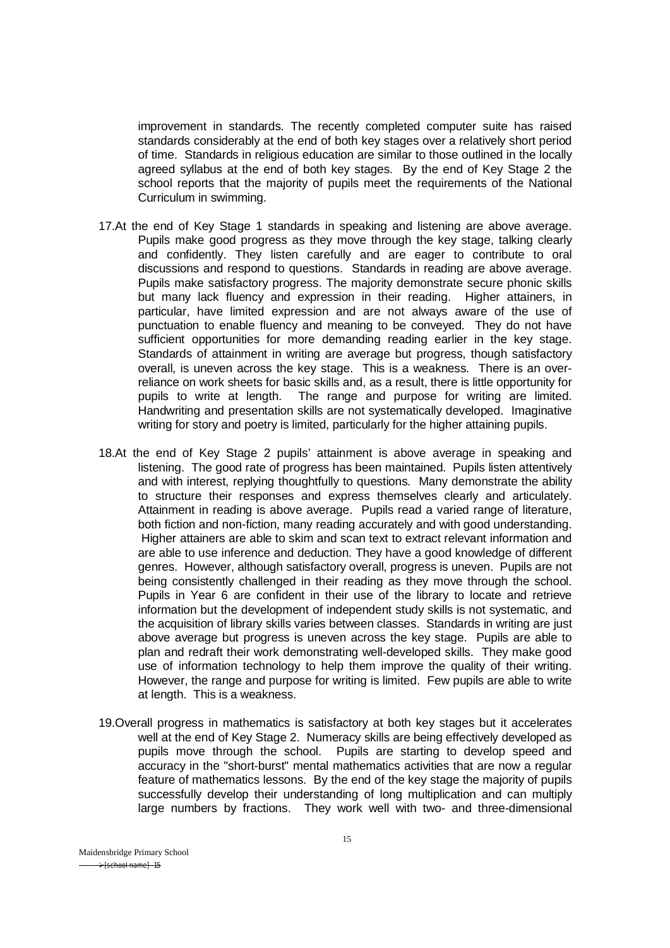improvement in standards. The recently completed computer suite has raised standards considerably at the end of both key stages over a relatively short period of time. Standards in religious education are similar to those outlined in the locally agreed syllabus at the end of both key stages. By the end of Key Stage 2 the school reports that the majority of pupils meet the requirements of the National Curriculum in swimming.

- 17.At the end of Key Stage 1 standards in speaking and listening are above average. Pupils make good progress as they move through the key stage, talking clearly and confidently. They listen carefully and are eager to contribute to oral discussions and respond to questions. Standards in reading are above average. Pupils make satisfactory progress. The majority demonstrate secure phonic skills but many lack fluency and expression in their reading. Higher attainers, in particular, have limited expression and are not always aware of the use of punctuation to enable fluency and meaning to be conveyed. They do not have sufficient opportunities for more demanding reading earlier in the key stage. Standards of attainment in writing are average but progress, though satisfactory overall, is uneven across the key stage. This is a weakness. There is an overreliance on work sheets for basic skills and, as a result, there is little opportunity for pupils to write at length. The range and purpose for writing are limited. Handwriting and presentation skills are not systematically developed. Imaginative writing for story and poetry is limited, particularly for the higher attaining pupils.
- 18.At the end of Key Stage 2 pupils' attainment is above average in speaking and listening. The good rate of progress has been maintained. Pupils listen attentively and with interest, replying thoughtfully to questions. Many demonstrate the ability to structure their responses and express themselves clearly and articulately. Attainment in reading is above average. Pupils read a varied range of literature, both fiction and non-fiction, many reading accurately and with good understanding. Higher attainers are able to skim and scan text to extract relevant information and are able to use inference and deduction. They have a good knowledge of different genres. However, although satisfactory overall, progress is uneven. Pupils are not being consistently challenged in their reading as they move through the school. Pupils in Year 6 are confident in their use of the library to locate and retrieve information but the development of independent study skills is not systematic, and the acquisition of library skills varies between classes. Standards in writing are just above average but progress is uneven across the key stage. Pupils are able to plan and redraft their work demonstrating well-developed skills. They make good use of information technology to help them improve the quality of their writing. However, the range and purpose for writing is limited. Few pupils are able to write at length. This is a weakness.
- 19.Overall progress in mathematics is satisfactory at both key stages but it accelerates well at the end of Key Stage 2. Numeracy skills are being effectively developed as pupils move through the school. Pupils are starting to develop speed and accuracy in the "short-burst" mental mathematics activities that are now a regular feature of mathematics lessons. By the end of the key stage the majority of pupils successfully develop their understanding of long multiplication and can multiply large numbers by fractions. They work well with two- and three-dimensional

Maidensbridge Primary School  $\rightarrow$ fschool namel -15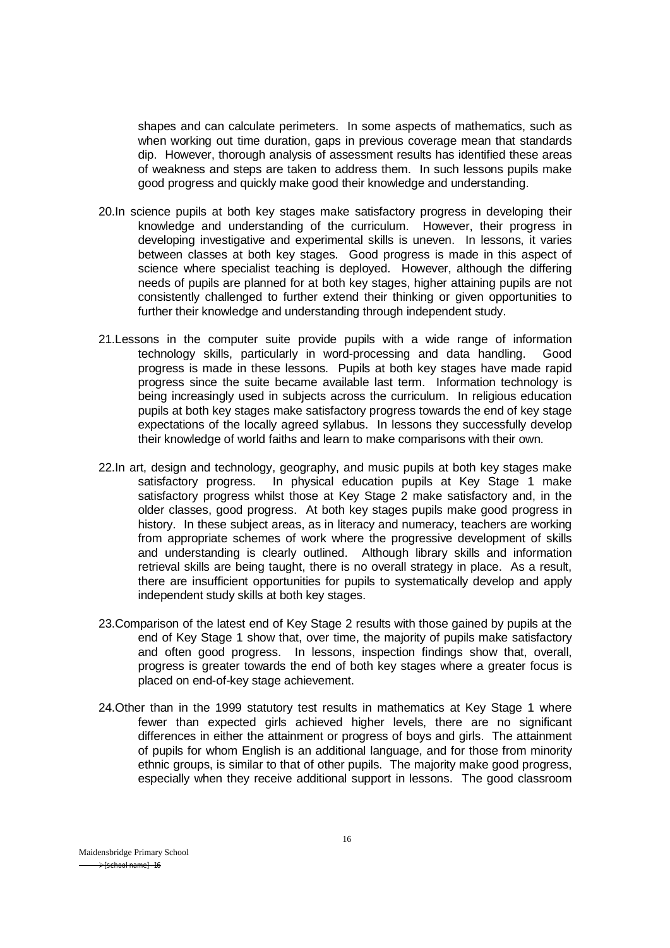shapes and can calculate perimeters. In some aspects of mathematics, such as when working out time duration, gaps in previous coverage mean that standards dip. However, thorough analysis of assessment results has identified these areas of weakness and steps are taken to address them. In such lessons pupils make good progress and quickly make good their knowledge and understanding.

- 20.In science pupils at both key stages make satisfactory progress in developing their knowledge and understanding of the curriculum. However, their progress in developing investigative and experimental skills is uneven. In lessons, it varies between classes at both key stages. Good progress is made in this aspect of science where specialist teaching is deployed. However, although the differing needs of pupils are planned for at both key stages, higher attaining pupils are not consistently challenged to further extend their thinking or given opportunities to further their knowledge and understanding through independent study.
- 21.Lessons in the computer suite provide pupils with a wide range of information technology skills, particularly in word-processing and data handling. Good progress is made in these lessons. Pupils at both key stages have made rapid progress since the suite became available last term. Information technology is being increasingly used in subjects across the curriculum. In religious education pupils at both key stages make satisfactory progress towards the end of key stage expectations of the locally agreed syllabus. In lessons they successfully develop their knowledge of world faiths and learn to make comparisons with their own.
- 22.In art, design and technology, geography, and music pupils at both key stages make satisfactory progress. In physical education pupils at Key Stage 1 make satisfactory progress whilst those at Key Stage 2 make satisfactory and, in the older classes, good progress. At both key stages pupils make good progress in history. In these subject areas, as in literacy and numeracy, teachers are working from appropriate schemes of work where the progressive development of skills and understanding is clearly outlined. Although library skills and information retrieval skills are being taught, there is no overall strategy in place. As a result, there are insufficient opportunities for pupils to systematically develop and apply independent study skills at both key stages.
- 23.Comparison of the latest end of Key Stage 2 results with those gained by pupils at the end of Key Stage 1 show that, over time, the majority of pupils make satisfactory and often good progress. In lessons, inspection findings show that, overall, progress is greater towards the end of both key stages where a greater focus is placed on end-of-key stage achievement.
- 24.Other than in the 1999 statutory test results in mathematics at Key Stage 1 where fewer than expected girls achieved higher levels, there are no significant differences in either the attainment or progress of boys and girls. The attainment of pupils for whom English is an additional language, and for those from minority ethnic groups, is similar to that of other pupils. The majority make good progress, especially when they receive additional support in lessons. The good classroom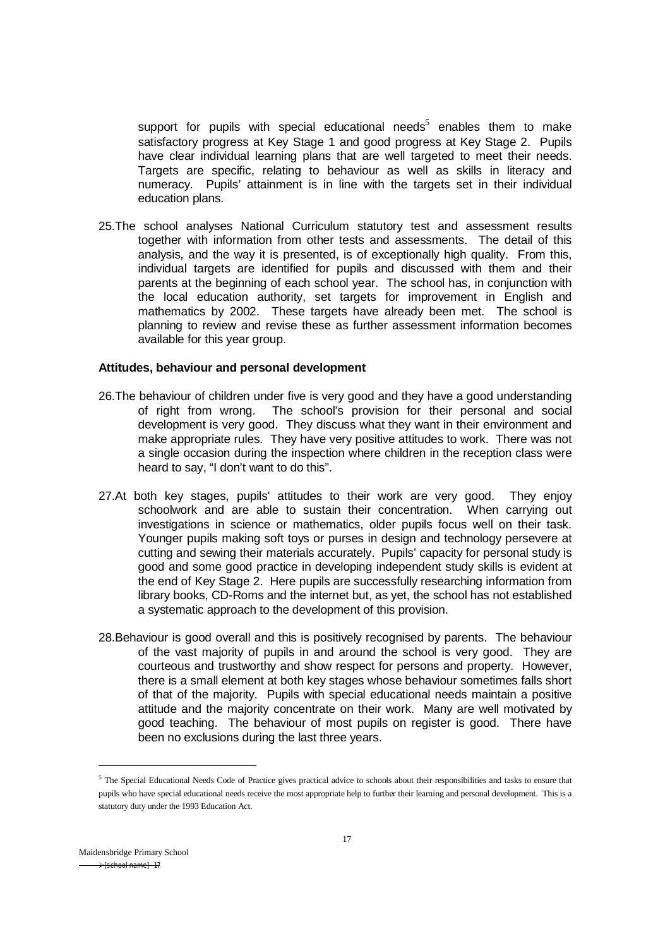support for pupils with special educational needs<sup>5</sup> enables them to make satisfactory progress at Key Stage 1 and good progress at Key Stage 2. Pupils have clear individual learning plans that are well targeted to meet their needs. Targets are specific, relating to behaviour as well as skills in literacy and numeracy. Pupils' attainment is in line with the targets set in their individual education plans.

25.The school analyses National Curriculum statutory test and assessment results together with information from other tests and assessments. The detail of this analysis, and the way it is presented, is of exceptionally high quality. From this, individual targets are identified for pupils and discussed with them and their parents at the beginning of each school year. The school has, in conjunction with the local education authority, set targets for improvement in English and mathematics by 2002. These targets have already been met. The school is planning to review and revise these as further assessment information becomes available for this year group.

#### **Attitudes, behaviour and personal development**

- 26.The behaviour of children under five is very good and they have a good understanding of right from wrong. The school's provision for their personal and social development is very good. They discuss what they want in their environment and make appropriate rules. They have very positive attitudes to work. There was not a single occasion during the inspection where children in the reception class were heard to say, "I don't want to do this".
- 27.At both key stages, pupils' attitudes to their work are very good. They enjoy schoolwork and are able to sustain their concentration. When carrying out investigations in science or mathematics, older pupils focus well on their task. Younger pupils making soft toys or purses in design and technology persevere at cutting and sewing their materials accurately. Pupils' capacity for personal study is good and some good practice in developing independent study skills is evident at the end of Key Stage 2. Here pupils are successfully researching information from library books, CD-Roms and the internet but, as yet, the school has not established a systematic approach to the development of this provision.
- 28.Behaviour is good overall and this is positively recognised by parents. The behaviour of the vast majority of pupils in and around the school is very good. They are courteous and trustworthy and show respect for persons and property. However, there is a small element at both key stages whose behaviour sometimes falls short of that of the majority. Pupils with special educational needs maintain a positive attitude and the majority concentrate on their work. Many are well motivated by good teaching. The behaviour of most pupils on register is good. There have been no exclusions during the last three years.

1

<sup>&</sup>lt;sup>5</sup> The Special Educational Needs Code of Practice gives practical advice to schools about their responsibilities and tasks to ensure that pupils who have special educational needs receive the most appropriate help to further their learning and personal development. This is a statutory duty under the 1993 Education Act.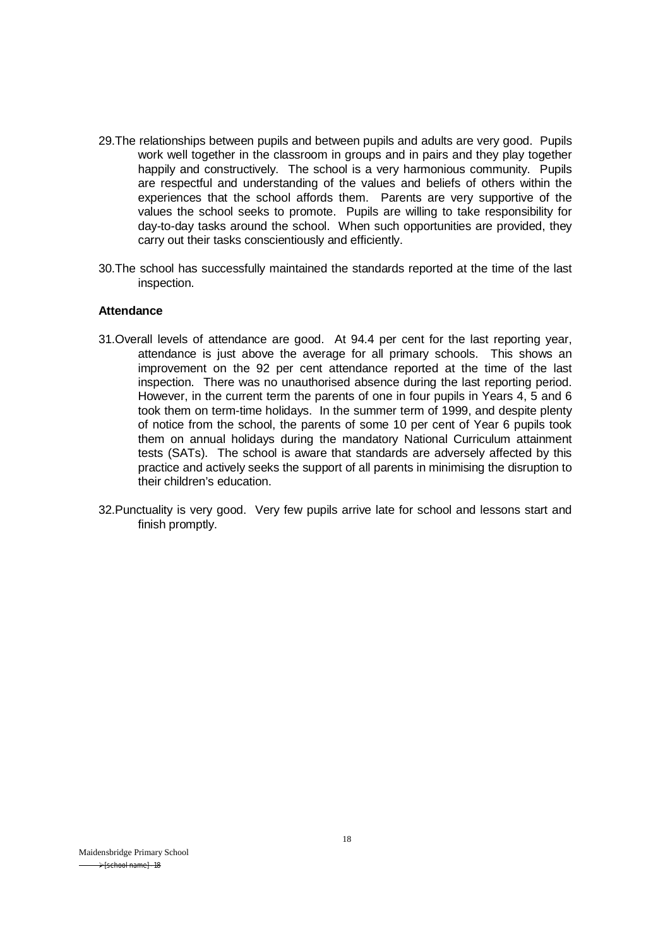- 29.The relationships between pupils and between pupils and adults are very good. Pupils work well together in the classroom in groups and in pairs and they play together happily and constructively. The school is a very harmonious community. Pupils are respectful and understanding of the values and beliefs of others within the experiences that the school affords them. Parents are very supportive of the values the school seeks to promote. Pupils are willing to take responsibility for day-to-day tasks around the school. When such opportunities are provided, they carry out their tasks conscientiously and efficiently.
- 30.The school has successfully maintained the standards reported at the time of the last inspection.

#### **Attendance**

- 31.Overall levels of attendance are good. At 94.4 per cent for the last reporting year, attendance is just above the average for all primary schools. This shows an improvement on the 92 per cent attendance reported at the time of the last inspection. There was no unauthorised absence during the last reporting period. However, in the current term the parents of one in four pupils in Years 4, 5 and 6 took them on term-time holidays. In the summer term of 1999, and despite plenty of notice from the school, the parents of some 10 per cent of Year 6 pupils took them on annual holidays during the mandatory National Curriculum attainment tests (SATs). The school is aware that standards are adversely affected by this practice and actively seeks the support of all parents in minimising the disruption to their children's education.
- 32.Punctuality is very good. Very few pupils arrive late for school and lessons start and finish promptly.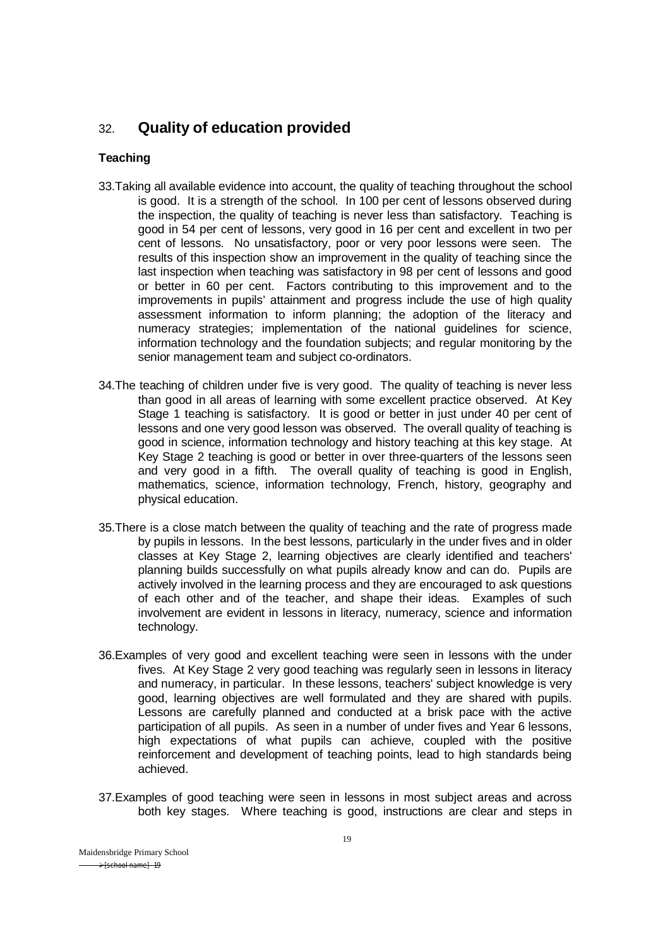# 32. **Quality of education provided**

## **Teaching**

- 33.Taking all available evidence into account, the quality of teaching throughout the school is good. It is a strength of the school. In 100 per cent of lessons observed during the inspection, the quality of teaching is never less than satisfactory. Teaching is good in 54 per cent of lessons, very good in 16 per cent and excellent in two per cent of lessons. No unsatisfactory, poor or very poor lessons were seen. The results of this inspection show an improvement in the quality of teaching since the last inspection when teaching was satisfactory in 98 per cent of lessons and good or better in 60 per cent. Factors contributing to this improvement and to the improvements in pupils' attainment and progress include the use of high quality assessment information to inform planning; the adoption of the literacy and numeracy strategies; implementation of the national guidelines for science, information technology and the foundation subjects; and regular monitoring by the senior management team and subject co-ordinators.
- 34.The teaching of children under five is very good. The quality of teaching is never less than good in all areas of learning with some excellent practice observed. At Key Stage 1 teaching is satisfactory. It is good or better in just under 40 per cent of lessons and one very good lesson was observed. The overall quality of teaching is good in science, information technology and history teaching at this key stage. At Key Stage 2 teaching is good or better in over three-quarters of the lessons seen and very good in a fifth. The overall quality of teaching is good in English, mathematics, science, information technology, French, history, geography and physical education.
- 35.There is a close match between the quality of teaching and the rate of progress made by pupils in lessons. In the best lessons, particularly in the under fives and in older classes at Key Stage 2, learning objectives are clearly identified and teachers' planning builds successfully on what pupils already know and can do. Pupils are actively involved in the learning process and they are encouraged to ask questions of each other and of the teacher, and shape their ideas. Examples of such involvement are evident in lessons in literacy, numeracy, science and information technology.
- 36.Examples of very good and excellent teaching were seen in lessons with the under fives. At Key Stage 2 very good teaching was regularly seen in lessons in literacy and numeracy, in particular. In these lessons, teachers' subject knowledge is very good, learning objectives are well formulated and they are shared with pupils. Lessons are carefully planned and conducted at a brisk pace with the active participation of all pupils. As seen in a number of under fives and Year 6 lessons, high expectations of what pupils can achieve, coupled with the positive reinforcement and development of teaching points, lead to high standards being achieved.
- 37.Examples of good teaching were seen in lessons in most subject areas and across both key stages. Where teaching is good, instructions are clear and steps in

Maidensbridge Primary School  $\rightarrow$  [school name] -19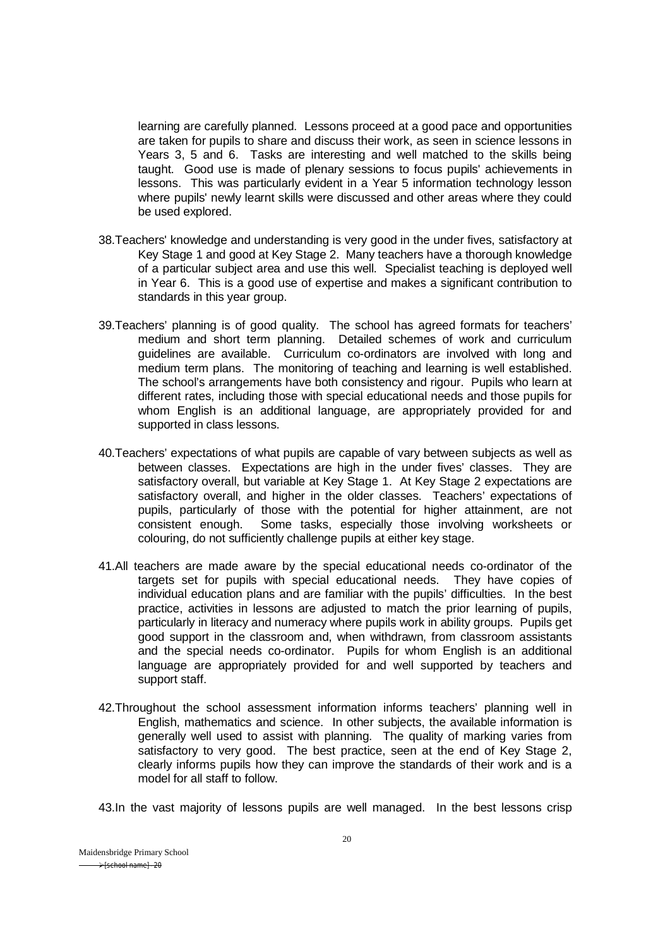learning are carefully planned. Lessons proceed at a good pace and opportunities are taken for pupils to share and discuss their work, as seen in science lessons in Years 3, 5 and 6. Tasks are interesting and well matched to the skills being taught. Good use is made of plenary sessions to focus pupils' achievements in lessons. This was particularly evident in a Year 5 information technology lesson where pupils' newly learnt skills were discussed and other areas where they could be used explored.

- 38.Teachers' knowledge and understanding is very good in the under fives, satisfactory at Key Stage 1 and good at Key Stage 2. Many teachers have a thorough knowledge of a particular subject area and use this well. Specialist teaching is deployed well in Year 6. This is a good use of expertise and makes a significant contribution to standards in this year group.
- 39.Teachers' planning is of good quality. The school has agreed formats for teachers' medium and short term planning. Detailed schemes of work and curriculum guidelines are available. Curriculum co-ordinators are involved with long and medium term plans. The monitoring of teaching and learning is well established. The school's arrangements have both consistency and rigour. Pupils who learn at different rates, including those with special educational needs and those pupils for whom English is an additional language, are appropriately provided for and supported in class lessons.
- 40.Teachers' expectations of what pupils are capable of vary between subjects as well as between classes. Expectations are high in the under fives' classes. They are satisfactory overall, but variable at Key Stage 1. At Key Stage 2 expectations are satisfactory overall, and higher in the older classes. Teachers' expectations of pupils, particularly of those with the potential for higher attainment, are not consistent enough. Some tasks, especially those involving worksheets or colouring, do not sufficiently challenge pupils at either key stage.
- 41.All teachers are made aware by the special educational needs co-ordinator of the targets set for pupils with special educational needs. They have copies of individual education plans and are familiar with the pupils' difficulties. In the best practice, activities in lessons are adjusted to match the prior learning of pupils, particularly in literacy and numeracy where pupils work in ability groups. Pupils get good support in the classroom and, when withdrawn, from classroom assistants and the special needs co-ordinator. Pupils for whom English is an additional language are appropriately provided for and well supported by teachers and support staff.
- 42.Throughout the school assessment information informs teachers' planning well in English, mathematics and science. In other subjects, the available information is generally well used to assist with planning. The quality of marking varies from satisfactory to very good. The best practice, seen at the end of Key Stage 2, clearly informs pupils how they can improve the standards of their work and is a model for all staff to follow.

43.In the vast majority of lessons pupils are well managed. In the best lessons crisp

Maidensbridge Primary School  $\rightarrow$  [school name] - 20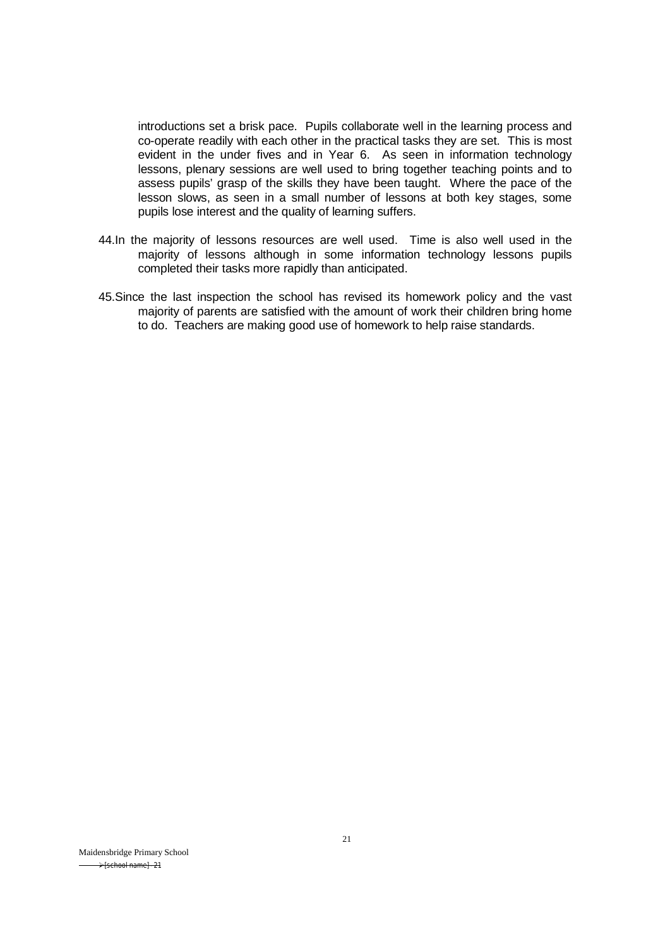introductions set a brisk pace. Pupils collaborate well in the learning process and co-operate readily with each other in the practical tasks they are set. This is most evident in the under fives and in Year 6. As seen in information technology lessons, plenary sessions are well used to bring together teaching points and to assess pupils' grasp of the skills they have been taught. Where the pace of the lesson slows, as seen in a small number of lessons at both key stages, some pupils lose interest and the quality of learning suffers.

- 44.In the majority of lessons resources are well used. Time is also well used in the majority of lessons although in some information technology lessons pupils completed their tasks more rapidly than anticipated.
- 45.Since the last inspection the school has revised its homework policy and the vast majority of parents are satisfied with the amount of work their children bring home to do. Teachers are making good use of homework to help raise standards.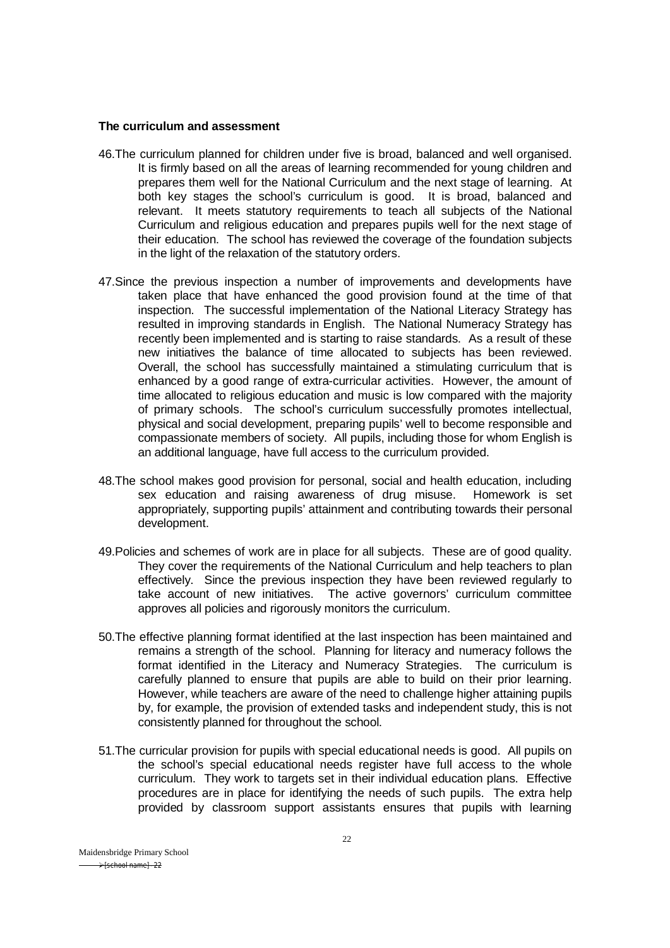#### **The curriculum and assessment**

- 46.The curriculum planned for children under five is broad, balanced and well organised. It is firmly based on all the areas of learning recommended for young children and prepares them well for the National Curriculum and the next stage of learning. At both key stages the school's curriculum is good. It is broad, balanced and relevant. It meets statutory requirements to teach all subjects of the National Curriculum and religious education and prepares pupils well for the next stage of their education. The school has reviewed the coverage of the foundation subjects in the light of the relaxation of the statutory orders.
- 47.Since the previous inspection a number of improvements and developments have taken place that have enhanced the good provision found at the time of that inspection. The successful implementation of the National Literacy Strategy has resulted in improving standards in English. The National Numeracy Strategy has recently been implemented and is starting to raise standards. As a result of these new initiatives the balance of time allocated to subjects has been reviewed. Overall, the school has successfully maintained a stimulating curriculum that is enhanced by a good range of extra-curricular activities. However, the amount of time allocated to religious education and music is low compared with the majority of primary schools. The school's curriculum successfully promotes intellectual, physical and social development, preparing pupils' well to become responsible and compassionate members of society. All pupils, including those for whom English is an additional language, have full access to the curriculum provided.
- 48.The school makes good provision for personal, social and health education, including sex education and raising awareness of drug misuse. Homework is set appropriately, supporting pupils' attainment and contributing towards their personal development.
- 49.Policies and schemes of work are in place for all subjects. These are of good quality. They cover the requirements of the National Curriculum and help teachers to plan effectively. Since the previous inspection they have been reviewed regularly to take account of new initiatives. The active governors' curriculum committee approves all policies and rigorously monitors the curriculum.
- 50.The effective planning format identified at the last inspection has been maintained and remains a strength of the school. Planning for literacy and numeracy follows the format identified in the Literacy and Numeracy Strategies. The curriculum is carefully planned to ensure that pupils are able to build on their prior learning. However, while teachers are aware of the need to challenge higher attaining pupils by, for example, the provision of extended tasks and independent study, this is not consistently planned for throughout the school.
- 51.The curricular provision for pupils with special educational needs is good. All pupils on the school's special educational needs register have full access to the whole curriculum. They work to targets set in their individual education plans. Effective procedures are in place for identifying the needs of such pupils. The extra help provided by classroom support assistants ensures that pupils with learning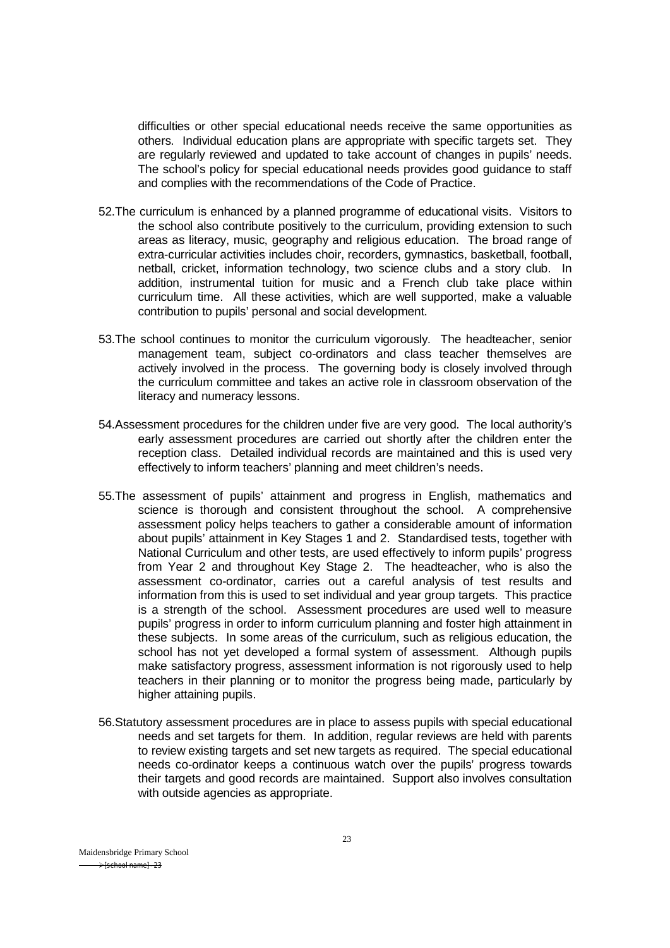difficulties or other special educational needs receive the same opportunities as others. Individual education plans are appropriate with specific targets set. They are regularly reviewed and updated to take account of changes in pupils' needs. The school's policy for special educational needs provides good guidance to staff and complies with the recommendations of the Code of Practice.

- 52.The curriculum is enhanced by a planned programme of educational visits. Visitors to the school also contribute positively to the curriculum, providing extension to such areas as literacy, music, geography and religious education. The broad range of extra-curricular activities includes choir, recorders, gymnastics, basketball, football, netball, cricket, information technology, two science clubs and a story club. In addition, instrumental tuition for music and a French club take place within curriculum time. All these activities, which are well supported, make a valuable contribution to pupils' personal and social development.
- 53.The school continues to monitor the curriculum vigorously. The headteacher, senior management team, subject co-ordinators and class teacher themselves are actively involved in the process. The governing body is closely involved through the curriculum committee and takes an active role in classroom observation of the literacy and numeracy lessons.
- 54.Assessment procedures for the children under five are very good. The local authority's early assessment procedures are carried out shortly after the children enter the reception class. Detailed individual records are maintained and this is used very effectively to inform teachers' planning and meet children's needs.
- 55.The assessment of pupils' attainment and progress in English, mathematics and science is thorough and consistent throughout the school. A comprehensive assessment policy helps teachers to gather a considerable amount of information about pupils' attainment in Key Stages 1 and 2. Standardised tests, together with National Curriculum and other tests, are used effectively to inform pupils' progress from Year 2 and throughout Key Stage 2. The headteacher, who is also the assessment co-ordinator, carries out a careful analysis of test results and information from this is used to set individual and year group targets. This practice is a strength of the school. Assessment procedures are used well to measure pupils' progress in order to inform curriculum planning and foster high attainment in these subjects. In some areas of the curriculum, such as religious education, the school has not yet developed a formal system of assessment. Although pupils make satisfactory progress, assessment information is not rigorously used to help teachers in their planning or to monitor the progress being made, particularly by higher attaining pupils.
- 56.Statutory assessment procedures are in place to assess pupils with special educational needs and set targets for them. In addition, regular reviews are held with parents to review existing targets and set new targets as required. The special educational needs co-ordinator keeps a continuous watch over the pupils' progress towards their targets and good records are maintained. Support also involves consultation with outside agencies as appropriate.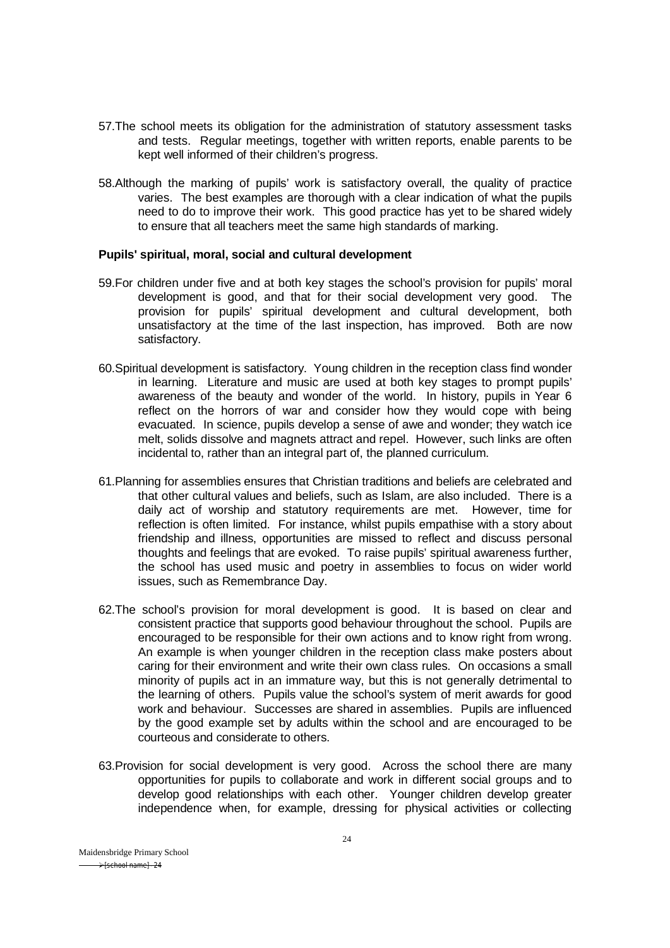- 57.The school meets its obligation for the administration of statutory assessment tasks and tests. Regular meetings, together with written reports, enable parents to be kept well informed of their children's progress.
- 58.Although the marking of pupils' work is satisfactory overall, the quality of practice varies. The best examples are thorough with a clear indication of what the pupils need to do to improve their work. This good practice has yet to be shared widely to ensure that all teachers meet the same high standards of marking.

#### **Pupils' spiritual, moral, social and cultural development**

- 59.For children under five and at both key stages the school's provision for pupils' moral development is good, and that for their social development very good. The provision for pupils' spiritual development and cultural development, both unsatisfactory at the time of the last inspection, has improved. Both are now satisfactory.
- 60.Spiritual development is satisfactory. Young children in the reception class find wonder in learning. Literature and music are used at both key stages to prompt pupils' awareness of the beauty and wonder of the world. In history, pupils in Year 6 reflect on the horrors of war and consider how they would cope with being evacuated. In science, pupils develop a sense of awe and wonder; they watch ice melt, solids dissolve and magnets attract and repel. However, such links are often incidental to, rather than an integral part of, the planned curriculum.
- 61.Planning for assemblies ensures that Christian traditions and beliefs are celebrated and that other cultural values and beliefs, such as Islam, are also included. There is a daily act of worship and statutory requirements are met. However, time for reflection is often limited. For instance, whilst pupils empathise with a story about friendship and illness, opportunities are missed to reflect and discuss personal thoughts and feelings that are evoked. To raise pupils' spiritual awareness further, the school has used music and poetry in assemblies to focus on wider world issues, such as Remembrance Day.
- 62.The school's provision for moral development is good. It is based on clear and consistent practice that supports good behaviour throughout the school. Pupils are encouraged to be responsible for their own actions and to know right from wrong. An example is when younger children in the reception class make posters about caring for their environment and write their own class rules. On occasions a small minority of pupils act in an immature way, but this is not generally detrimental to the learning of others. Pupils value the school's system of merit awards for good work and behaviour. Successes are shared in assemblies. Pupils are influenced by the good example set by adults within the school and are encouraged to be courteous and considerate to others.
- 63.Provision for social development is very good. Across the school there are many opportunities for pupils to collaborate and work in different social groups and to develop good relationships with each other. Younger children develop greater independence when, for example, dressing for physical activities or collecting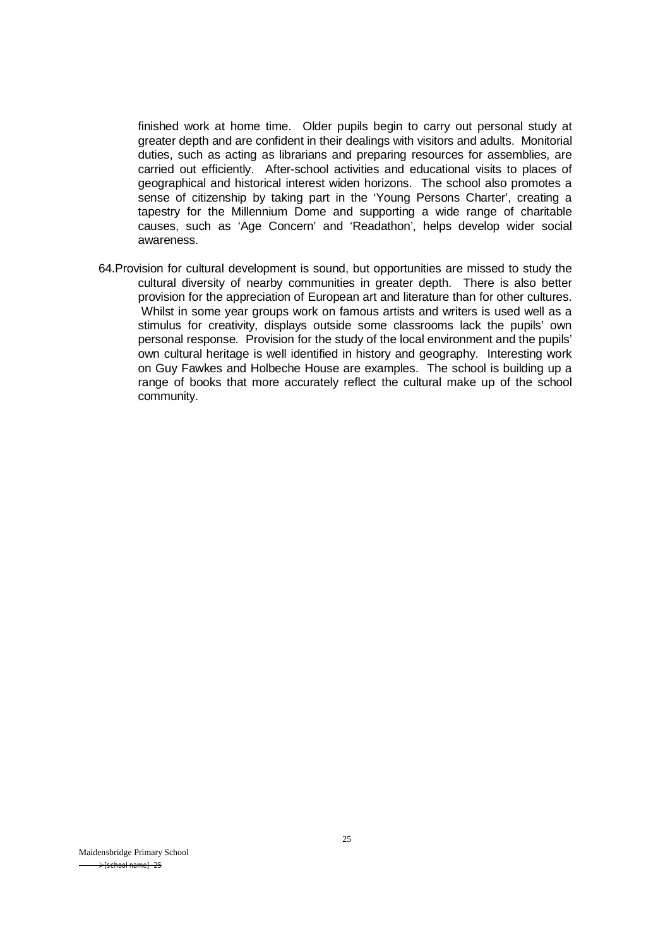finished work at home time. Older pupils begin to carry out personal study at greater depth and are confident in their dealings with visitors and adults. Monitorial duties, such as acting as librarians and preparing resources for assemblies, are carried out efficiently. After-school activities and educational visits to places of geographical and historical interest widen horizons. The school also promotes a sense of citizenship by taking part in the 'Young Persons Charter', creating a tapestry for the Millennium Dome and supporting a wide range of charitable causes, such as 'Age Concern' and 'Readathon', helps develop wider social awareness.

64.Provision for cultural development is sound, but opportunities are missed to study the cultural diversity of nearby communities in greater depth. There is also better provision for the appreciation of European art and literature than for other cultures. Whilst in some year groups work on famous artists and writers is used well as a stimulus for creativity, displays outside some classrooms lack the pupils' own personal response. Provision for the study of the local environment and the pupils' own cultural heritage is well identified in history and geography. Interesting work on Guy Fawkes and Holbeche House are examples. The school is building up a range of books that more accurately reflect the cultural make up of the school community.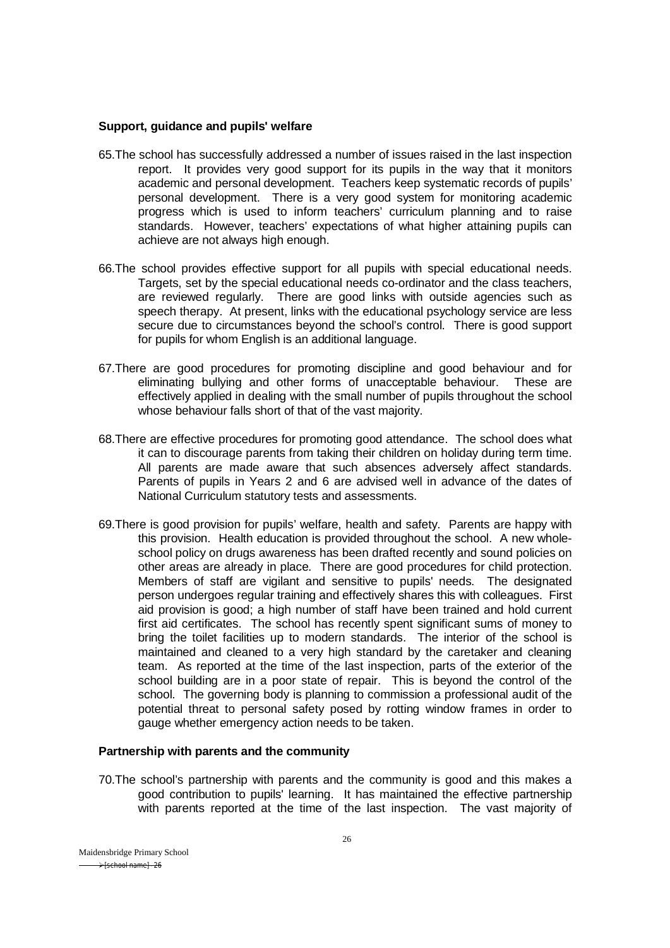#### **Support, guidance and pupils' welfare**

- 65.The school has successfully addressed a number of issues raised in the last inspection report. It provides very good support for its pupils in the way that it monitors academic and personal development. Teachers keep systematic records of pupils' personal development. There is a very good system for monitoring academic progress which is used to inform teachers' curriculum planning and to raise standards. However, teachers' expectations of what higher attaining pupils can achieve are not always high enough.
- 66.The school provides effective support for all pupils with special educational needs. Targets, set by the special educational needs co-ordinator and the class teachers, are reviewed regularly. There are good links with outside agencies such as speech therapy. At present, links with the educational psychology service are less secure due to circumstances beyond the school's control. There is good support for pupils for whom English is an additional language.
- 67.There are good procedures for promoting discipline and good behaviour and for eliminating bullying and other forms of unacceptable behaviour. These are effectively applied in dealing with the small number of pupils throughout the school whose behaviour falls short of that of the vast majority.
- 68.There are effective procedures for promoting good attendance. The school does what it can to discourage parents from taking their children on holiday during term time. All parents are made aware that such absences adversely affect standards. Parents of pupils in Years 2 and 6 are advised well in advance of the dates of National Curriculum statutory tests and assessments.
- 69.There is good provision for pupils' welfare, health and safety. Parents are happy with this provision. Health education is provided throughout the school. A new wholeschool policy on drugs awareness has been drafted recently and sound policies on other areas are already in place. There are good procedures for child protection. Members of staff are vigilant and sensitive to pupils' needs. The designated person undergoes regular training and effectively shares this with colleagues. First aid provision is good; a high number of staff have been trained and hold current first aid certificates. The school has recently spent significant sums of money to bring the toilet facilities up to modern standards. The interior of the school is maintained and cleaned to a very high standard by the caretaker and cleaning team. As reported at the time of the last inspection, parts of the exterior of the school building are in a poor state of repair. This is beyond the control of the school. The governing body is planning to commission a professional audit of the potential threat to personal safety posed by rotting window frames in order to gauge whether emergency action needs to be taken.

#### **Partnership with parents and the community**

70.The school's partnership with parents and the community is good and this makes a good contribution to pupils' learning. It has maintained the effective partnership with parents reported at the time of the last inspection. The vast majority of

Maidensbridge Primary School  $\rightarrow$  [school name] - 26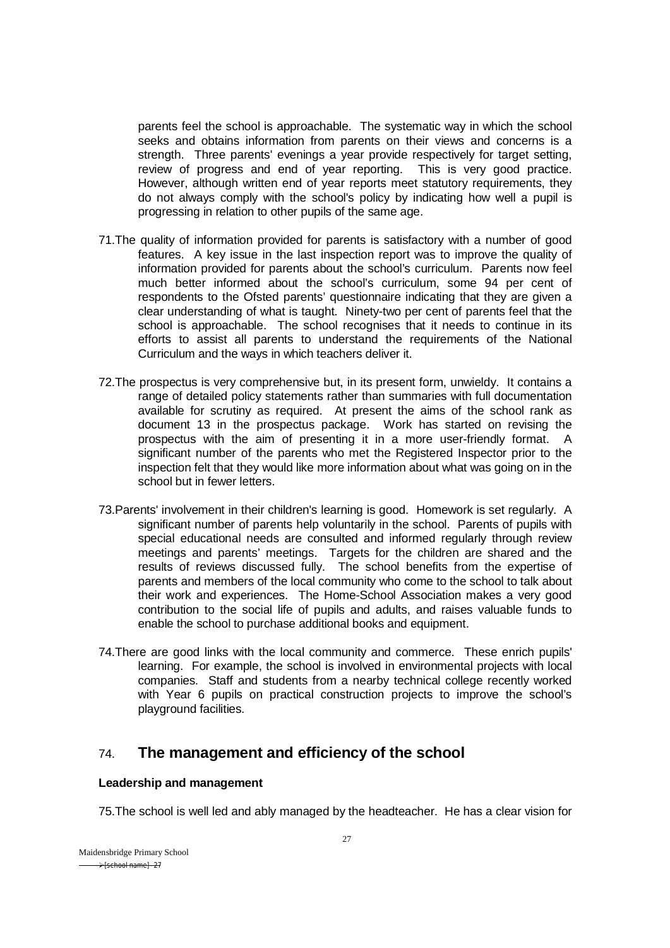parents feel the school is approachable. The systematic way in which the school seeks and obtains information from parents on their views and concerns is a strength. Three parents' evenings a year provide respectively for target setting, review of progress and end of year reporting. This is very good practice. However, although written end of year reports meet statutory requirements, they do not always comply with the school's policy by indicating how well a pupil is progressing in relation to other pupils of the same age.

- 71.The quality of information provided for parents is satisfactory with a number of good features. A key issue in the last inspection report was to improve the quality of information provided for parents about the school's curriculum. Parents now feel much better informed about the school's curriculum, some 94 per cent of respondents to the Ofsted parents' questionnaire indicating that they are given a clear understanding of what is taught. Ninety-two per cent of parents feel that the school is approachable. The school recognises that it needs to continue in its efforts to assist all parents to understand the requirements of the National Curriculum and the ways in which teachers deliver it.
- 72.The prospectus is very comprehensive but, in its present form, unwieldy. It contains a range of detailed policy statements rather than summaries with full documentation available for scrutiny as required. At present the aims of the school rank as document 13 in the prospectus package. Work has started on revising the prospectus with the aim of presenting it in a more user-friendly format. A significant number of the parents who met the Registered Inspector prior to the inspection felt that they would like more information about what was going on in the school but in fewer letters.
- 73.Parents' involvement in their children's learning is good. Homework is set regularly. A significant number of parents help voluntarily in the school. Parents of pupils with special educational needs are consulted and informed regularly through review meetings and parents' meetings. Targets for the children are shared and the results of reviews discussed fully. The school benefits from the expertise of parents and members of the local community who come to the school to talk about their work and experiences. The Home-School Association makes a very good contribution to the social life of pupils and adults, and raises valuable funds to enable the school to purchase additional books and equipment.
- 74.There are good links with the local community and commerce. These enrich pupils' learning. For example, the school is involved in environmental projects with local companies. Staff and students from a nearby technical college recently worked with Year 6 pupils on practical construction projects to improve the school's playground facilities.

# 74. **The management and efficiency of the school**

## **Leadership and management**

75.The school is well led and ably managed by the headteacher. He has a clear vision for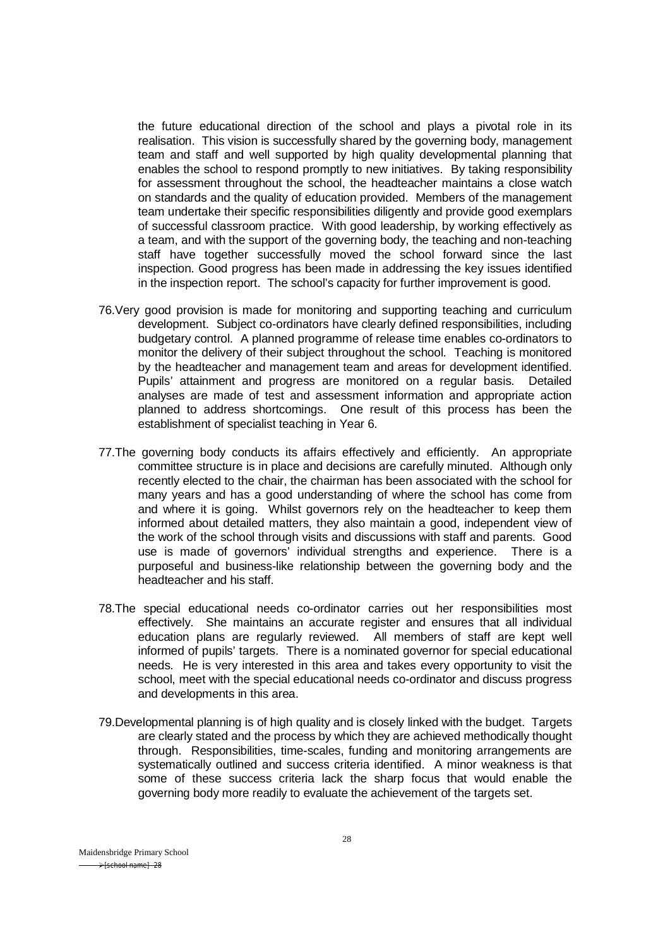the future educational direction of the school and plays a pivotal role in its realisation. This vision is successfully shared by the governing body, management team and staff and well supported by high quality developmental planning that enables the school to respond promptly to new initiatives. By taking responsibility for assessment throughout the school, the headteacher maintains a close watch on standards and the quality of education provided. Members of the management team undertake their specific responsibilities diligently and provide good exemplars of successful classroom practice. With good leadership, by working effectively as a team, and with the support of the governing body, the teaching and non-teaching staff have together successfully moved the school forward since the last inspection. Good progress has been made in addressing the key issues identified in the inspection report. The school's capacity for further improvement is good.

- 76.Very good provision is made for monitoring and supporting teaching and curriculum development. Subject co-ordinators have clearly defined responsibilities, including budgetary control. A planned programme of release time enables co-ordinators to monitor the delivery of their subject throughout the school. Teaching is monitored by the headteacher and management team and areas for development identified. Pupils' attainment and progress are monitored on a regular basis. Detailed analyses are made of test and assessment information and appropriate action planned to address shortcomings. One result of this process has been the establishment of specialist teaching in Year 6.
- 77.The governing body conducts its affairs effectively and efficiently. An appropriate committee structure is in place and decisions are carefully minuted. Although only recently elected to the chair, the chairman has been associated with the school for many years and has a good understanding of where the school has come from and where it is going. Whilst governors rely on the headteacher to keep them informed about detailed matters, they also maintain a good, independent view of the work of the school through visits and discussions with staff and parents. Good use is made of governors' individual strengths and experience. There is a purposeful and business-like relationship between the governing body and the headteacher and his staff.
- 78.The special educational needs co-ordinator carries out her responsibilities most effectively. She maintains an accurate register and ensures that all individual education plans are regularly reviewed. All members of staff are kept well informed of pupils' targets. There is a nominated governor for special educational needs. He is very interested in this area and takes every opportunity to visit the school, meet with the special educational needs co-ordinator and discuss progress and developments in this area.
- 79.Developmental planning is of high quality and is closely linked with the budget. Targets are clearly stated and the process by which they are achieved methodically thought through. Responsibilities, time-scales, funding and monitoring arrangements are systematically outlined and success criteria identified. A minor weakness is that some of these success criteria lack the sharp focus that would enable the governing body more readily to evaluate the achievement of the targets set.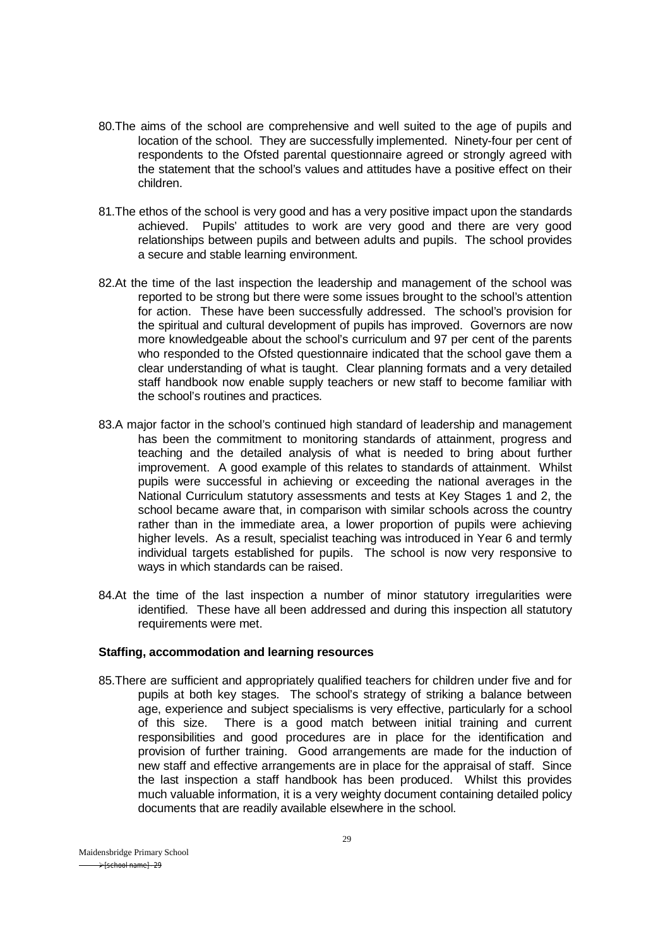- 80.The aims of the school are comprehensive and well suited to the age of pupils and location of the school. They are successfully implemented. Ninety-four per cent of respondents to the Ofsted parental questionnaire agreed or strongly agreed with the statement that the school's values and attitudes have a positive effect on their children.
- 81.The ethos of the school is very good and has a very positive impact upon the standards achieved. Pupils' attitudes to work are very good and there are very good relationships between pupils and between adults and pupils. The school provides a secure and stable learning environment.
- 82.At the time of the last inspection the leadership and management of the school was reported to be strong but there were some issues brought to the school's attention for action. These have been successfully addressed. The school's provision for the spiritual and cultural development of pupils has improved. Governors are now more knowledgeable about the school's curriculum and 97 per cent of the parents who responded to the Ofsted questionnaire indicated that the school gave them a clear understanding of what is taught. Clear planning formats and a very detailed staff handbook now enable supply teachers or new staff to become familiar with the school's routines and practices.
- 83.A major factor in the school's continued high standard of leadership and management has been the commitment to monitoring standards of attainment, progress and teaching and the detailed analysis of what is needed to bring about further improvement. A good example of this relates to standards of attainment. Whilst pupils were successful in achieving or exceeding the national averages in the National Curriculum statutory assessments and tests at Key Stages 1 and 2, the school became aware that, in comparison with similar schools across the country rather than in the immediate area, a lower proportion of pupils were achieving higher levels. As a result, specialist teaching was introduced in Year 6 and termly individual targets established for pupils. The school is now very responsive to ways in which standards can be raised.
- 84.At the time of the last inspection a number of minor statutory irregularities were identified. These have all been addressed and during this inspection all statutory requirements were met.

#### **Staffing, accommodation and learning resources**

85.There are sufficient and appropriately qualified teachers for children under five and for pupils at both key stages. The school's strategy of striking a balance between age, experience and subject specialisms is very effective, particularly for a school of this size. There is a good match between initial training and current responsibilities and good procedures are in place for the identification and provision of further training. Good arrangements are made for the induction of new staff and effective arrangements are in place for the appraisal of staff. Since the last inspection a staff handbook has been produced. Whilst this provides much valuable information, it is a very weighty document containing detailed policy documents that are readily available elsewhere in the school.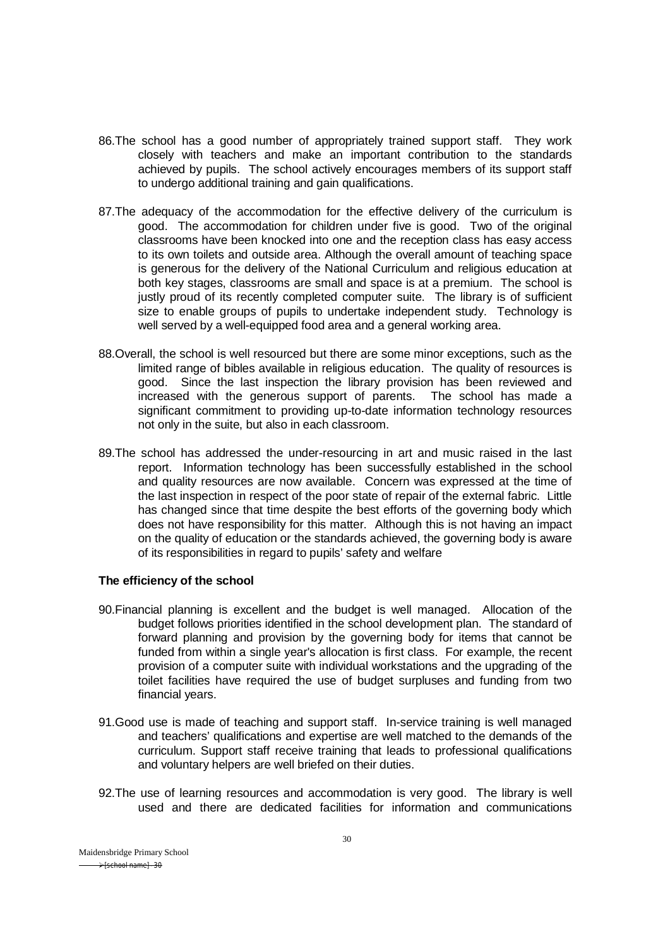- 86.The school has a good number of appropriately trained support staff. They work closely with teachers and make an important contribution to the standards achieved by pupils. The school actively encourages members of its support staff to undergo additional training and gain qualifications.
- 87.The adequacy of the accommodation for the effective delivery of the curriculum is good. The accommodation for children under five is good. Two of the original classrooms have been knocked into one and the reception class has easy access to its own toilets and outside area. Although the overall amount of teaching space is generous for the delivery of the National Curriculum and religious education at both key stages, classrooms are small and space is at a premium. The school is justly proud of its recently completed computer suite. The library is of sufficient size to enable groups of pupils to undertake independent study. Technology is well served by a well-equipped food area and a general working area.
- 88.Overall, the school is well resourced but there are some minor exceptions, such as the limited range of bibles available in religious education. The quality of resources is good. Since the last inspection the library provision has been reviewed and increased with the generous support of parents. The school has made a significant commitment to providing up-to-date information technology resources not only in the suite, but also in each classroom.
- 89.The school has addressed the under-resourcing in art and music raised in the last report. Information technology has been successfully established in the school and quality resources are now available. Concern was expressed at the time of the last inspection in respect of the poor state of repair of the external fabric. Little has changed since that time despite the best efforts of the governing body which does not have responsibility for this matter. Although this is not having an impact on the quality of education or the standards achieved, the governing body is aware of its responsibilities in regard to pupils' safety and welfare

#### **The efficiency of the school**

- 90.Financial planning is excellent and the budget is well managed. Allocation of the budget follows priorities identified in the school development plan. The standard of forward planning and provision by the governing body for items that cannot be funded from within a single year's allocation is first class. For example, the recent provision of a computer suite with individual workstations and the upgrading of the toilet facilities have required the use of budget surpluses and funding from two financial years.
- 91.Good use is made of teaching and support staff. In-service training is well managed and teachers' qualifications and expertise are well matched to the demands of the curriculum. Support staff receive training that leads to professional qualifications and voluntary helpers are well briefed on their duties.
- 92.The use of learning resources and accommodation is very good. The library is well used and there are dedicated facilities for information and communications

Maidensbridge Primary School  $\rightarrow$  [school name] - 30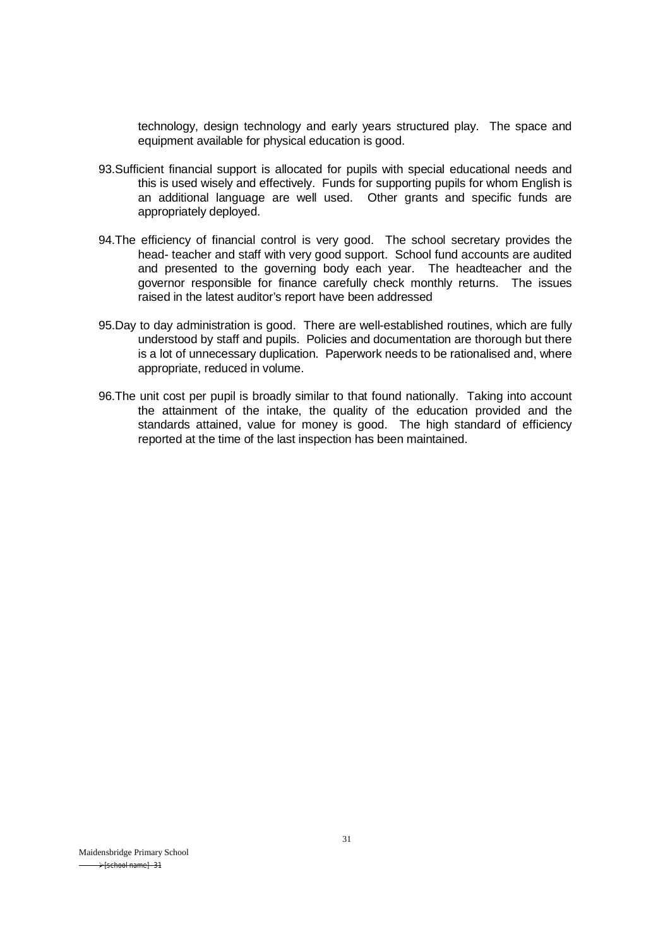technology, design technology and early years structured play. The space and equipment available for physical education is good.

- 93.Sufficient financial support is allocated for pupils with special educational needs and this is used wisely and effectively. Funds for supporting pupils for whom English is an additional language are well used. Other grants and specific funds are appropriately deployed.
- 94.The efficiency of financial control is very good. The school secretary provides the head- teacher and staff with very good support. School fund accounts are audited and presented to the governing body each year. The headteacher and the governor responsible for finance carefully check monthly returns. The issues raised in the latest auditor's report have been addressed
- 95.Day to day administration is good. There are well-established routines, which are fully understood by staff and pupils. Policies and documentation are thorough but there is a lot of unnecessary duplication. Paperwork needs to be rationalised and, where appropriate, reduced in volume.
- 96.The unit cost per pupil is broadly similar to that found nationally. Taking into account the attainment of the intake, the quality of the education provided and the standards attained, value for money is good. The high standard of efficiency reported at the time of the last inspection has been maintained.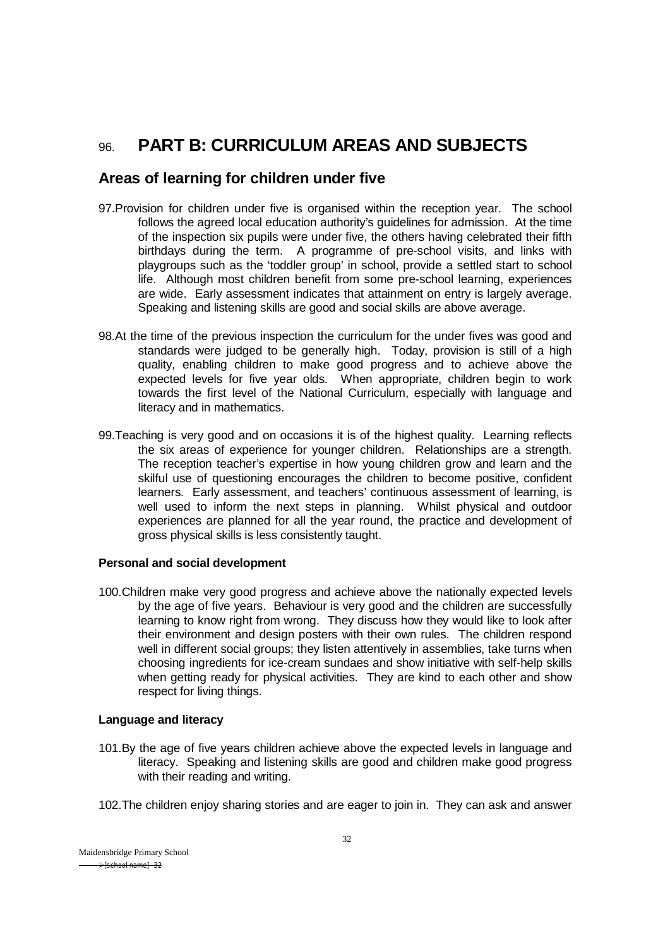# 96. **PART B: CURRICULUM AREAS AND SUBJECTS**

# **Areas of learning for children under five**

- 97.Provision for children under five is organised within the reception year. The school follows the agreed local education authority's guidelines for admission. At the time of the inspection six pupils were under five, the others having celebrated their fifth birthdays during the term. A programme of pre-school visits, and links with playgroups such as the 'toddler group' in school, provide a settled start to school life. Although most children benefit from some pre-school learning, experiences are wide. Early assessment indicates that attainment on entry is largely average. Speaking and listening skills are good and social skills are above average.
- 98.At the time of the previous inspection the curriculum for the under fives was good and standards were judged to be generally high. Today, provision is still of a high quality, enabling children to make good progress and to achieve above the expected levels for five year olds. When appropriate, children begin to work towards the first level of the National Curriculum, especially with language and literacy and in mathematics.
- 99.Teaching is very good and on occasions it is of the highest quality. Learning reflects the six areas of experience for younger children. Relationships are a strength. The reception teacher's expertise in how young children grow and learn and the skilful use of questioning encourages the children to become positive, confident learners. Early assessment, and teachers' continuous assessment of learning, is well used to inform the next steps in planning. Whilst physical and outdoor experiences are planned for all the year round, the practice and development of gross physical skills is less consistently taught.

#### **Personal and social development**

100.Children make very good progress and achieve above the nationally expected levels by the age of five years. Behaviour is very good and the children are successfully learning to know right from wrong. They discuss how they would like to look after their environment and design posters with their own rules. The children respond well in different social groups; they listen attentively in assemblies, take turns when choosing ingredients for ice-cream sundaes and show initiative with self-help skills when getting ready for physical activities. They are kind to each other and show respect for living things.

#### **Language and literacy**

- 101.By the age of five years children achieve above the expected levels in language and literacy. Speaking and listening skills are good and children make good progress with their reading and writing.
- 102.The children enjoy sharing stories and are eager to join in. They can ask and answer

Maidensbridge Primary School  $\rightarrow$  [school name] - 32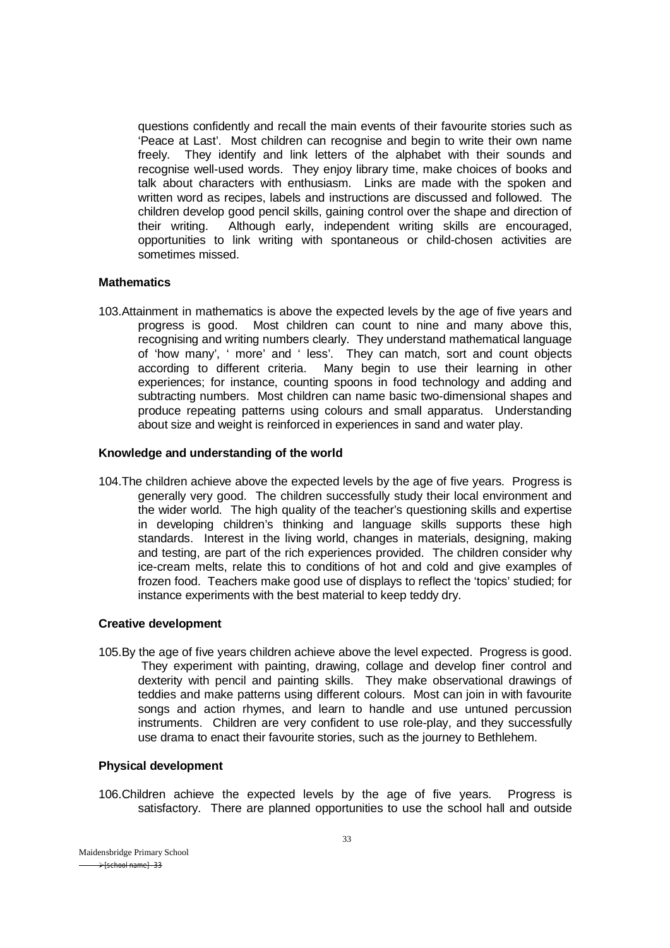questions confidently and recall the main events of their favourite stories such as 'Peace at Last'. Most children can recognise and begin to write their own name freely. They identify and link letters of the alphabet with their sounds and recognise well-used words. They enjoy library time, make choices of books and talk about characters with enthusiasm. Links are made with the spoken and written word as recipes, labels and instructions are discussed and followed. The children develop good pencil skills, gaining control over the shape and direction of their writing. Although early, independent writing skills are encouraged, opportunities to link writing with spontaneous or child-chosen activities are sometimes missed.

#### **Mathematics**

103.Attainment in mathematics is above the expected levels by the age of five years and progress is good. Most children can count to nine and many above this, recognising and writing numbers clearly. They understand mathematical language of 'how many', ' more' and ' less'. They can match, sort and count objects according to different criteria. Many begin to use their learning in other experiences; for instance, counting spoons in food technology and adding and subtracting numbers. Most children can name basic two-dimensional shapes and produce repeating patterns using colours and small apparatus. Understanding about size and weight is reinforced in experiences in sand and water play.

#### **Knowledge and understanding of the world**

104.The children achieve above the expected levels by the age of five years. Progress is generally very good. The children successfully study their local environment and the wider world. The high quality of the teacher's questioning skills and expertise in developing children's thinking and language skills supports these high standards. Interest in the living world, changes in materials, designing, making and testing, are part of the rich experiences provided. The children consider why ice-cream melts, relate this to conditions of hot and cold and give examples of frozen food. Teachers make good use of displays to reflect the 'topics' studied; for instance experiments with the best material to keep teddy dry.

#### **Creative development**

105.By the age of five years children achieve above the level expected. Progress is good. They experiment with painting, drawing, collage and develop finer control and dexterity with pencil and painting skills. They make observational drawings of teddies and make patterns using different colours. Most can join in with favourite songs and action rhymes, and learn to handle and use untuned percussion instruments. Children are very confident to use role-play, and they successfully use drama to enact their favourite stories, such as the journey to Bethlehem.

#### **Physical development**

106.Children achieve the expected levels by the age of five years. Progress is satisfactory. There are planned opportunities to use the school hall and outside

Maidensbridge Primary School  $\rightarrow$  [school name] - 33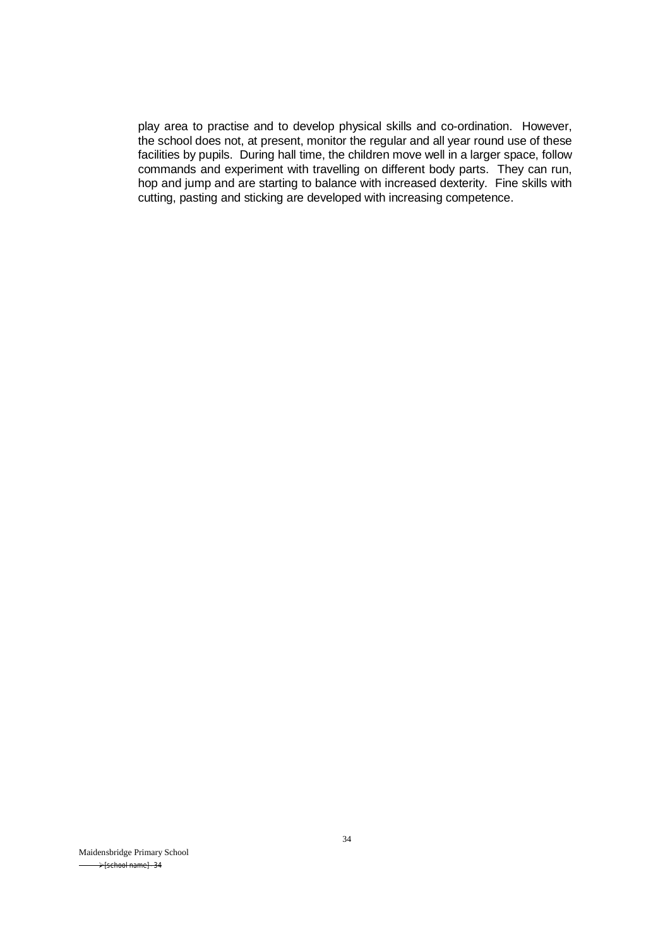play area to practise and to develop physical skills and co-ordination. However, the school does not, at present, monitor the regular and all year round use of these facilities by pupils. During hall time, the children move well in a larger space, follow commands and experiment with travelling on different body parts. They can run, hop and jump and are starting to balance with increased dexterity. Fine skills with cutting, pasting and sticking are developed with increasing competence.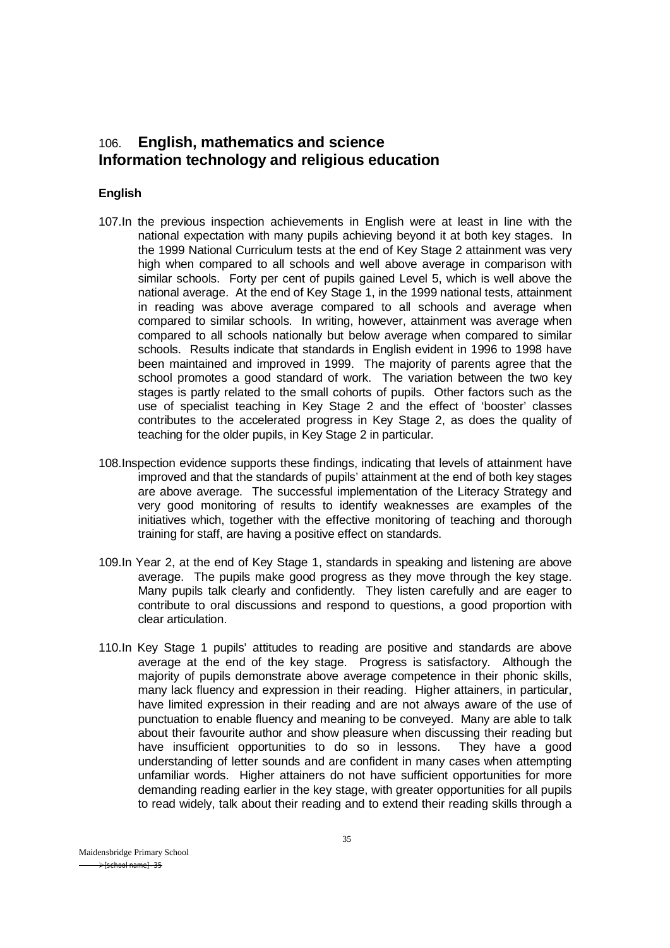# 106. **English, mathematics and science Information technology and religious education**

## **English**

- 107.In the previous inspection achievements in English were at least in line with the national expectation with many pupils achieving beyond it at both key stages. In the 1999 National Curriculum tests at the end of Key Stage 2 attainment was very high when compared to all schools and well above average in comparison with similar schools. Forty per cent of pupils gained Level 5, which is well above the national average. At the end of Key Stage 1, in the 1999 national tests, attainment in reading was above average compared to all schools and average when compared to similar schools. In writing, however, attainment was average when compared to all schools nationally but below average when compared to similar schools. Results indicate that standards in English evident in 1996 to 1998 have been maintained and improved in 1999. The majority of parents agree that the school promotes a good standard of work. The variation between the two key stages is partly related to the small cohorts of pupils. Other factors such as the use of specialist teaching in Key Stage 2 and the effect of 'booster' classes contributes to the accelerated progress in Key Stage 2, as does the quality of teaching for the older pupils, in Key Stage 2 in particular.
- 108.Inspection evidence supports these findings, indicating that levels of attainment have improved and that the standards of pupils' attainment at the end of both key stages are above average. The successful implementation of the Literacy Strategy and very good monitoring of results to identify weaknesses are examples of the initiatives which, together with the effective monitoring of teaching and thorough training for staff, are having a positive effect on standards.
- 109.In Year 2, at the end of Key Stage 1, standards in speaking and listening are above average. The pupils make good progress as they move through the key stage. Many pupils talk clearly and confidently. They listen carefully and are eager to contribute to oral discussions and respond to questions, a good proportion with clear articulation.
- 110.In Key Stage 1 pupils' attitudes to reading are positive and standards are above average at the end of the key stage. Progress is satisfactory. Although the majority of pupils demonstrate above average competence in their phonic skills, many lack fluency and expression in their reading. Higher attainers, in particular, have limited expression in their reading and are not always aware of the use of punctuation to enable fluency and meaning to be conveyed. Many are able to talk about their favourite author and show pleasure when discussing their reading but have insufficient opportunities to do so in lessons. They have a good understanding of letter sounds and are confident in many cases when attempting unfamiliar words. Higher attainers do not have sufficient opportunities for more demanding reading earlier in the key stage, with greater opportunities for all pupils to read widely, talk about their reading and to extend their reading skills through a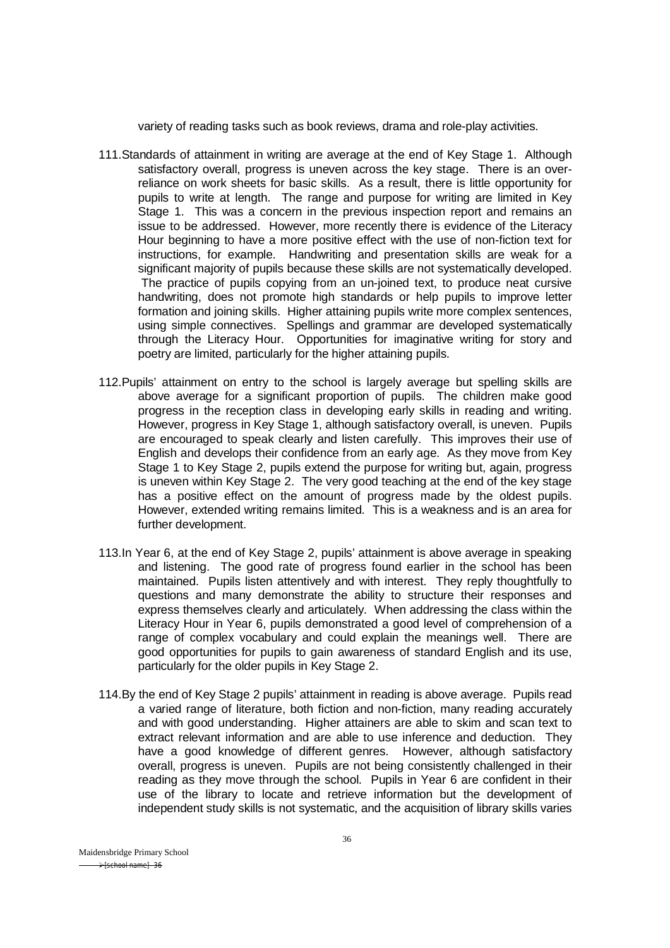variety of reading tasks such as book reviews, drama and role-play activities.

- 111.Standards of attainment in writing are average at the end of Key Stage 1. Although satisfactory overall, progress is uneven across the key stage. There is an overreliance on work sheets for basic skills. As a result, there is little opportunity for pupils to write at length. The range and purpose for writing are limited in Key Stage 1. This was a concern in the previous inspection report and remains an issue to be addressed. However, more recently there is evidence of the Literacy Hour beginning to have a more positive effect with the use of non-fiction text for instructions, for example. Handwriting and presentation skills are weak for a significant majority of pupils because these skills are not systematically developed. The practice of pupils copying from an un-joined text, to produce neat cursive handwriting, does not promote high standards or help pupils to improve letter formation and joining skills. Higher attaining pupils write more complex sentences, using simple connectives. Spellings and grammar are developed systematically through the Literacy Hour. Opportunities for imaginative writing for story and poetry are limited, particularly for the higher attaining pupils.
- 112.Pupils' attainment on entry to the school is largely average but spelling skills are above average for a significant proportion of pupils. The children make good progress in the reception class in developing early skills in reading and writing. However, progress in Key Stage 1, although satisfactory overall, is uneven. Pupils are encouraged to speak clearly and listen carefully. This improves their use of English and develops their confidence from an early age. As they move from Key Stage 1 to Key Stage 2, pupils extend the purpose for writing but, again, progress is uneven within Key Stage 2. The very good teaching at the end of the key stage has a positive effect on the amount of progress made by the oldest pupils. However, extended writing remains limited. This is a weakness and is an area for further development.
- 113.In Year 6, at the end of Key Stage 2, pupils' attainment is above average in speaking and listening. The good rate of progress found earlier in the school has been maintained. Pupils listen attentively and with interest. They reply thoughtfully to questions and many demonstrate the ability to structure their responses and express themselves clearly and articulately. When addressing the class within the Literacy Hour in Year 6, pupils demonstrated a good level of comprehension of a range of complex vocabulary and could explain the meanings well. There are good opportunities for pupils to gain awareness of standard English and its use, particularly for the older pupils in Key Stage 2.
- 114.By the end of Key Stage 2 pupils' attainment in reading is above average. Pupils read a varied range of literature, both fiction and non-fiction, many reading accurately and with good understanding. Higher attainers are able to skim and scan text to extract relevant information and are able to use inference and deduction. They have a good knowledge of different genres. However, although satisfactory overall, progress is uneven. Pupils are not being consistently challenged in their reading as they move through the school. Pupils in Year 6 are confident in their use of the library to locate and retrieve information but the development of independent study skills is not systematic, and the acquisition of library skills varies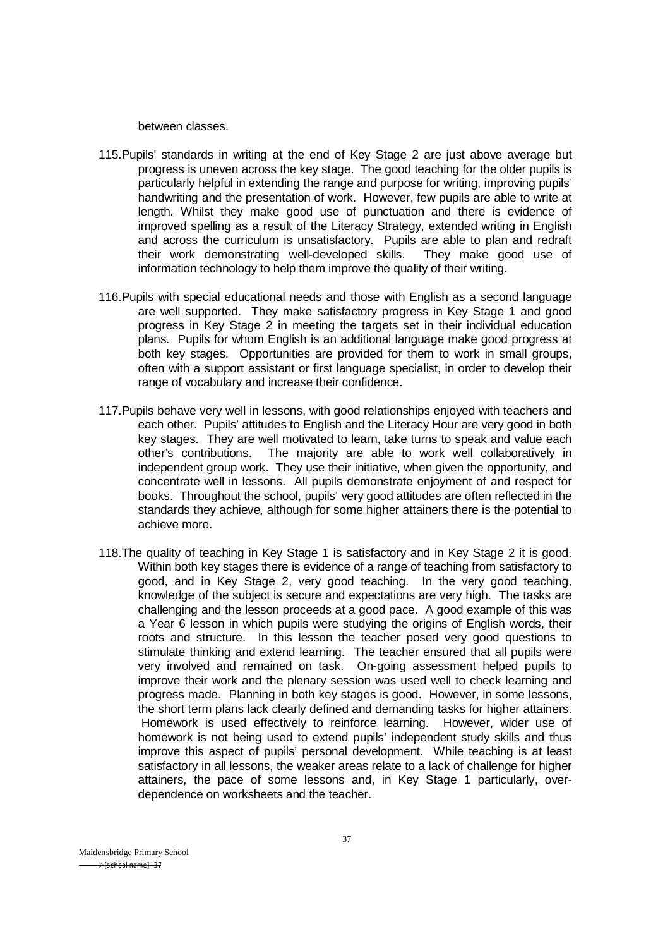between classes.

- 115.Pupils' standards in writing at the end of Key Stage 2 are just above average but progress is uneven across the key stage. The good teaching for the older pupils is particularly helpful in extending the range and purpose for writing, improving pupils' handwriting and the presentation of work. However, few pupils are able to write at length. Whilst they make good use of punctuation and there is evidence of improved spelling as a result of the Literacy Strategy, extended writing in English and across the curriculum is unsatisfactory. Pupils are able to plan and redraft their work demonstrating well-developed skills. They make good use of information technology to help them improve the quality of their writing.
- 116.Pupils with special educational needs and those with English as a second language are well supported. They make satisfactory progress in Key Stage 1 and good progress in Key Stage 2 in meeting the targets set in their individual education plans. Pupils for whom English is an additional language make good progress at both key stages. Opportunities are provided for them to work in small groups, often with a support assistant or first language specialist, in order to develop their range of vocabulary and increase their confidence.
- 117.Pupils behave very well in lessons, with good relationships enjoyed with teachers and each other. Pupils' attitudes to English and the Literacy Hour are very good in both key stages. They are well motivated to learn, take turns to speak and value each other's contributions. The majority are able to work well collaboratively in independent group work. They use their initiative, when given the opportunity, and concentrate well in lessons. All pupils demonstrate enjoyment of and respect for books. Throughout the school, pupils' very good attitudes are often reflected in the standards they achieve, although for some higher attainers there is the potential to achieve more.
- 118.The quality of teaching in Key Stage 1 is satisfactory and in Key Stage 2 it is good. Within both key stages there is evidence of a range of teaching from satisfactory to good, and in Key Stage 2, very good teaching. In the very good teaching, knowledge of the subject is secure and expectations are very high. The tasks are challenging and the lesson proceeds at a good pace. A good example of this was a Year 6 lesson in which pupils were studying the origins of English words, their roots and structure. In this lesson the teacher posed very good questions to stimulate thinking and extend learning. The teacher ensured that all pupils were very involved and remained on task. On-going assessment helped pupils to improve their work and the plenary session was used well to check learning and progress made. Planning in both key stages is good. However, in some lessons, the short term plans lack clearly defined and demanding tasks for higher attainers. Homework is used effectively to reinforce learning. However, wider use of homework is not being used to extend pupils' independent study skills and thus improve this aspect of pupils' personal development. While teaching is at least satisfactory in all lessons, the weaker areas relate to a lack of challenge for higher attainers, the pace of some lessons and, in Key Stage 1 particularly, overdependence on worksheets and the teacher.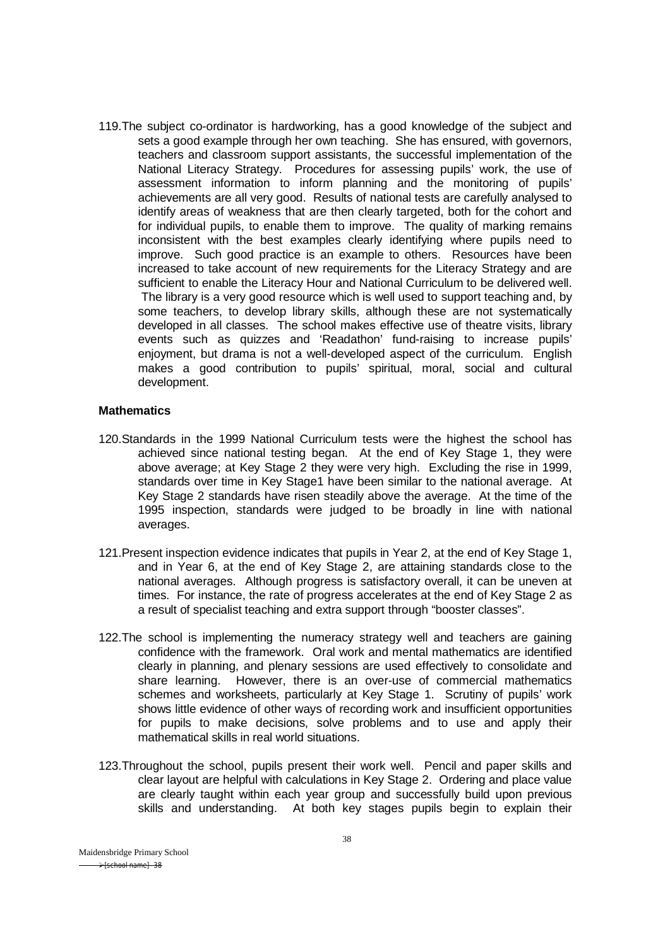119.The subject co-ordinator is hardworking, has a good knowledge of the subject and sets a good example through her own teaching. She has ensured, with governors, teachers and classroom support assistants, the successful implementation of the National Literacy Strategy. Procedures for assessing pupils' work, the use of assessment information to inform planning and the monitoring of pupils' achievements are all very good. Results of national tests are carefully analysed to identify areas of weakness that are then clearly targeted, both for the cohort and for individual pupils, to enable them to improve. The quality of marking remains inconsistent with the best examples clearly identifying where pupils need to improve. Such good practice is an example to others. Resources have been increased to take account of new requirements for the Literacy Strategy and are sufficient to enable the Literacy Hour and National Curriculum to be delivered well. The library is a very good resource which is well used to support teaching and, by some teachers, to develop library skills, although these are not systematically developed in all classes. The school makes effective use of theatre visits, library events such as quizzes and 'Readathon' fund-raising to increase pupils' eniovment, but drama is not a well-developed aspect of the curriculum. English makes a good contribution to pupils' spiritual, moral, social and cultural development.

#### **Mathematics**

- 120.Standards in the 1999 National Curriculum tests were the highest the school has achieved since national testing began. At the end of Key Stage 1, they were above average; at Key Stage 2 they were very high. Excluding the rise in 1999, standards over time in Key Stage1 have been similar to the national average. At Key Stage 2 standards have risen steadily above the average. At the time of the 1995 inspection, standards were judged to be broadly in line with national averages.
- 121.Present inspection evidence indicates that pupils in Year 2, at the end of Key Stage 1, and in Year 6, at the end of Key Stage 2, are attaining standards close to the national averages. Although progress is satisfactory overall, it can be uneven at times. For instance, the rate of progress accelerates at the end of Key Stage 2 as a result of specialist teaching and extra support through "booster classes".
- 122.The school is implementing the numeracy strategy well and teachers are gaining confidence with the framework. Oral work and mental mathematics are identified clearly in planning, and plenary sessions are used effectively to consolidate and share learning. However, there is an over-use of commercial mathematics schemes and worksheets, particularly at Key Stage 1. Scrutiny of pupils' work shows little evidence of other ways of recording work and insufficient opportunities for pupils to make decisions, solve problems and to use and apply their mathematical skills in real world situations.
- 123.Throughout the school, pupils present their work well. Pencil and paper skills and clear layout are helpful with calculations in Key Stage 2. Ordering and place value are clearly taught within each year group and successfully build upon previous skills and understanding. At both key stages pupils begin to explain their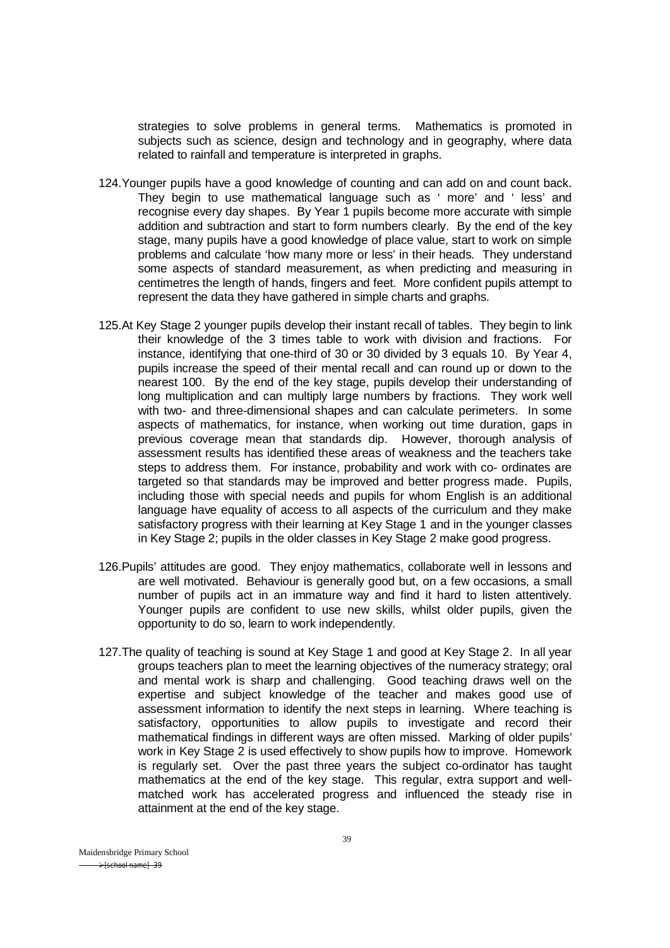strategies to solve problems in general terms. Mathematics is promoted in subjects such as science, design and technology and in geography, where data related to rainfall and temperature is interpreted in graphs.

- 124.Younger pupils have a good knowledge of counting and can add on and count back. They begin to use mathematical language such as ' more' and ' less' and recognise every day shapes. By Year 1 pupils become more accurate with simple addition and subtraction and start to form numbers clearly. By the end of the key stage, many pupils have a good knowledge of place value, start to work on simple problems and calculate 'how many more or less' in their heads. They understand some aspects of standard measurement, as when predicting and measuring in centimetres the length of hands, fingers and feet. More confident pupils attempt to represent the data they have gathered in simple charts and graphs.
- 125.At Key Stage 2 younger pupils develop their instant recall of tables. They begin to link their knowledge of the 3 times table to work with division and fractions. For instance, identifying that one-third of 30 or 30 divided by 3 equals 10. By Year 4, pupils increase the speed of their mental recall and can round up or down to the nearest 100. By the end of the key stage, pupils develop their understanding of long multiplication and can multiply large numbers by fractions. They work well with two- and three-dimensional shapes and can calculate perimeters. In some aspects of mathematics, for instance, when working out time duration, gaps in previous coverage mean that standards dip. However, thorough analysis of assessment results has identified these areas of weakness and the teachers take steps to address them. For instance, probability and work with co- ordinates are targeted so that standards may be improved and better progress made. Pupils, including those with special needs and pupils for whom English is an additional language have equality of access to all aspects of the curriculum and they make satisfactory progress with their learning at Key Stage 1 and in the younger classes in Key Stage 2; pupils in the older classes in Key Stage 2 make good progress.
- 126.Pupils' attitudes are good. They enjoy mathematics, collaborate well in lessons and are well motivated. Behaviour is generally good but, on a few occasions, a small number of pupils act in an immature way and find it hard to listen attentively. Younger pupils are confident to use new skills, whilst older pupils, given the opportunity to do so, learn to work independently.
- 127.The quality of teaching is sound at Key Stage 1 and good at Key Stage 2. In all year groups teachers plan to meet the learning objectives of the numeracy strategy; oral and mental work is sharp and challenging. Good teaching draws well on the expertise and subject knowledge of the teacher and makes good use of assessment information to identify the next steps in learning. Where teaching is satisfactory, opportunities to allow pupils to investigate and record their mathematical findings in different ways are often missed. Marking of older pupils' work in Key Stage 2 is used effectively to show pupils how to improve. Homework is regularly set. Over the past three years the subject co-ordinator has taught mathematics at the end of the key stage. This regular, extra support and wellmatched work has accelerated progress and influenced the steady rise in attainment at the end of the key stage.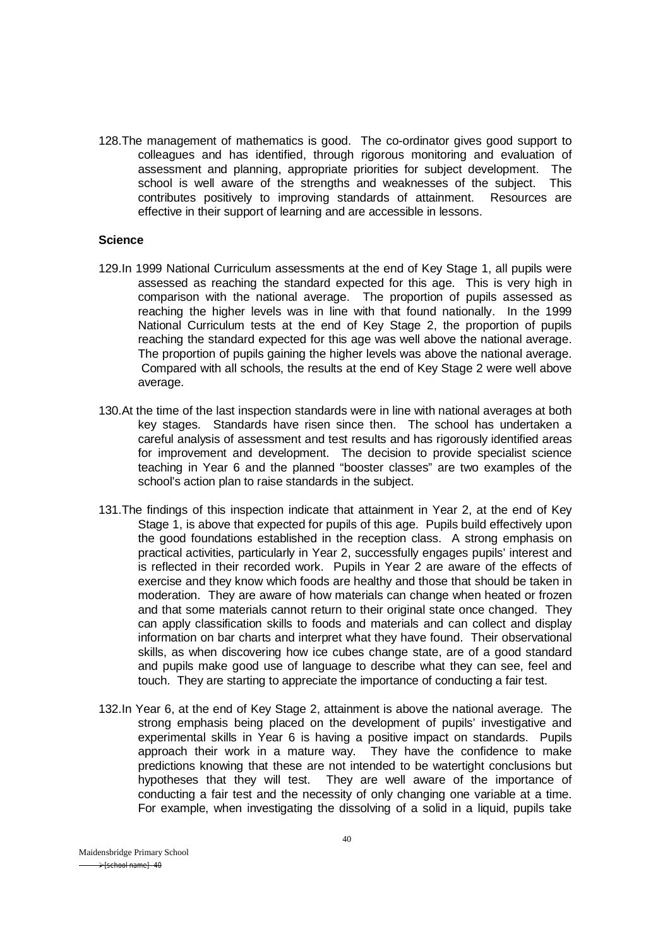128.The management of mathematics is good. The co-ordinator gives good support to colleagues and has identified, through rigorous monitoring and evaluation of assessment and planning, appropriate priorities for subject development. The school is well aware of the strengths and weaknesses of the subject. This contributes positively to improving standards of attainment. Resources are contributes positively to improving standards of attainment. effective in their support of learning and are accessible in lessons.

#### **Science**

- 129.In 1999 National Curriculum assessments at the end of Key Stage 1, all pupils were assessed as reaching the standard expected for this age. This is very high in comparison with the national average. The proportion of pupils assessed as reaching the higher levels was in line with that found nationally. In the 1999 National Curriculum tests at the end of Key Stage 2, the proportion of pupils reaching the standard expected for this age was well above the national average. The proportion of pupils gaining the higher levels was above the national average. Compared with all schools, the results at the end of Key Stage 2 were well above average.
- 130.At the time of the last inspection standards were in line with national averages at both key stages. Standards have risen since then. The school has undertaken a careful analysis of assessment and test results and has rigorously identified areas for improvement and development. The decision to provide specialist science teaching in Year 6 and the planned "booster classes" are two examples of the school's action plan to raise standards in the subject.
- 131.The findings of this inspection indicate that attainment in Year 2, at the end of Key Stage 1, is above that expected for pupils of this age. Pupils build effectively upon the good foundations established in the reception class. A strong emphasis on practical activities, particularly in Year 2, successfully engages pupils' interest and is reflected in their recorded work. Pupils in Year 2 are aware of the effects of exercise and they know which foods are healthy and those that should be taken in moderation. They are aware of how materials can change when heated or frozen and that some materials cannot return to their original state once changed. They can apply classification skills to foods and materials and can collect and display information on bar charts and interpret what they have found. Their observational skills, as when discovering how ice cubes change state, are of a good standard and pupils make good use of language to describe what they can see, feel and touch. They are starting to appreciate the importance of conducting a fair test.
- 132.In Year 6, at the end of Key Stage 2, attainment is above the national average. The strong emphasis being placed on the development of pupils' investigative and experimental skills in Year 6 is having a positive impact on standards. Pupils approach their work in a mature way. They have the confidence to make predictions knowing that these are not intended to be watertight conclusions but hypotheses that they will test. They are well aware of the importance of conducting a fair test and the necessity of only changing one variable at a time. For example, when investigating the dissolving of a solid in a liquid, pupils take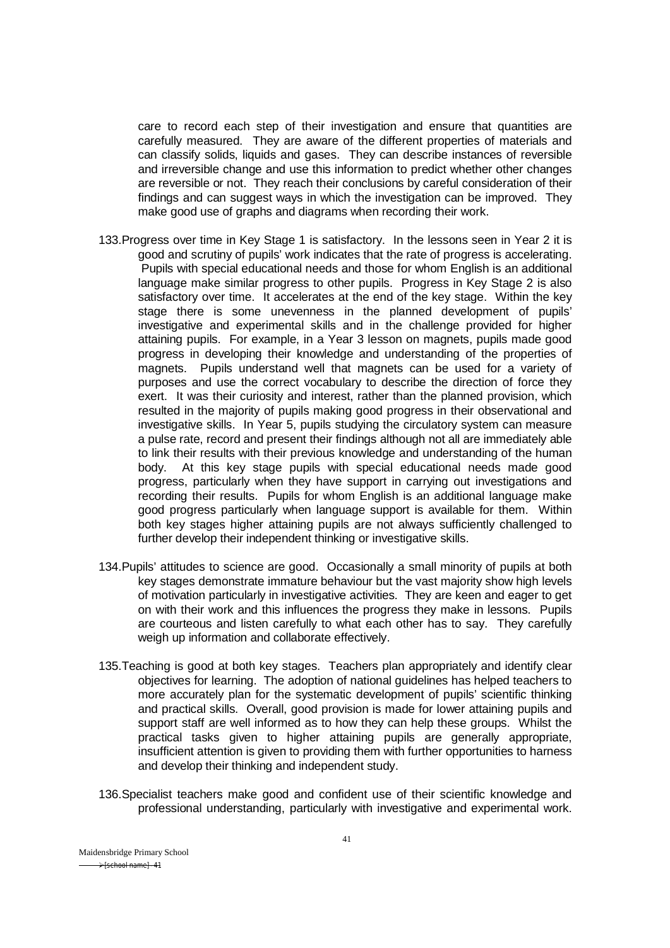care to record each step of their investigation and ensure that quantities are carefully measured. They are aware of the different properties of materials and can classify solids, liquids and gases. They can describe instances of reversible and irreversible change and use this information to predict whether other changes are reversible or not. They reach their conclusions by careful consideration of their findings and can suggest ways in which the investigation can be improved. They make good use of graphs and diagrams when recording their work.

- 133.Progress over time in Key Stage 1 is satisfactory. In the lessons seen in Year 2 it is good and scrutiny of pupils' work indicates that the rate of progress is accelerating. Pupils with special educational needs and those for whom English is an additional language make similar progress to other pupils. Progress in Key Stage 2 is also satisfactory over time. It accelerates at the end of the key stage. Within the key stage there is some unevenness in the planned development of pupils' investigative and experimental skills and in the challenge provided for higher attaining pupils. For example, in a Year 3 lesson on magnets, pupils made good progress in developing their knowledge and understanding of the properties of magnets. Pupils understand well that magnets can be used for a variety of purposes and use the correct vocabulary to describe the direction of force they exert. It was their curiosity and interest, rather than the planned provision, which resulted in the majority of pupils making good progress in their observational and investigative skills. In Year 5, pupils studying the circulatory system can measure a pulse rate, record and present their findings although not all are immediately able to link their results with their previous knowledge and understanding of the human body. At this key stage pupils with special educational needs made good progress, particularly when they have support in carrying out investigations and recording their results. Pupils for whom English is an additional language make good progress particularly when language support is available for them. Within both key stages higher attaining pupils are not always sufficiently challenged to further develop their independent thinking or investigative skills.
- 134.Pupils' attitudes to science are good. Occasionally a small minority of pupils at both key stages demonstrate immature behaviour but the vast majority show high levels of motivation particularly in investigative activities. They are keen and eager to get on with their work and this influences the progress they make in lessons. Pupils are courteous and listen carefully to what each other has to say. They carefully weigh up information and collaborate effectively.
- 135.Teaching is good at both key stages. Teachers plan appropriately and identify clear objectives for learning. The adoption of national guidelines has helped teachers to more accurately plan for the systematic development of pupils' scientific thinking and practical skills. Overall, good provision is made for lower attaining pupils and support staff are well informed as to how they can help these groups. Whilst the practical tasks given to higher attaining pupils are generally appropriate, insufficient attention is given to providing them with further opportunities to harness and develop their thinking and independent study.
- 136.Specialist teachers make good and confident use of their scientific knowledge and professional understanding, particularly with investigative and experimental work.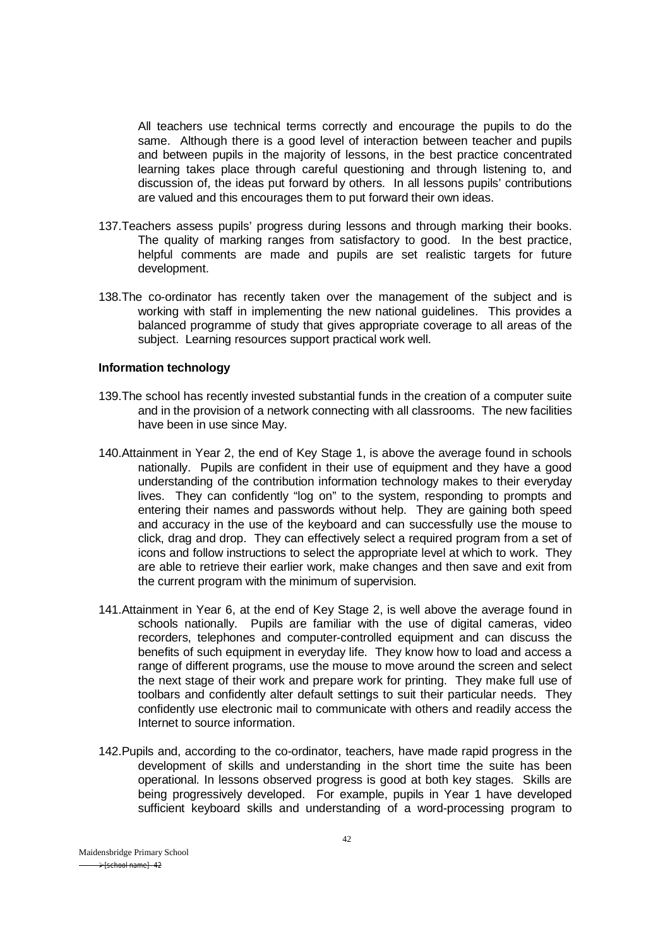All teachers use technical terms correctly and encourage the pupils to do the same. Although there is a good level of interaction between teacher and pupils and between pupils in the majority of lessons, in the best practice concentrated learning takes place through careful questioning and through listening to, and discussion of, the ideas put forward by others. In all lessons pupils' contributions are valued and this encourages them to put forward their own ideas.

- 137.Teachers assess pupils' progress during lessons and through marking their books. The quality of marking ranges from satisfactory to good. In the best practice, helpful comments are made and pupils are set realistic targets for future development.
- 138.The co-ordinator has recently taken over the management of the subject and is working with staff in implementing the new national guidelines. This provides a balanced programme of study that gives appropriate coverage to all areas of the subject. Learning resources support practical work well.

#### **Information technology**

- 139.The school has recently invested substantial funds in the creation of a computer suite and in the provision of a network connecting with all classrooms. The new facilities have been in use since May.
- 140.Attainment in Year 2, the end of Key Stage 1, is above the average found in schools nationally. Pupils are confident in their use of equipment and they have a good understanding of the contribution information technology makes to their everyday lives. They can confidently "log on" to the system, responding to prompts and entering their names and passwords without help. They are gaining both speed and accuracy in the use of the keyboard and can successfully use the mouse to click, drag and drop. They can effectively select a required program from a set of icons and follow instructions to select the appropriate level at which to work. They are able to retrieve their earlier work, make changes and then save and exit from the current program with the minimum of supervision.
- 141.Attainment in Year 6, at the end of Key Stage 2, is well above the average found in schools nationally. Pupils are familiar with the use of digital cameras, video recorders, telephones and computer-controlled equipment and can discuss the benefits of such equipment in everyday life. They know how to load and access a range of different programs, use the mouse to move around the screen and select the next stage of their work and prepare work for printing. They make full use of toolbars and confidently alter default settings to suit their particular needs. They confidently use electronic mail to communicate with others and readily access the Internet to source information.
- 142.Pupils and, according to the co-ordinator, teachers, have made rapid progress in the development of skills and understanding in the short time the suite has been operational. In lessons observed progress is good at both key stages. Skills are being progressively developed. For example, pupils in Year 1 have developed sufficient keyboard skills and understanding of a word-processing program to

Maidensbridge Primary School  $\rightarrow$  [school name] - 42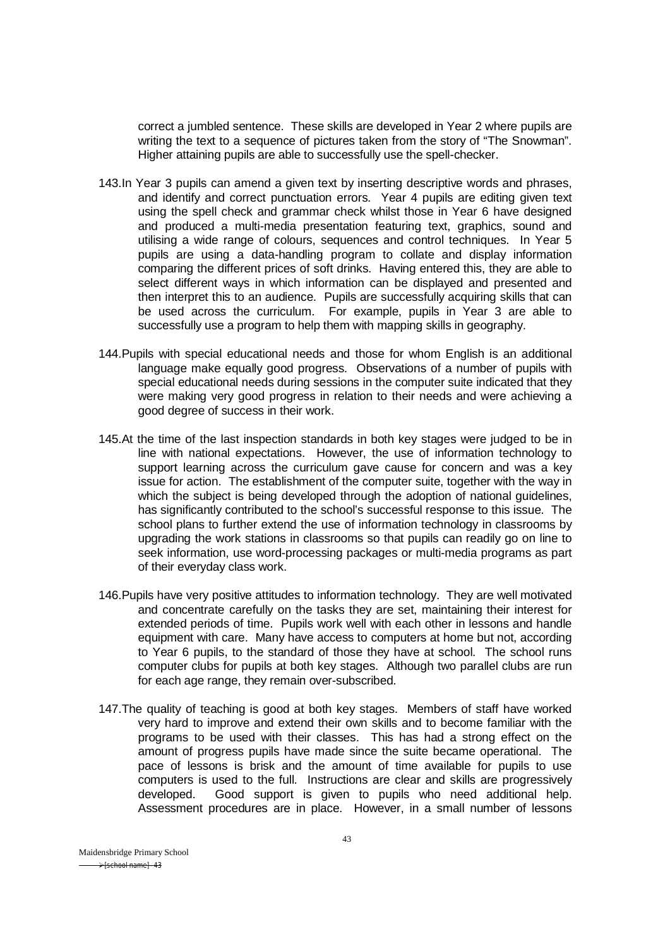correct a jumbled sentence. These skills are developed in Year 2 where pupils are writing the text to a sequence of pictures taken from the story of "The Snowman". Higher attaining pupils are able to successfully use the spell-checker.

- 143.In Year 3 pupils can amend a given text by inserting descriptive words and phrases, and identify and correct punctuation errors. Year 4 pupils are editing given text using the spell check and grammar check whilst those in Year 6 have designed and produced a multi-media presentation featuring text, graphics, sound and utilising a wide range of colours, sequences and control techniques. In Year 5 pupils are using a data-handling program to collate and display information comparing the different prices of soft drinks. Having entered this, they are able to select different ways in which information can be displayed and presented and then interpret this to an audience. Pupils are successfully acquiring skills that can be used across the curriculum. For example, pupils in Year 3 are able to successfully use a program to help them with mapping skills in geography.
- 144.Pupils with special educational needs and those for whom English is an additional language make equally good progress. Observations of a number of pupils with special educational needs during sessions in the computer suite indicated that they were making very good progress in relation to their needs and were achieving a good degree of success in their work.
- 145.At the time of the last inspection standards in both key stages were judged to be in line with national expectations. However, the use of information technology to support learning across the curriculum gave cause for concern and was a key issue for action. The establishment of the computer suite, together with the way in which the subject is being developed through the adoption of national guidelines, has significantly contributed to the school's successful response to this issue. The school plans to further extend the use of information technology in classrooms by upgrading the work stations in classrooms so that pupils can readily go on line to seek information, use word-processing packages or multi-media programs as part of their everyday class work.
- 146.Pupils have very positive attitudes to information technology. They are well motivated and concentrate carefully on the tasks they are set, maintaining their interest for extended periods of time. Pupils work well with each other in lessons and handle equipment with care. Many have access to computers at home but not, according to Year 6 pupils, to the standard of those they have at school. The school runs computer clubs for pupils at both key stages. Although two parallel clubs are run for each age range, they remain over-subscribed.
- 147.The quality of teaching is good at both key stages. Members of staff have worked very hard to improve and extend their own skills and to become familiar with the programs to be used with their classes. This has had a strong effect on the amount of progress pupils have made since the suite became operational. The pace of lessons is brisk and the amount of time available for pupils to use computers is used to the full. Instructions are clear and skills are progressively developed. Good support is given to pupils who need additional help. Assessment procedures are in place. However, in a small number of lessons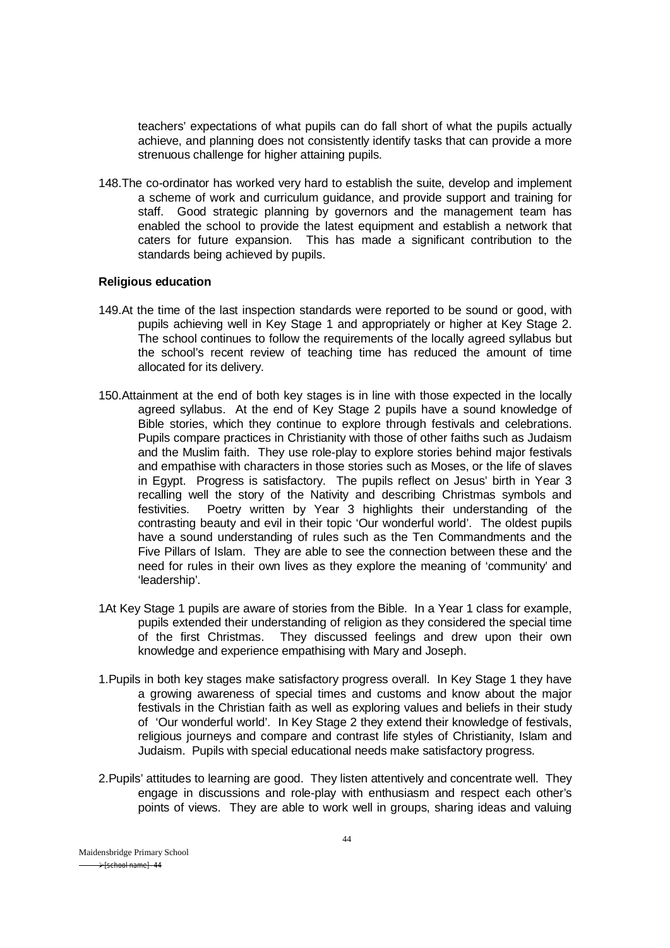teachers' expectations of what pupils can do fall short of what the pupils actually achieve, and planning does not consistently identify tasks that can provide a more strenuous challenge for higher attaining pupils.

148.The co-ordinator has worked very hard to establish the suite, develop and implement a scheme of work and curriculum guidance, and provide support and training for staff. Good strategic planning by governors and the management team has enabled the school to provide the latest equipment and establish a network that caters for future expansion. This has made a significant contribution to the standards being achieved by pupils.

#### **Religious education**

- 149.At the time of the last inspection standards were reported to be sound or good, with pupils achieving well in Key Stage 1 and appropriately or higher at Key Stage 2. The school continues to follow the requirements of the locally agreed syllabus but the school's recent review of teaching time has reduced the amount of time allocated for its delivery.
- 150.Attainment at the end of both key stages is in line with those expected in the locally agreed syllabus. At the end of Key Stage 2 pupils have a sound knowledge of Bible stories, which they continue to explore through festivals and celebrations. Pupils compare practices in Christianity with those of other faiths such as Judaism and the Muslim faith. They use role-play to explore stories behind major festivals and empathise with characters in those stories such as Moses, or the life of slaves in Egypt. Progress is satisfactory. The pupils reflect on Jesus' birth in Year 3 recalling well the story of the Nativity and describing Christmas symbols and festivities. Poetry written by Year 3 highlights their understanding of the contrasting beauty and evil in their topic 'Our wonderful world'. The oldest pupils have a sound understanding of rules such as the Ten Commandments and the Five Pillars of Islam. They are able to see the connection between these and the need for rules in their own lives as they explore the meaning of 'community' and 'leadership'.
- 1At Key Stage 1 pupils are aware of stories from the Bible. In a Year 1 class for example, pupils extended their understanding of religion as they considered the special time of the first Christmas. They discussed feelings and drew upon their own knowledge and experience empathising with Mary and Joseph.
- 1.Pupils in both key stages make satisfactory progress overall. In Key Stage 1 they have a growing awareness of special times and customs and know about the major festivals in the Christian faith as well as exploring values and beliefs in their study of 'Our wonderful world'. In Key Stage 2 they extend their knowledge of festivals, religious iourneys and compare and contrast life styles of Christianity, Islam and Judaism. Pupils with special educational needs make satisfactory progress.
- 2.Pupils' attitudes to learning are good. They listen attentively and concentrate well. They engage in discussions and role-play with enthusiasm and respect each other's points of views. They are able to work well in groups, sharing ideas and valuing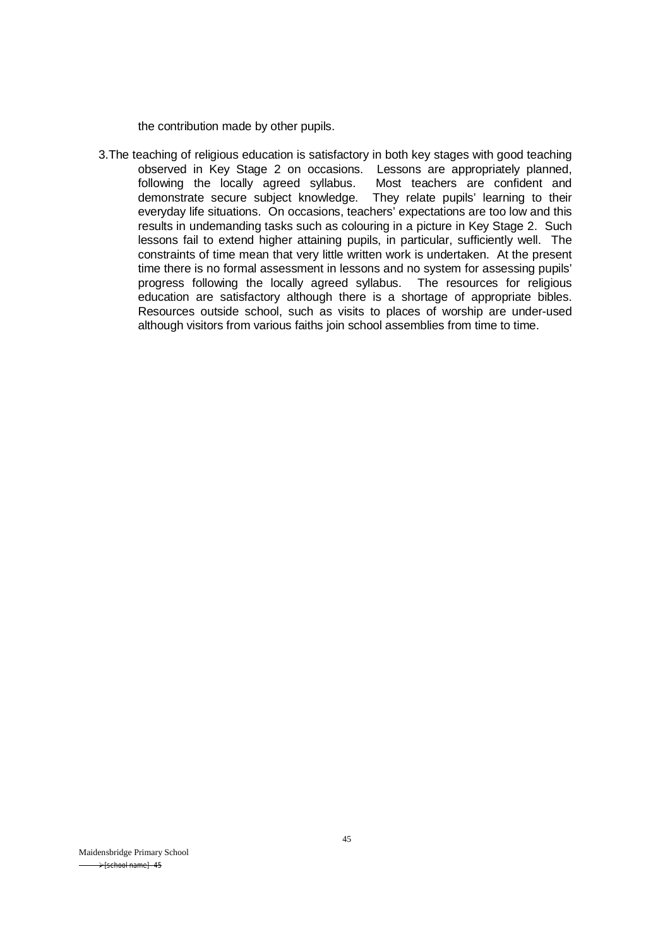the contribution made by other pupils.

3.The teaching of religious education is satisfactory in both key stages with good teaching observed in Key Stage 2 on occasions. Lessons are appropriately planned, following the locally agreed syllabus. Most teachers are confident and demonstrate secure subject knowledge. They relate pupils' learning to their everyday life situations. On occasions, teachers' expectations are too low and this results in undemanding tasks such as colouring in a picture in Key Stage 2. Such lessons fail to extend higher attaining pupils, in particular, sufficiently well. The constraints of time mean that very little written work is undertaken. At the present time there is no formal assessment in lessons and no system for assessing pupils' progress following the locally agreed syllabus. The resources for religious education are satisfactory although there is a shortage of appropriate bibles. Resources outside school, such as visits to places of worship are under-used although visitors from various faiths join school assemblies from time to time.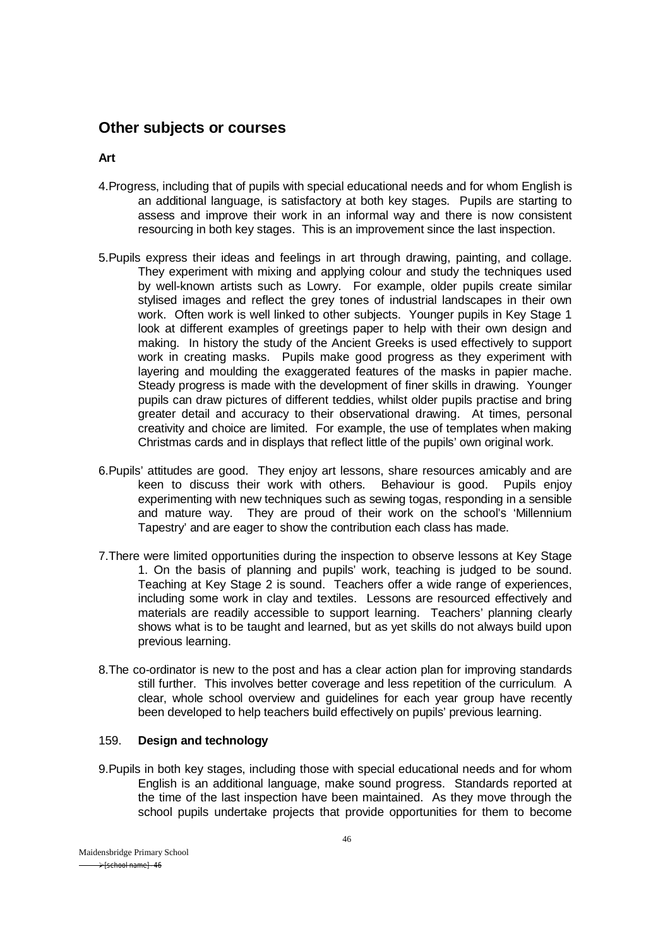# **Other subjects or courses**

**Art**

- 4.Progress, including that of pupils with special educational needs and for whom English is an additional language, is satisfactory at both key stages. Pupils are starting to assess and improve their work in an informal way and there is now consistent resourcing in both key stages. This is an improvement since the last inspection.
- 5.Pupils express their ideas and feelings in art through drawing, painting, and collage. They experiment with mixing and applying colour and study the techniques used by well-known artists such as Lowry. For example, older pupils create similar stylised images and reflect the grey tones of industrial landscapes in their own work. Often work is well linked to other subjects. Younger pupils in Key Stage 1 look at different examples of greetings paper to help with their own design and making. In history the study of the Ancient Greeks is used effectively to support work in creating masks. Pupils make good progress as they experiment with layering and moulding the exaggerated features of the masks in papier mache. Steady progress is made with the development of finer skills in drawing. Younger pupils can draw pictures of different teddies, whilst older pupils practise and bring greater detail and accuracy to their observational drawing. At times, personal creativity and choice are limited. For example, the use of templates when making Christmas cards and in displays that reflect little of the pupils' own original work.
- 6.Pupils' attitudes are good. They enjoy art lessons, share resources amicably and are keen to discuss their work with others. Behaviour is good. Pupils enjoy experimenting with new techniques such as sewing togas, responding in a sensible and mature way. They are proud of their work on the school's 'Millennium Tapestry' and are eager to show the contribution each class has made.
- 7.There were limited opportunities during the inspection to observe lessons at Key Stage 1. On the basis of planning and pupils' work, teaching is judged to be sound. Teaching at Key Stage 2 is sound. Teachers offer a wide range of experiences, including some work in clay and textiles. Lessons are resourced effectively and materials are readily accessible to support learning. Teachers' planning clearly shows what is to be taught and learned, but as yet skills do not always build upon previous learning.
- 8.The co-ordinator is new to the post and has a clear action plan for improving standards still further. This involves better coverage and less repetition of the curriculum. A clear, whole school overview and guidelines for each year group have recently been developed to help teachers build effectively on pupils' previous learning.

#### 159. **Design and technology**

9.Pupils in both key stages, including those with special educational needs and for whom English is an additional language, make sound progress. Standards reported at the time of the last inspection have been maintained. As they move through the school pupils undertake projects that provide opportunities for them to become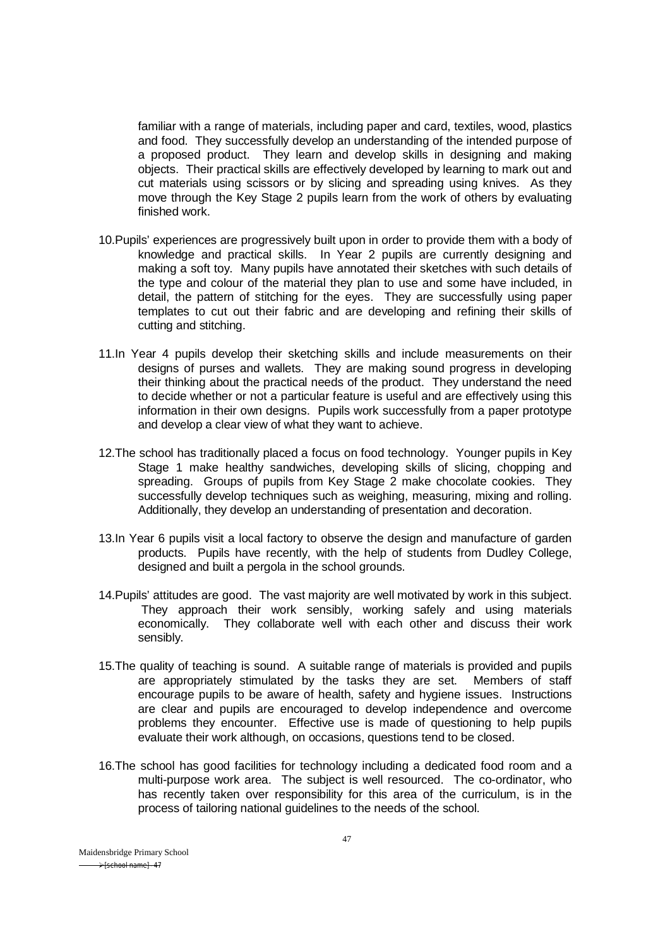familiar with a range of materials, including paper and card, textiles, wood, plastics and food. They successfully develop an understanding of the intended purpose of a proposed product. They learn and develop skills in designing and making objects. Their practical skills are effectively developed by learning to mark out and cut materials using scissors or by slicing and spreading using knives. As they move through the Key Stage 2 pupils learn from the work of others by evaluating finished work.

- 10.Pupils' experiences are progressively built upon in order to provide them with a body of knowledge and practical skills. In Year 2 pupils are currently designing and making a soft toy. Many pupils have annotated their sketches with such details of the type and colour of the material they plan to use and some have included, in detail, the pattern of stitching for the eyes. They are successfully using paper templates to cut out their fabric and are developing and refining their skills of cutting and stitching.
- 11.In Year 4 pupils develop their sketching skills and include measurements on their designs of purses and wallets. They are making sound progress in developing their thinking about the practical needs of the product. They understand the need to decide whether or not a particular feature is useful and are effectively using this information in their own designs. Pupils work successfully from a paper prototype and develop a clear view of what they want to achieve.
- 12.The school has traditionally placed a focus on food technology. Younger pupils in Key Stage 1 make healthy sandwiches, developing skills of slicing, chopping and spreading. Groups of pupils from Key Stage 2 make chocolate cookies. They successfully develop techniques such as weighing, measuring, mixing and rolling. Additionally, they develop an understanding of presentation and decoration.
- 13.In Year 6 pupils visit a local factory to observe the design and manufacture of garden products. Pupils have recently, with the help of students from Dudley College, designed and built a pergola in the school grounds.
- 14.Pupils' attitudes are good. The vast majority are well motivated by work in this subject. They approach their work sensibly, working safely and using materials economically. They collaborate well with each other and discuss their work sensibly.
- 15.The quality of teaching is sound. A suitable range of materials is provided and pupils are appropriately stimulated by the tasks they are set. Members of staff encourage pupils to be aware of health, safety and hygiene issues. Instructions are clear and pupils are encouraged to develop independence and overcome problems they encounter. Effective use is made of questioning to help pupils evaluate their work although, on occasions, questions tend to be closed.
- 16.The school has good facilities for technology including a dedicated food room and a multi-purpose work area. The subject is well resourced. The co-ordinator, who has recently taken over responsibility for this area of the curriculum, is in the process of tailoring national guidelines to the needs of the school.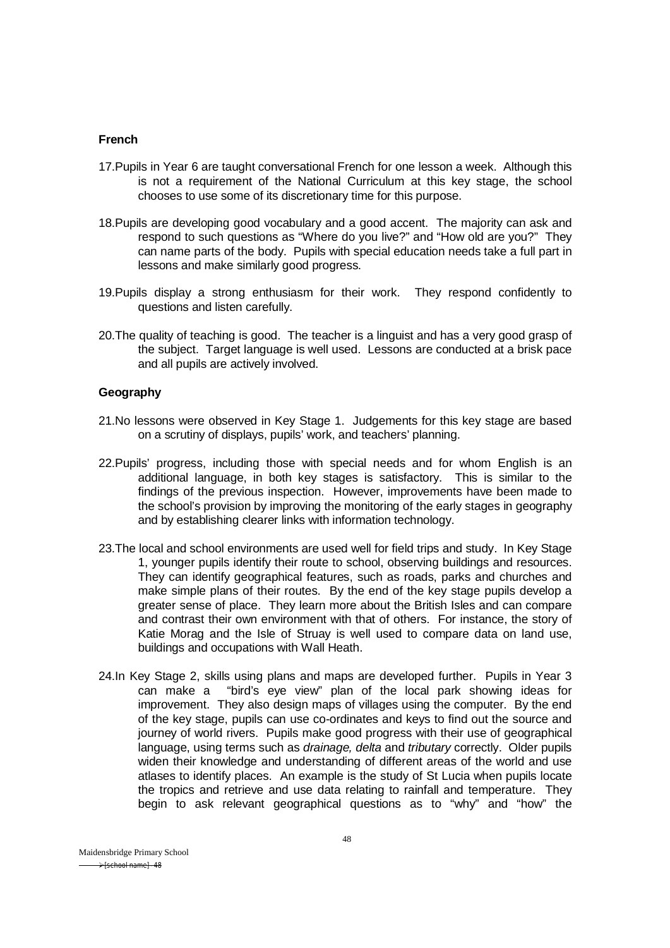#### **French**

- 17.Pupils in Year 6 are taught conversational French for one lesson a week. Although this is not a requirement of the National Curriculum at this key stage, the school chooses to use some of its discretionary time for this purpose.
- 18.Pupils are developing good vocabulary and a good accent. The majority can ask and respond to such questions as "Where do you live?" and "How old are you?" They can name parts of the body. Pupils with special education needs take a full part in lessons and make similarly good progress.
- 19.Pupils display a strong enthusiasm for their work. They respond confidently to questions and listen carefully.
- 20.The quality of teaching is good. The teacher is a linguist and has a very good grasp of the subject. Target language is well used. Lessons are conducted at a brisk pace and all pupils are actively involved.

#### **Geography**

- 21.No lessons were observed in Key Stage 1. Judgements for this key stage are based on a scrutiny of displays, pupils' work, and teachers' planning.
- 22.Pupils' progress, including those with special needs and for whom English is an additional language, in both key stages is satisfactory. This is similar to the findings of the previous inspection. However, improvements have been made to the school's provision by improving the monitoring of the early stages in geography and by establishing clearer links with information technology.
- 23.The local and school environments are used well for field trips and study. In Key Stage 1, younger pupils identify their route to school, observing buildings and resources. They can identify geographical features, such as roads, parks and churches and make simple plans of their routes. By the end of the key stage pupils develop a greater sense of place. They learn more about the British Isles and can compare and contrast their own environment with that of others. For instance, the story of Katie Morag and the Isle of Struay is well used to compare data on land use, buildings and occupations with Wall Heath.
- 24.In Key Stage 2, skills using plans and maps are developed further. Pupils in Year 3 can make a "bird's eye view" plan of the local park showing ideas for improvement. They also design maps of villages using the computer. By the end of the key stage, pupils can use co-ordinates and keys to find out the source and journey of world rivers. Pupils make good progress with their use of geographical language, using terms such as *drainage, delta* and *tributary* correctly. Older pupils widen their knowledge and understanding of different areas of the world and use atlases to identify places. An example is the study of St Lucia when pupils locate the tropics and retrieve and use data relating to rainfall and temperature. They begin to ask relevant geographical questions as to "why" and "how" the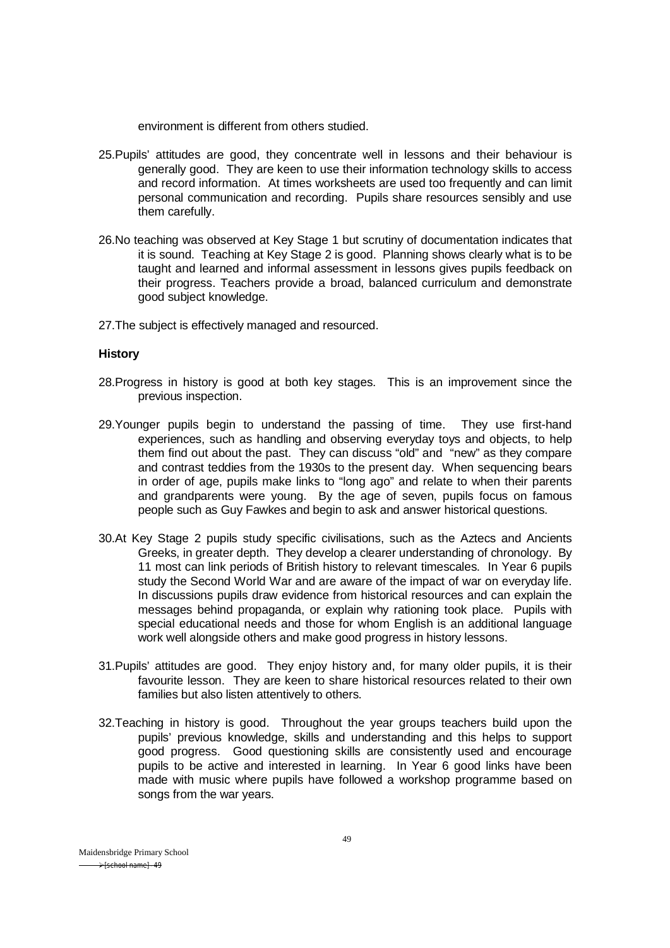environment is different from others studied.

- 25.Pupils' attitudes are good, they concentrate well in lessons and their behaviour is generally good. They are keen to use their information technology skills to access and record information. At times worksheets are used too frequently and can limit personal communication and recording. Pupils share resources sensibly and use them carefully.
- 26.No teaching was observed at Key Stage 1 but scrutiny of documentation indicates that it is sound. Teaching at Key Stage 2 is good. Planning shows clearly what is to be taught and learned and informal assessment in lessons gives pupils feedback on their progress. Teachers provide a broad, balanced curriculum and demonstrate good subject knowledge.
- 27. The subject is effectively managed and resourced.

#### **History**

- 28.Progress in history is good at both key stages. This is an improvement since the previous inspection.
- 29.Younger pupils begin to understand the passing of time. They use first-hand experiences, such as handling and observing everyday toys and objects, to help them find out about the past. They can discuss "old" and "new" as they compare and contrast teddies from the 1930s to the present day. When sequencing bears in order of age, pupils make links to "long ago" and relate to when their parents and grandparents were young. By the age of seven, pupils focus on famous people such as Guy Fawkes and begin to ask and answer historical questions.
- 30.At Key Stage 2 pupils study specific civilisations, such as the Aztecs and Ancients Greeks, in greater depth. They develop a clearer understanding of chronology. By 11 most can link periods of British history to relevant timescales. In Year 6 pupils study the Second World War and are aware of the impact of war on everyday life. In discussions pupils draw evidence from historical resources and can explain the messages behind propaganda, or explain why rationing took place. Pupils with special educational needs and those for whom English is an additional language work well alongside others and make good progress in history lessons.
- 31.Pupils' attitudes are good. They enjoy history and, for many older pupils, it is their favourite lesson. They are keen to share historical resources related to their own families but also listen attentively to others.
- 32.Teaching in history is good. Throughout the year groups teachers build upon the pupils' previous knowledge, skills and understanding and this helps to support good progress. Good questioning skills are consistently used and encourage pupils to be active and interested in learning. In Year 6 good links have been made with music where pupils have followed a workshop programme based on songs from the war years.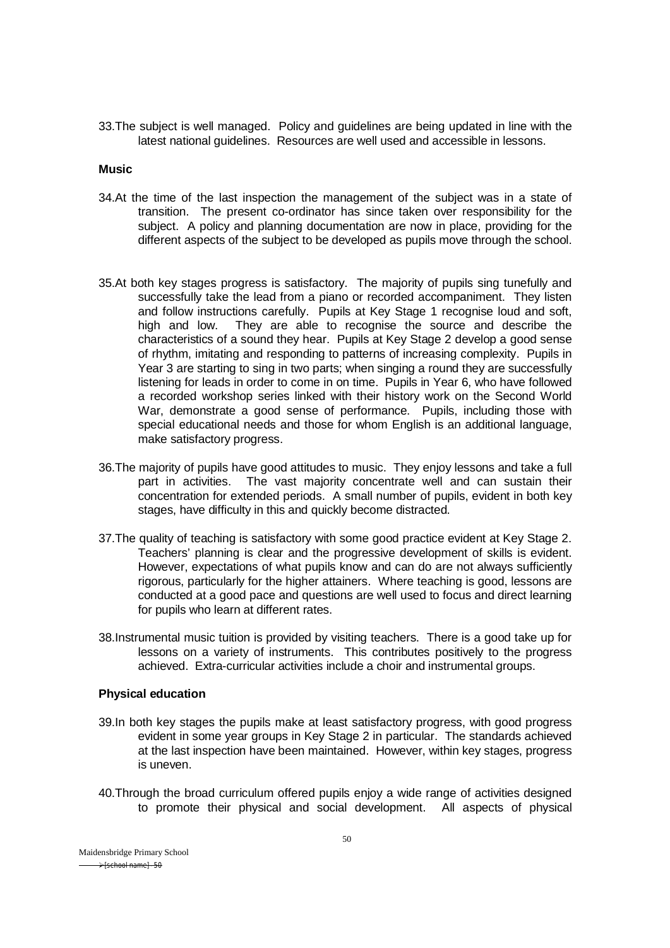33.The subject is well managed. Policy and guidelines are being updated in line with the latest national guidelines. Resources are well used and accessible in lessons.

#### **Music**

- 34.At the time of the last inspection the management of the subject was in a state of transition. The present co-ordinator has since taken over responsibility for the subject. A policy and planning documentation are now in place, providing for the different aspects of the subject to be developed as pupils move through the school.
- 35.At both key stages progress is satisfactory. The majority of pupils sing tunefully and successfully take the lead from a piano or recorded accompaniment. They listen and follow instructions carefully. Pupils at Key Stage 1 recognise loud and soft, high and low. They are able to recognise the source and describe the characteristics of a sound they hear. Pupils at Key Stage 2 develop a good sense of rhythm, imitating and responding to patterns of increasing complexity. Pupils in Year 3 are starting to sing in two parts; when singing a round they are successfully listening for leads in order to come in on time. Pupils in Year 6, who have followed a recorded workshop series linked with their history work on the Second World War, demonstrate a good sense of performance. Pupils, including those with special educational needs and those for whom English is an additional language, make satisfactory progress.
- 36.The majority of pupils have good attitudes to music. They enjoy lessons and take a full part in activities. The vast majority concentrate well and can sustain their concentration for extended periods. A small number of pupils, evident in both key stages, have difficulty in this and quickly become distracted.
- 37.The quality of teaching is satisfactory with some good practice evident at Key Stage 2. Teachers' planning is clear and the progressive development of skills is evident. However, expectations of what pupils know and can do are not always sufficiently rigorous, particularly for the higher attainers. Where teaching is good, lessons are conducted at a good pace and questions are well used to focus and direct learning for pupils who learn at different rates.
- 38.Instrumental music tuition is provided by visiting teachers. There is a good take up for lessons on a variety of instruments. This contributes positively to the progress achieved. Extra-curricular activities include a choir and instrumental groups.

#### **Physical education**

- 39.In both key stages the pupils make at least satisfactory progress, with good progress evident in some year groups in Key Stage 2 in particular. The standards achieved at the last inspection have been maintained. However, within key stages, progress is uneven.
- 40.Through the broad curriculum offered pupils enjoy a wide range of activities designed to promote their physical and social development. All aspects of physical

Maidensbridge Primary School  $\rightarrow$  [school name] - 50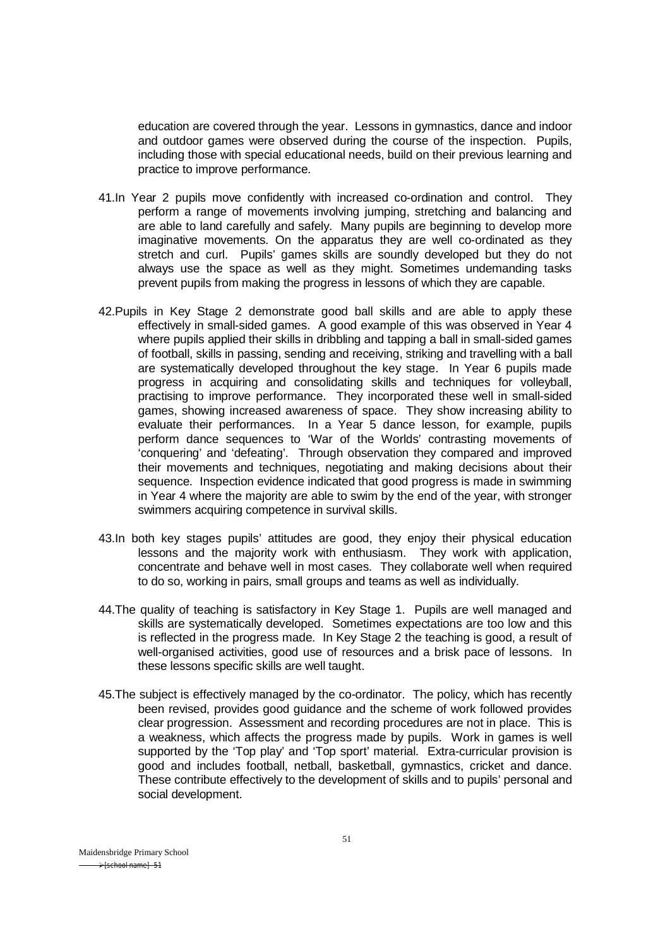education are covered through the year. Lessons in gymnastics, dance and indoor and outdoor games were observed during the course of the inspection. Pupils, including those with special educational needs, build on their previous learning and practice to improve performance.

- 41.In Year 2 pupils move confidently with increased co-ordination and control. They perform a range of movements involving jumping, stretching and balancing and are able to land carefully and safely. Many pupils are beginning to develop more imaginative movements. On the apparatus they are well co-ordinated as they stretch and curl. Pupils' games skills are soundly developed but they do not always use the space as well as they might. Sometimes undemanding tasks prevent pupils from making the progress in lessons of which they are capable.
- 42.Pupils in Key Stage 2 demonstrate good ball skills and are able to apply these effectively in small-sided games. A good example of this was observed in Year 4 where pupils applied their skills in dribbling and tapping a ball in small-sided games of football, skills in passing, sending and receiving, striking and travelling with a ball are systematically developed throughout the key stage. In Year 6 pupils made progress in acquiring and consolidating skills and techniques for volleyball, practising to improve performance. They incorporated these well in small-sided games, showing increased awareness of space. They show increasing ability to evaluate their performances. In a Year 5 dance lesson, for example, pupils perform dance sequences to 'War of the Worlds' contrasting movements of 'conquering' and 'defeating'. Through observation they compared and improved their movements and techniques, negotiating and making decisions about their sequence. Inspection evidence indicated that good progress is made in swimming in Year 4 where the majority are able to swim by the end of the year, with stronger swimmers acquiring competence in survival skills.
- 43.In both key stages pupils' attitudes are good, they enjoy their physical education lessons and the majority work with enthusiasm. They work with application, concentrate and behave well in most cases. They collaborate well when required to do so, working in pairs, small groups and teams as well as individually.
- 44.The quality of teaching is satisfactory in Key Stage 1. Pupils are well managed and skills are systematically developed. Sometimes expectations are too low and this is reflected in the progress made. In Key Stage 2 the teaching is good, a result of well-organised activities, good use of resources and a brisk pace of lessons. In these lessons specific skills are well taught.
- 45.The subject is effectively managed by the co-ordinator. The policy, which has recently been revised, provides good guidance and the scheme of work followed provides clear progression. Assessment and recording procedures are not in place. This is a weakness, which affects the progress made by pupils. Work in games is well supported by the 'Top play' and 'Top sport' material. Extra-curricular provision is good and includes football, netball, basketball, gymnastics, cricket and dance. These contribute effectively to the development of skills and to pupils' personal and social development.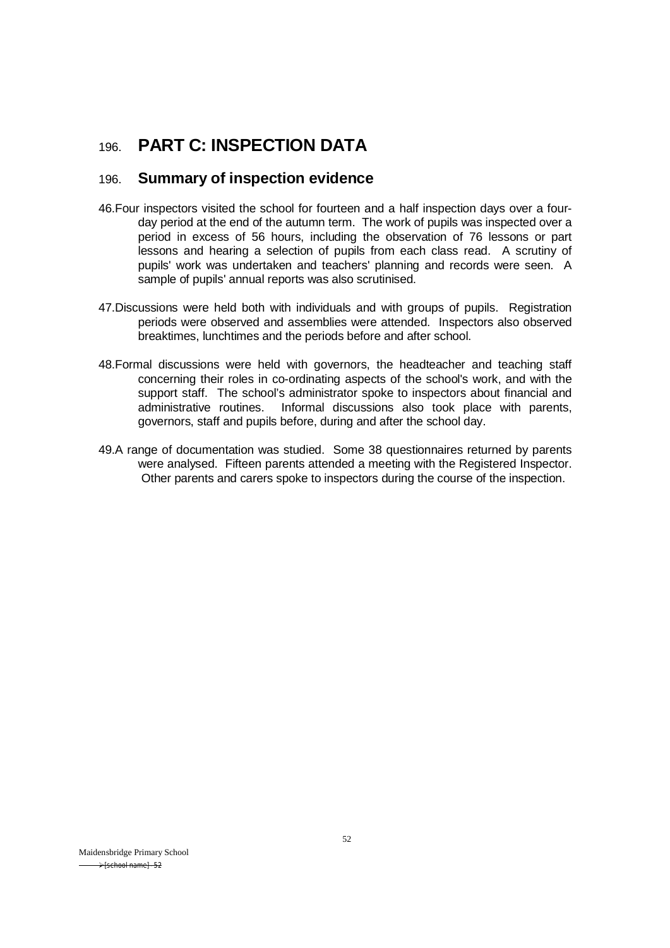# 196. **PART C: INSPECTION DATA**

# 196. **Summary of inspection evidence**

- 46.Four inspectors visited the school for fourteen and a half inspection days over a fourday period at the end of the autumn term. The work of pupils was inspected over a period in excess of 56 hours, including the observation of 76 lessons or part lessons and hearing a selection of pupils from each class read. A scrutiny of pupils' work was undertaken and teachers' planning and records were seen. A sample of pupils' annual reports was also scrutinised.
- 47.Discussions were held both with individuals and with groups of pupils. Registration periods were observed and assemblies were attended. Inspectors also observed breaktimes, lunchtimes and the periods before and after school.
- 48.Formal discussions were held with governors, the headteacher and teaching staff concerning their roles in co-ordinating aspects of the school's work, and with the support staff. The school's administrator spoke to inspectors about financial and administrative routines. Informal discussions also took place with parents. Informal discussions also took place with parents, governors, staff and pupils before, during and after the school day.
- 49.A range of documentation was studied. Some 38 questionnaires returned by parents were analysed. Fifteen parents attended a meeting with the Registered Inspector. Other parents and carers spoke to inspectors during the course of the inspection.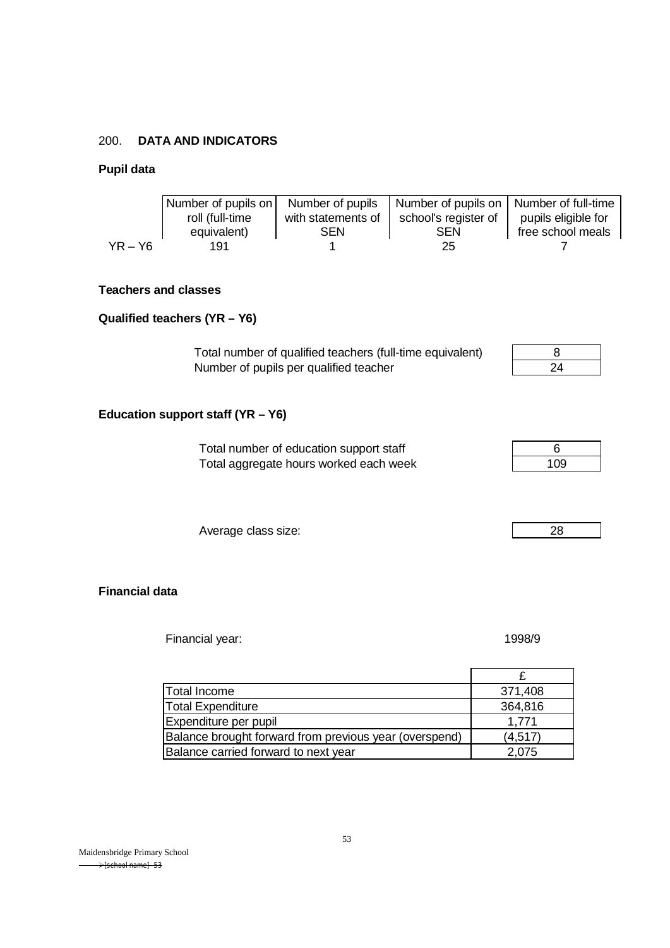### 200. **DATA AND INDICATORS**

### **Pupil data**

|                             | Number of pupils on<br>roll (full-time<br>equivalent) | Number of pupils<br>with statements of<br><b>SEN</b> | Number of pupils on<br>school's register of<br><b>SEN</b> | Number of full-time<br>pupils eligible for<br>free school meals |
|-----------------------------|-------------------------------------------------------|------------------------------------------------------|-----------------------------------------------------------|-----------------------------------------------------------------|
| $YR - Y6$                   | 191                                                   |                                                      | 25                                                        |                                                                 |
| <b>Teachers and classes</b> |                                                       |                                                      |                                                           |                                                                 |

## **Qualified teachers (YR – Y6)**

Total number of qualified teachers (full-time equivalent) 8 Number of pupils per qualified teacher

# **Education support staff (YR – Y6)**

| Total number of education support staff |     |
|-----------------------------------------|-----|
| Total aggregate hours worked each week  | 109 |

Average class size: 28

**Financial data**

Financial year: 1998/9

| Total Income                                           | 371,408  |
|--------------------------------------------------------|----------|
| <b>Total Expenditure</b>                               | 364,816  |
| Expenditure per pupil                                  | 1.771    |
| Balance brought forward from previous year (overspend) | (4, 517) |
| Balance carried forward to next year                   | 2,075    |